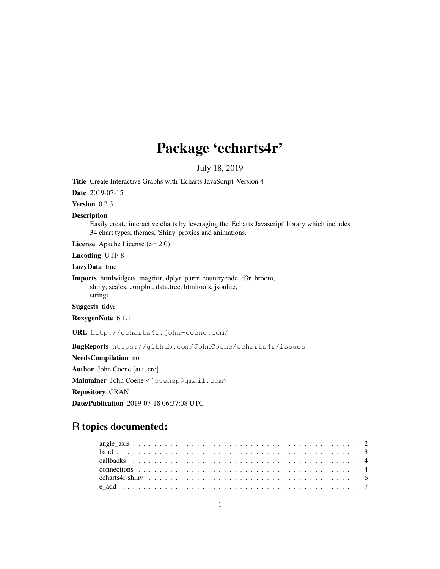# Package 'echarts4r'

July 18, 2019

Title Create Interactive Graphs with 'Echarts JavaScript' Version 4

Date 2019-07-15

Version 0.2.3

#### Description

Easily create interactive charts by leveraging the 'Echarts Javascript' library which includes 34 chart types, themes, 'Shiny' proxies and animations.

License Apache License (>= 2.0)

Encoding UTF-8

LazyData true

Imports htmlwidgets, magrittr, dplyr, purrr, countrycode, d3r, broom, shiny, scales, corrplot, data.tree, htmltools, jsonlite, stringi

Suggests tidyr

RoxygenNote 6.1.1

URL http://echarts4r.john-coene.com/

BugReports https://github.com/JohnCoene/echarts4r/issues

NeedsCompilation no

Author John Coene [aut, cre]

Maintainer John Coene <jcoenep@gmail.com>

Repository CRAN

Date/Publication 2019-07-18 06:37:08 UTC

# R topics documented: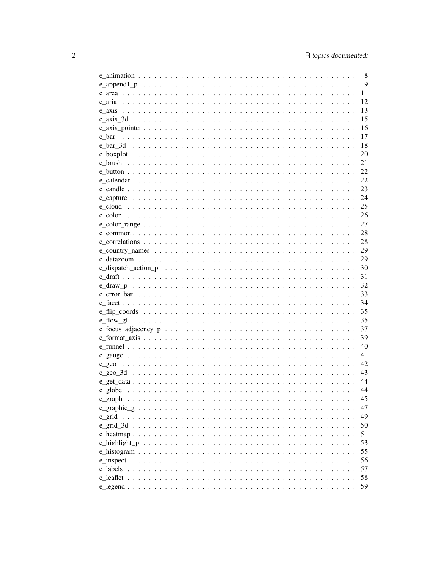|                                         | 8  |
|-----------------------------------------|----|
|                                         | 9  |
|                                         | 11 |
|                                         | 12 |
|                                         | 13 |
|                                         | 15 |
| $e_axis\_pointer$                       | 16 |
| e bar                                   | 17 |
|                                         | 18 |
|                                         | 20 |
|                                         | 21 |
|                                         | 22 |
|                                         | 22 |
|                                         | 23 |
|                                         | 24 |
|                                         | 25 |
|                                         | 26 |
|                                         | 27 |
|                                         | 28 |
|                                         | 28 |
|                                         |    |
|                                         | 29 |
|                                         | 29 |
|                                         | 30 |
|                                         | 31 |
|                                         | 32 |
|                                         | 33 |
|                                         | 34 |
|                                         | 35 |
|                                         | 35 |
|                                         | 37 |
|                                         | 39 |
|                                         | 40 |
|                                         | 41 |
|                                         | 42 |
|                                         | 43 |
|                                         | 44 |
|                                         | 44 |
| e graph                                 | 45 |
| $e$ _graphic_g.<br>$\ddot{\phantom{a}}$ | 47 |
| e grid                                  | 49 |
| e grid 3d                               | 50 |
|                                         | 51 |
|                                         | 53 |
|                                         | 55 |
| e_inspect                               | 56 |
| e labels                                | 57 |
| e leaflet                               | 58 |
|                                         | 59 |
|                                         |    |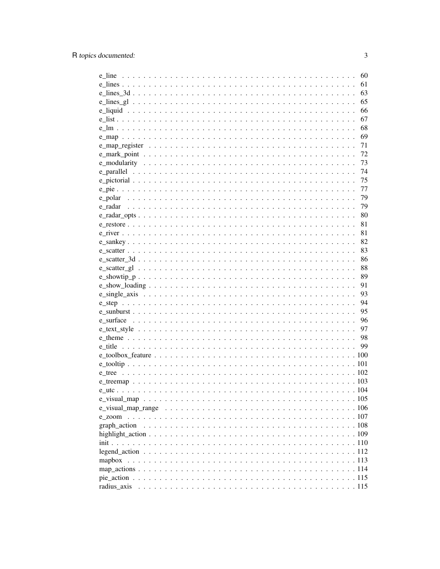|        | 60 |
|--------|----|
|        | 61 |
|        | 63 |
|        | 65 |
|        | 66 |
|        | 67 |
|        | 68 |
|        | 69 |
|        | 71 |
|        | 72 |
|        | 73 |
|        | 74 |
|        | 75 |
|        | 77 |
|        | 79 |
|        | 79 |
|        | 80 |
|        |    |
|        | 81 |
|        | 81 |
|        | 82 |
|        | 83 |
|        | 86 |
|        | 88 |
|        | 89 |
|        | 91 |
|        | 93 |
|        | 94 |
|        | 95 |
|        | 96 |
|        | 97 |
|        | 98 |
|        | 99 |
|        |    |
|        |    |
|        |    |
|        |    |
|        |    |
|        |    |
|        |    |
| e zoom |    |
|        |    |
|        |    |
|        |    |
|        |    |
| mapbox |    |
|        |    |
|        |    |
|        |    |
|        |    |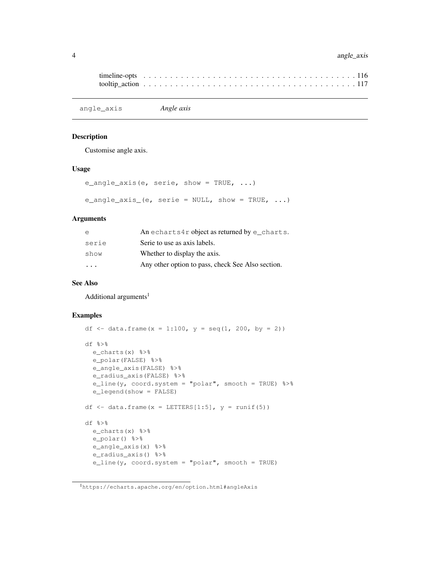## 4 angle\_axis

```
timeline-opts . . . . . . . . . . . . . . . . . . . . . . . . . . . . . . . . . . . . . . . . 116
tooltip_action . . . . . . . . . . . . . . . . . . . . . . . . . . . . . . . . . . . . . . . . 117
```
angle\_axis *Angle axis*

#### Description

Customise angle axis.

#### Usage

```
e_angle_axis(e, serie, show = TRUE, ...)
e_angle_axis_(e, serie = NULL, show = TRUE, \ldots)
```
#### Arguments

| e                       | An echarts4r object as returned by $e$ _charts.   |
|-------------------------|---------------------------------------------------|
| serie                   | Serie to use as axis labels.                      |
| show                    | Whether to display the axis.                      |
| $\cdot$ $\cdot$ $\cdot$ | Any other option to pass, check See Also section. |

#### See Also

Additional arguments $<sup>1</sup>$ </sup>

```
df <- data.frame(x = 1:100, y = \text{seq}(1, 200, \text{ by } = 2))
df %>%
  e_charts(x) %>%
  e_polar(FALSE) %>%
  e_angle_axis(FALSE) %>%
  e_radius_axis(FALSE) %>%
  e_line(y, coord.system = "polar", smooth = TRUE) %>%
  e_legend(show = FALSE)
df \leftarrow data.frame(x = LETTERS[1:5], y = runif(5))
df %>%
  e_charts(x) %>%
  e_polar() %>%
  e_angle_axis(x) %>%
  e_radius_axis() %>%
  e_line(y, coord.system = "polar", smooth = TRUE)
```
<sup>1</sup>https://echarts.apache.org/en/option.html#angleAxis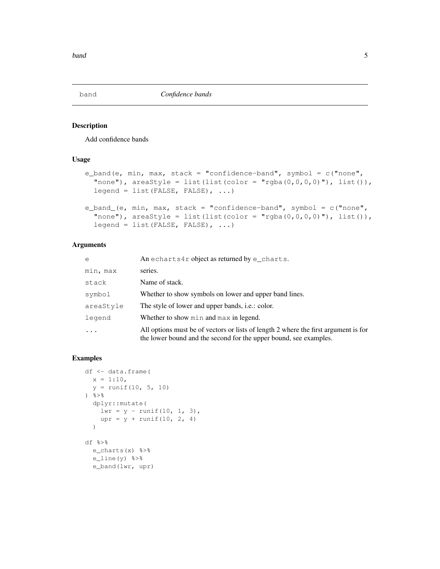## Description

Add confidence bands

#### Usage

```
e_band(e, min, max, stack = "confidence-band", symbol = c("none",
  "none"), areaStyle = list(list(color = "rgba(0,0,0,0,0"), list()),
  leqend = list(FALSE, FALSE), ...e_band_(e, min, max, stack = "confidence-band", symbol = c("none",
  "none"), areaStyle = list(list(color = "rgba(0, 0, 0, 0)"), list()),
  legend = list(FALSE, FALSE), ...
```
## Arguments

| $\epsilon$ | An echarts4r object as returned by e_charts.                                                                                                             |
|------------|----------------------------------------------------------------------------------------------------------------------------------------------------------|
| min, max   | series.                                                                                                                                                  |
| stack      | Name of stack.                                                                                                                                           |
| symbol     | Whether to show symbols on lower and upper band lines.                                                                                                   |
| areaStyle  | The style of lower and upper bands, <i>i.e.</i> : color.                                                                                                 |
| legend     | Whether to show min and max in legend.                                                                                                                   |
|            | All options must be of vectors or lists of length 2 where the first argument is for<br>the lower bound and the second for the upper bound, see examples. |

```
df <- data.frame(
  x = 1:10,y = runif(10, 5, 10)\frac{6}{3} > \frac{6}{3}dplyr::mutate(
   lwr = y - runif(10, 1, 3),upr = y + runif(10, 2, 4))
df %>%
  e_charts(x) %>%
  e_line(y) 8>8e_band(lwr, upr)
```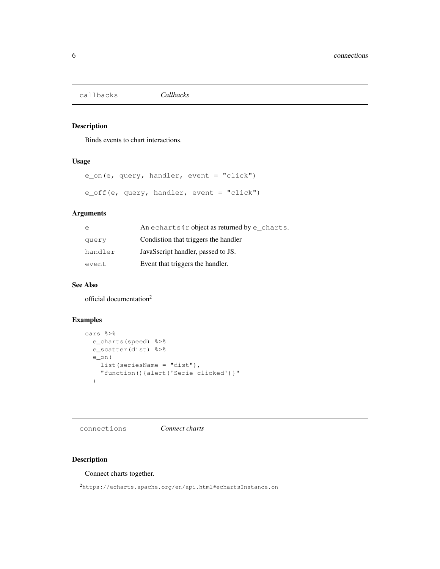callbacks *Callbacks*

## Description

Binds events to chart interactions.

#### Usage

```
e_on(e, query, handler, event = "click")
e_off(e, query, handler, event = "click")
```
# Arguments

| e       | An echarts4r object as returned by $e$ _charts. |
|---------|-------------------------------------------------|
| query   | Condistion that triggers the handler            |
| handler | JavaSscript handler, passed to JS.              |
| event   | Event that triggers the handler.                |

#### See Also

official documentation<sup>2</sup>

# Examples

```
cars %>%
 e_charts(speed) %>%
 e_scatter(dist) %>%
  e_on(
   list(seriesName = "dist"),
    "function(){alert('Serie clicked')}"
  )
```
connections *Connect charts*

# Description

Connect charts together.

<sup>2</sup>https://echarts.apache.org/en/api.html#echartsInstance.on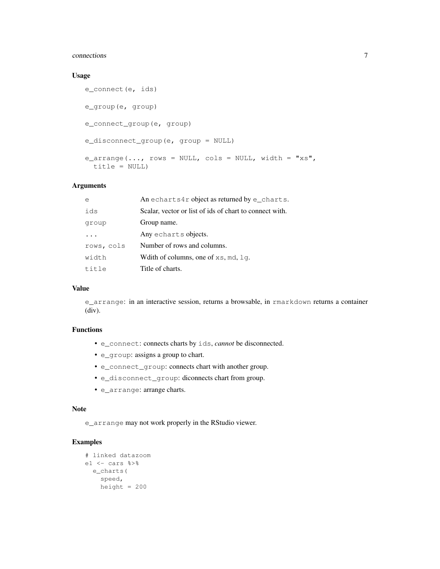#### connections 7

#### Usage

```
e_connect(e, ids)
e_group(e, group)
e_connect_group(e, group)
e_disconnect_group(e, group = NULL)
e_{\text{array}}(...,\text{rows} = \text{NULL}, \text{cols} = \text{NULL}, \text{width} = "xs",title = NULL)
```
#### Arguments

| e          | An echarts4r object as returned by $e$ _charts.         |
|------------|---------------------------------------------------------|
| ids        | Scalar, vector or list of ids of chart to connect with. |
| group      | Group name.                                             |
|            | Any echarts objects.                                    |
| rows, cols | Number of rows and columns.                             |
| width      | Whith of columns, one of $xs$ , md, $lq$ .              |
| title      | Title of charts.                                        |

#### Value

e\_arrange: in an interactive session, returns a browsable, in rmarkdown returns a container (div).

## Functions

- e\_connect: connects charts by ids, *cannot* be disconnected.
- e\_group: assigns a group to chart.
- e\_connect\_group: connects chart with another group.
- e\_disconnect\_group: diconnects chart from group.
- e\_arrange: arrange charts.

#### Note

e\_arrange may not work properly in the RStudio viewer.

```
# linked datazoom
e1 <- cars %>%
 e_charts(
   speed,
   height = 200
```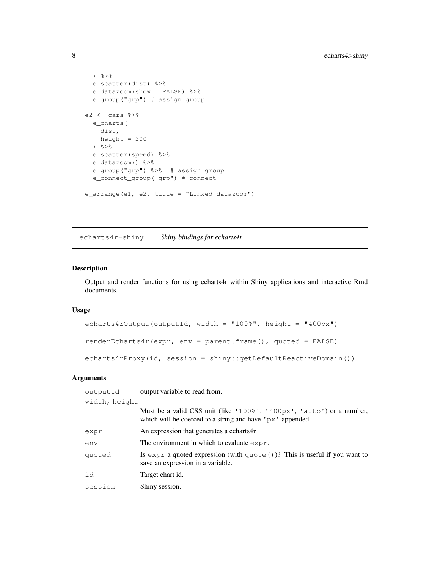```
\frac{6}{3}e_scatter(dist) %>%
  e_datazoom(show = FALSE) %>%
  e_group("grp") # assign group
e2 \leftarrow cars e\e_charts(
    dist,
   height = 200\frac{6}{6} > \frac{6}{6}e_scatter(speed) %>%
  e_datazoom() %>%
  e_group("grp") %>% # assign group
  e_connect_group("grp") # connect
e_arrange(e1, e2, title = "Linked datazoom")
```
echarts4r-shiny *Shiny bindings for echarts4r*

#### Description

Output and render functions for using echarts4r within Shiny applications and interactive Rmd documents.

#### Usage

```
echarts4rOutput(outputId, width = "100%", height = "400px")
renderEcharts4r(expr, env = parent.frame(), quoted = FALSE)
echarts4rProxy(id, session = shiny::getDefaultReactiveDomain())
```
#### Arguments

| outputId      | output variable to read from.                                                                                                                  |
|---------------|------------------------------------------------------------------------------------------------------------------------------------------------|
| width, height |                                                                                                                                                |
|               | Must be a valid CSS unit (like '100%', '400px', 'auto') or a number,<br>which will be coerced to a string and have $\gamma$ $\alpha$ appended. |
| expr          | An expression that generates a echarts4r                                                                                                       |
| env           | The environment in which to evaluate $\exp r$ .                                                                                                |
| quoted        | Is expr a quoted expression (with quote $()$ )? This is useful if you want to<br>save an expression in a variable.                             |
| id            | Target chart id.                                                                                                                               |
| session       | Shiny session.                                                                                                                                 |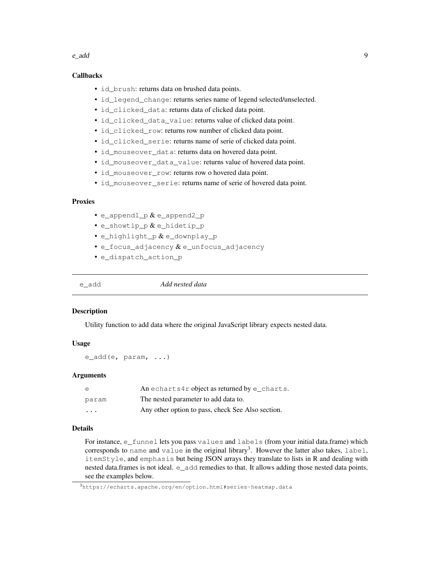#### e\_add 9

#### Callbacks

- id brush: returns data on brushed data points.
- id legend change: returns series name of legend selected/unselected.
- id\_clicked\_data: returns data of clicked data point.
- id\_clicked\_data\_value: returns value of clicked data point.
- id\_clicked\_row: returns row number of clicked data point.
- id\_clicked\_serie: returns name of serie of clicked data point.
- id mouseover data: returns data on hovered data point.
- id\_mouseover\_data\_value: returns value of hovered data point.
- id\_mouseover\_row: returns row o hovered data point.
- id mouseover serie: returns name of serie of hovered data point.

## Proxies

- e\_append1\_p  $\&$  e\_append2\_p
- e\_showtip\_p & e\_hidetip\_p
- e\_highlight\_p & e\_downplay\_p
- e\_focus\_adjacency & e\_unfocus\_adjacency
- e\_dispatch\_action\_p

e\_add *Add nested data*

#### **Description**

Utility function to add data where the original JavaScript library expects nested data.

#### Usage

e\_add(e, param, ...)

#### Arguments

| e                       | An echarts4r object as returned by $e$ _charts.   |
|-------------------------|---------------------------------------------------|
| param                   | The nested parameter to add data to.              |
| $\cdot$ $\cdot$ $\cdot$ | Any other option to pass, check See Also section. |

#### Details

For instance, e\_funnel lets you pass values and labels (from your initial data.frame) which corresponds to name and value in the original library<sup>3</sup>. However the latter also takes, label, itemStyle, and emphasis but being JSON arrays they translate to lists in R and dealing with nested data.frames is not ideal. e\_add remedies to that. It allows adding those nested data points, see the examples below.

<sup>3</sup>https://echarts.apache.org/en/option.html#series-heatmap.data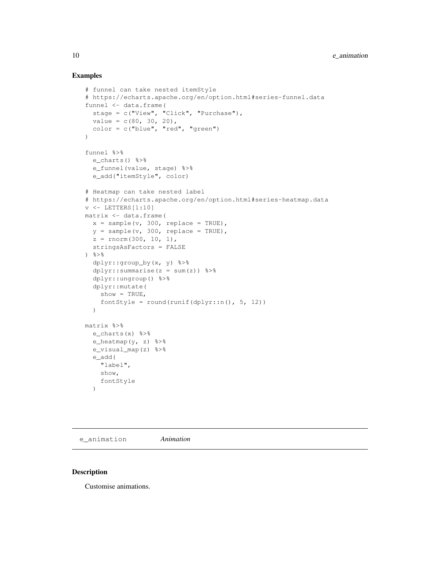#### Examples

```
# funnel can take nested itemStyle
# https://echarts.apache.org/en/option.html#series-funnel.data
funnel <- data.frame(
  stage = c("View", "Click", "Purchase"),
  value = c(80, 30, 20),
  color = c("blue", "red", "green")
)
funnel %>%
 e_charts() %>%
  e_funnel(value, stage) %>%
  e_add("itemStyle", color)
# Heatmap can take nested label
# https://echarts.apache.org/en/option.html#series-heatmap.data
v <- LETTERS[1:10]
matrix <- data.frame(
  x = sample(v, 300, replace = TRUE),
  y = sample(v, 300, replace = TRUE),
  z = rnorm(300, 10, 1),stringsAsFactors = FALSE
\frac{6}{6}dplyr::group_by(x, y) %>%
  dplyr::summarise(z = sum(z)) %>%
  dplyr::ungroup() %>%
  dplyr::mutate(
   show = TRUE,
    fontStyle = round(runif(dplyr::n(), 5, 12))
  )
matrix %>%
  e_charts(x) %>%
  e_heatmap(y, z) 3>8e_visual_map(z) %>%
  e_add(
    "label",
    show,
    fontStyle
  )
```
e\_animation *Animation*

#### Description

Customise animations.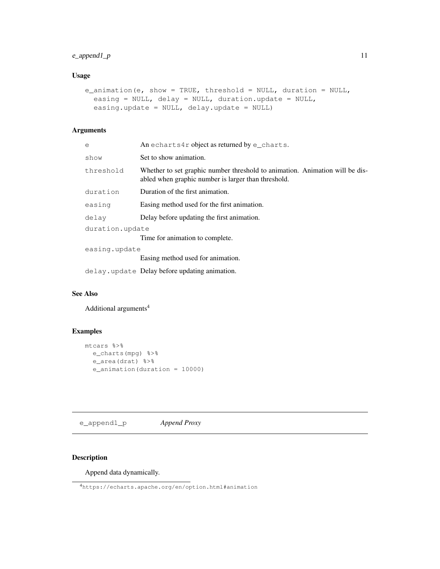## $e$ <sub>2</sub> append<sub>1</sub> p 11

# Usage

```
e_animation(e, show = TRUE, threshold = NULL, duration = NULL,
  easing = NULL, delay = NULL, duration.update = NULL,
  easing.update = NULL, delay.update = NULL)
```
# Arguments

| e               | An echarts4r object as returned by $e$ _charts.                                                                                     |  |
|-----------------|-------------------------------------------------------------------------------------------------------------------------------------|--|
| show            | Set to show animation.                                                                                                              |  |
| threshold       | Whether to set graphic number threshold to animation. Animation will be dis-<br>abled when graphic number is larger than threshold. |  |
| duration        | Duration of the first animation.                                                                                                    |  |
| easing          | Easing method used for the first animation.                                                                                         |  |
| delay           | Delay before updating the first animation.                                                                                          |  |
| duration.update |                                                                                                                                     |  |
|                 | Time for animation to complete.                                                                                                     |  |
| easing.update   |                                                                                                                                     |  |
|                 | Easing method used for animation.                                                                                                   |  |
|                 | delay.update Delay before updating animation.                                                                                       |  |

# See Also

Additional arguments<sup>4</sup>

# Examples

```
mtcars %>%
 e_charts(mpg) %>%
  e_area(drat) %>%
  e_animation(duration = 10000)
```
e\_append1\_p *Append Proxy*

## Description

Append data dynamically.

<sup>4</sup>https://echarts.apache.org/en/option.html#animation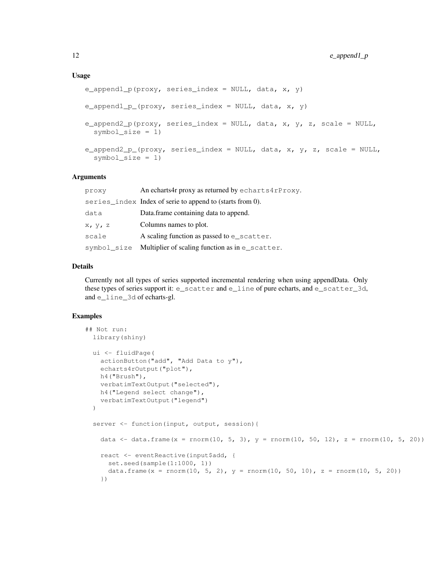```
e_append1_p(proxy, series_index = NULL, data, x, y)
e_append1_p_(proxy, series_index = NULL, data, x, y)
e_append2_p(proxy, series_index = NULL, data, x, y, z, scale = NULL,
  symbol size = 1)
e_append2_p_(proxy, series_index = NULL, data, x, y, z, scale = NULL,
  symbol_size = 1)
```
#### **Arguments**

| proxy       | An echarts4r proxy as returned by echarts4rProxy.         |
|-------------|-----------------------------------------------------------|
|             | series_index Index of serie to append to (starts from 0). |
| data        | Data.frame containing data to append.                     |
| X, V, Z     | Columns names to plot.                                    |
| scale       | A scaling function as passed to e_scatter.                |
| symbol size | Multiplier of scaling function as in e_scatter.           |

#### Details

Currently not all types of series supported incremental rendering when using appendData. Only these types of series support it: e\_scatter and e\_line of pure echarts, and e\_scatter\_3d, and e\_line\_3d of echarts-gl.

```
## Not run:
 library(shiny)
 ui <- fluidPage(
   actionButton("add", "Add Data to y"),
   echarts4rOutput("plot"),
   h4("Brush"),
   verbatimTextOutput("selected"),
   h4("Legend select change"),
   verbatimTextOutput("legend")
 )
 server <- function(input, output, session){
   data \le - data.frame(x = rnorm(10, 5, 3), y = rnorm(10, 50, 12), z = rnorm(10, 5, 20))
   react <- eventReactive(input$add, {
     set.seed(sample(1:1000, 1))
     data.frame(x = rnorm(10, 5, 2), y = rnorm(10, 50, 10), z = rnorm(10, 5, 20))
   })
```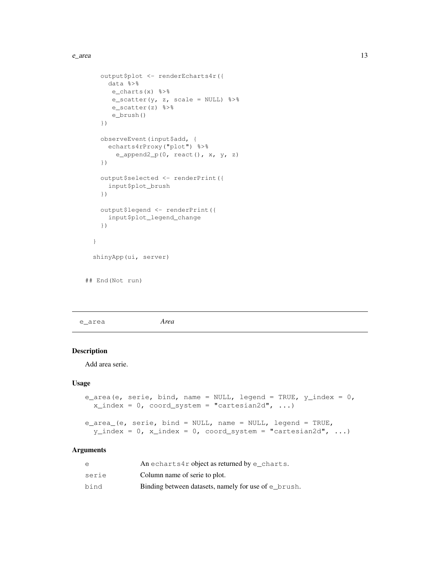```
output$plot <- renderEcharts4r({
     data %>%
      e_charts(x) %>%
      e_scatter(y, z, scale = NULL) 3>8e_scatter(z) %>%
      e_brush()
   })
   observeEvent(input$add, {
     echarts4rProxy("plot") %>%
       e_append2_p(0, react(), x, y, z)
   })
   output$selected <- renderPrint({
     input$plot_brush
   })
   output$legend <- renderPrint({
     input$plot_legend_change
   })
 }
 shinyApp(ui, server)
## End(Not run)
```
e\_area *Area*

## Description

Add area serie.

## Usage

```
e_area(e, serie, bind, name = NULL, legend = TRUE, y_index = 0,
  x\_index = 0, coord_system = "cartesian2d", ...)
e_area_(e, serie, bind = NULL, name = NULL, legend = TRUE,
 y\_index = 0, x\_index = 0, coord_system = "cartesian2d", ...)
```
## Arguments

| e     | An echarts4r object as returned by e charts.         |
|-------|------------------------------------------------------|
| serie | Column name of serie to plot.                        |
| bind  | Binding between datasets, namely for use of e_brush. |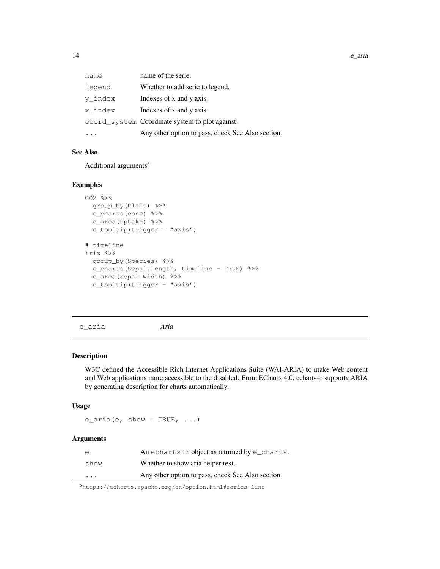| name    | name of the serie.                                |
|---------|---------------------------------------------------|
| legend  | Whether to add serie to legend.                   |
| y index | Indexes of x and y axis.                          |
| x index | Indexes of x and y axis.                          |
|         | coord_system Coordinate system to plot against.   |
|         | Any other option to pass, check See Also section. |

## See Also

Additional arguments<sup>5</sup>

## Examples

```
CO2 % >group_by(Plant) %>%
 e_charts(conc) %>%
 e_area(uptake) %>%
  e_tooltip(trigger = "axis")
# timeline
iris %>%
  group_by(Species) %>%
  e_charts(Sepal.Length, timeline = TRUE) %>%
  e_area(Sepal.Width) %>%
  e_tooltip(trigger = "axis")
```
e\_aria *Aria*

#### Description

W3C defined the Accessible Rich Internet Applications Suite (WAI-ARIA) to make Web content and Web applications more accessible to the disabled. From ECharts 4.0, echarts4r supports ARIA by generating description for charts automatically.

#### Usage

 $e_{airia}(e, show = TRUE, ...)$ 

## Arguments

|                         | An echarts4r object as returned by $e$ _charts.   |
|-------------------------|---------------------------------------------------|
| show                    | Whether to show aria helper text.                 |
| $\cdot$ $\cdot$ $\cdot$ | Any other option to pass, check See Also section. |

<sup>5</sup>https://echarts.apache.org/en/option.html#series-line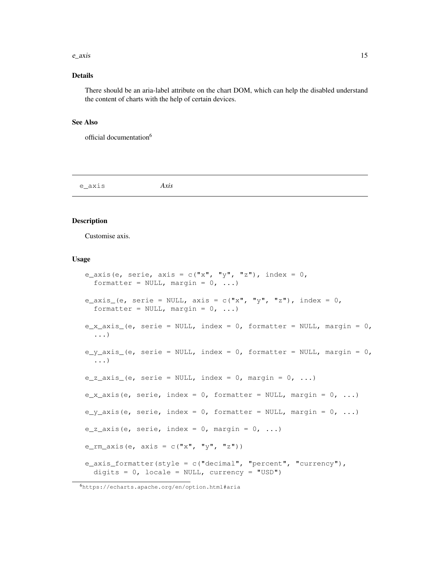#### $e_{a}$ axis 15

## Details

There should be an aria-label attribute on the chart DOM, which can help the disabled understand the content of charts with the help of certain devices.

#### See Also

official documentation<sup>6</sup>

e\_axis *Axis*

## Description

Customise axis.

#### Usage

```
e_axis(e, serie, axis = c("x", "y", "z"), index = 0,formatter = NULL, margin = 0, ...)
e_axis_(e, serie = NULL, axis = c("x", "y", "z"), index = 0,
  formatter = NULL, margin = 0, ...)
e_x = x_0 + x_0 (e, serie = NULL, index = 0, formatter = NULL, margin = 0,
  ...)
e_y_axis_(e, serie = NULL, index = 0, formatter = NULL, margin = 0,
  ...)
e_z_axis_(e, serie = NULL, index = 0, margin = 0, ...)
e_x_axis(e, serie, index = 0, formatter = NULL, margin = 0, ...)
e_y_axis(e, serie, index = 0, formatter = NULL, margin = 0, ...)
e_z_axis(e, serie, index = 0, margin = 0, ...)
e_rm_axis(e, axis = c("x", "y", "z"))
e_{axis} formatter(style = c("decimal", "percent", "currency"),
  digits = 0, locale = NULL, currency = "USD")
```
<sup>6</sup>https://echarts.apache.org/en/option.html#aria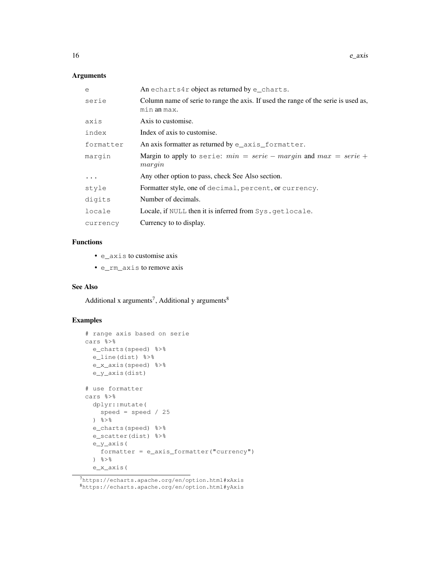## Arguments

| An echarts4r object as returned by $e$ _charts.                                                   |
|---------------------------------------------------------------------------------------------------|
| Column name of serie to range the axis. If used the range of the serie is used as,<br>min an max. |
| Axis to customise.                                                                                |
| Index of axis to customise.                                                                       |
| An axis formatter as returned by e_axis_formatter.                                                |
| Margin to apply to serie: $min = serie - margin$ and $max = serie +$<br>margin                    |
| Any other option to pass, check See Also section.                                                 |
| Formatter style, one of decimal, percent, or currency.                                            |
| Number of decimals.                                                                               |
| Locale, if NULL then it is inferred from Sys.getlocale.                                           |
| Currency to to display.                                                                           |
|                                                                                                   |

# Functions

- e\_axis to customise axis
- e\_rm\_axis to remove axis

## See Also

Additional x arguments<sup>7</sup>, Additional y arguments<sup>8</sup>

```
# range axis based on serie
cars %>%
 e_charts(speed) %>%
 e_line(dist) %>%
 e_x_axis(speed) %>%
  e_y_axis(dist)
# use formatter
cars %>%
 dplyr::mutate(
    speed = speed / 25\frac{8}{6}e_charts(speed) %>%
  e_scatter(dist) %>%
  e_y_axis(
    formatter = e_axis_formatter("currency")
  \frac{6}{3} > \frac{6}{6}e_x_axis(
```
<sup>7</sup>https://echarts.apache.org/en/option.html#xAxis <sup>8</sup>https://echarts.apache.org/en/option.html#yAxis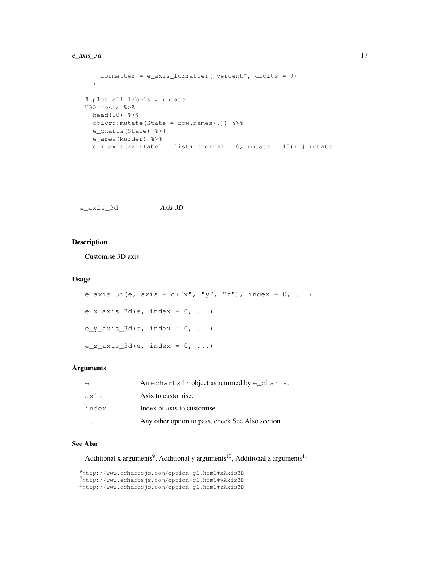## $e_{\text{axis}\_3d}$  17

```
formatter = e_{axis} formatter ("percent", digits = 0)
  )
# plot all labels & rotate
USArrests %>%
 head(10) %>%
 dplyr::mutate(State = row.names(.)) %>%
  e_charts(State) %>%
  e_area(Murder) %>%
  e_x_axis(axisLabel = list(interval = 0, rotate = 45)) # rotate
```
e\_axis\_3d *Axis 3D*

#### Description

Customise 3D axis.

#### Usage

```
e_axis_3d(e, axis = c("x", "y", "z"), index = 0, ...)
e_x_axis_3d(e, index = 0, ...)e_y_axis_3d(e, index = 0, ...)e_z_axis_3d(e, index = 0, ...)
```
## Arguments

| $\epsilon$ | An echarts4r object as returned by $e$ _charts.   |
|------------|---------------------------------------------------|
| axis       | Axis to customise.                                |
| index      | Index of axis to customise.                       |
|            | Any other option to pass, check See Also section. |

#### See Also

Additional x arguments<sup>9</sup>, Additional y arguments<sup>10</sup>, Additional z arguments<sup>11</sup>

<sup>9</sup>http://www.echartsjs.com/option-gl.html#xAxis3D

<sup>10</sup>http://www.echartsjs.com/option-gl.html#yAxis3D

<sup>11</sup>http://www.echartsjs.com/option-gl.html#zAxis3D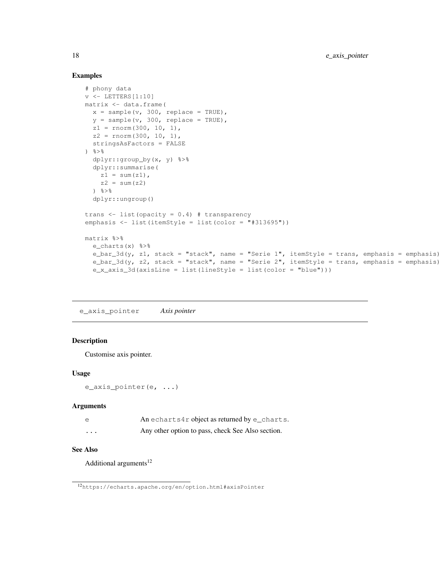#### Examples

```
# phony data
v \leftarrow LETTERS [1:10]matrix <- data.frame(
 x = sample(v, 300, replace = TRUE),
  y = sample(v, 300, replace = TRUE),
  z1 = \text{norm}(300, 10, 1),z2 = rnorm(300, 10, 1),
  stringsAsFactors = FALSE
\frac{6}{3} > \frac{6}{3}dplyr::group_by(x, y) %>%
  dplyr::summarise(
    z1 = sum(z1),
    z^2 = sum(z2)
  \frac{6}{3} > \frac{6}{6}dplyr::ungroup()
trans <- list(opacity = 0.4) # transparency
emphasis <- list(itemStyle = list(color = "#313695"))
matrix %>%
  e_charts(x) %>%
  e_bar_3d(y, z1, stack = "stack", name = "Serie 1", itemStyle = trans, emphasis = emphasis)
  e_bar_3d(y, z2, stack = "stack", name = "Serie 2", itemStyle = trans, emphasis = emphasis)
  e_x_axis_3d(axisLine = list(lineStyle = list(color = "blue")))
```
e\_axis\_pointer *Axis pointer*

#### **Description**

Customise axis pointer.

#### Usage

```
e_axis_pointer(e, ...)
```
#### Arguments

|  | An echarts4r object as returned by e_charts. |  |
|--|----------------------------------------------|--|
|  |                                              |  |

... Any other option to pass, check See Also section.

# See Also

Additional arguments $12$ 

<sup>12</sup>https://echarts.apache.org/en/option.html#axisPointer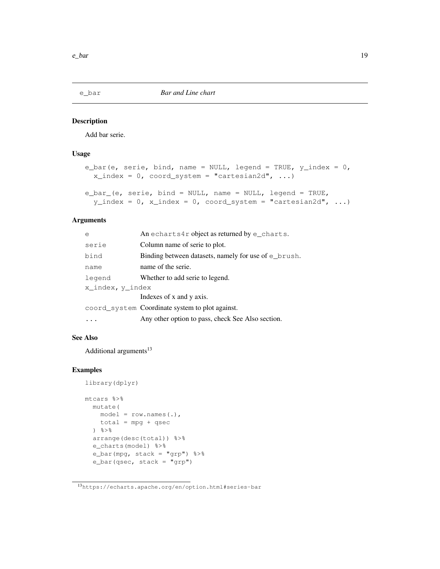#### Description

Add bar serie.

## Usage

```
e_bar(e, serie, bind, name = NULL, legend = TRUE, y_index = 0,
  x\_index = 0, coord_system = "cartesian2d", ...)
e_bar_(e, serie, bind = NULL, name = NULL, legend = TRUE,
  y\_index = 0, x\_index = 0, coord_system = "cartesian2d", ...)
```
#### Arguments

| e                | An echarts4r object as returned by $e$ _charts.          |
|------------------|----------------------------------------------------------|
| serie            | Column name of serie to plot.                            |
| bind             | Binding between datasets, namely for use of $\in$ brush. |
| name             | name of the serie.                                       |
| legend           | Whether to add serie to legend.                          |
| x index, y index |                                                          |
|                  | Indexes of x and y axis.                                 |
|                  | coord_system Coordinate system to plot against.          |
|                  | Any other option to pass, check See Also section.        |

#### See Also

Additional arguments $13$ 

```
library(dplyr)
mtcars %>%
 mutate(
   model = row.names(.),
   total = mpg + qsec
  ) %>%
  arrange(desc(total)) %>%
  e_charts(model) %>%
  e_bar(mpg, stack = "grp") %>%
  e_bar(qsec, stack = "grp")
```
<sup>13</sup>https://echarts.apache.org/en/option.html#series-bar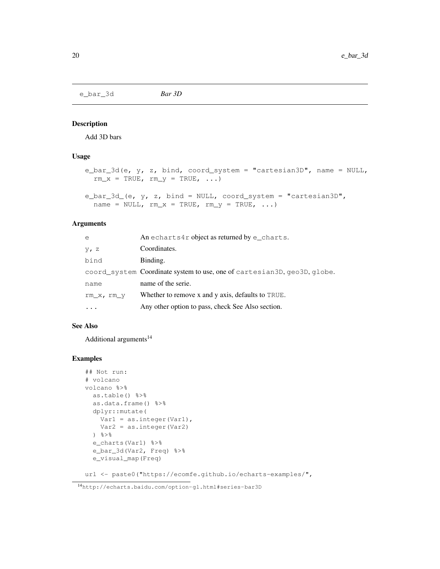e\_bar\_3d *Bar 3D*

#### Description

Add 3D bars

#### Usage

```
e_bar_3d(e, y, z, bind, coord_system = "cartesian3D", name = NULL,
  rm\_x = TRUE, rm\_y = TRUE, \ldots)
e_bar_3d_(e, y, z, bind = NULL, coord_system = "cartesian3D",
```

```
name = NULL, rm_x = TRUE, rm_y = TRUE, ...
```
#### Arguments

| e          | An echarts4r object as returned by $e$ _charts.                          |
|------------|--------------------------------------------------------------------------|
| $y$ , z    | Coordinates.                                                             |
| bind       | Binding.                                                                 |
|            | coord_system Coordinate system to use, one of cartesian3D, geo3D, globe. |
| name       | name of the serie.                                                       |
| rm x, rm y | Whether to remove x and y axis, defaults to TRUE.                        |
|            | Any other option to pass, check See Also section.                        |

#### See Also

Additional arguments<sup>14</sup>

#### Examples

```
## Not run:
# volcano
volcano %>%
 as.table() %>%
  as.data.frame() %>%
  dplyr::mutate(
    Var1 = as.integer(Var1),
   Var2 = as.integer(Var2)
  \frac{6}{3} > \frac{6}{6}e_charts(Var1) %>%
  e_bar_3d(Var2, Freq) %>%
  e_visual_map(Freq)
```
url <- paste0("https://ecomfe.github.io/echarts-examples/",

<sup>14</sup>http://echarts.baidu.com/option-gl.html#series-bar3D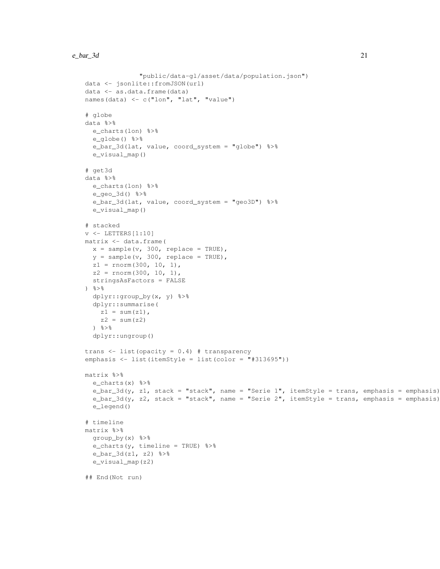```
"public/data-gl/asset/data/population.json")
data <- jsonlite::fromJSON(url)
data <- as.data.frame(data)
names(data) <- c("lon", "lat", "value")
# globe
data %>%
 e_charts(lon) %>%
  e_globe() %>%
  e_bar_3d(lat, value, coord_system = "globe") %>%
  e_visual_map()
# get3d
data %>%
  e_charts(lon) %>%
  e_geo_3d() %>%
  e_bar_3d(lat, value, coord_system = "geo3D") %>%
  e_visual_map()
# stacked
v \leftarrow LETTERS[1:10]matrix <- data.frame(
  x = sample(v, 300, replace = TRUE),
  y = sample(v, 300, replace = TRUE),
  z1 = rnorm(300, 10, 1),
  z2 = rnorm(300, 10, 1),stringsAsFactors = FALSE
) %>%
  dplyr::group_by(x, y) %>%
  dplyr::summarise(
    z1 = sum(z1),
    z2 = sum(z2)\frac{6}{3} > \frac{6}{3}dplyr::ungroup()
trans <- list(opacity = 0.4) # transparency
emphasis \le list(itemStyle = list(color = "#313695"))
matrix %>%
  e_charts(x) %>%
  e_{\text{bar}} 3d(y, z1, stack = "stack", name = "Serie 1", itemStyle = trans, emphasis = emphasis)
  e_{\text{bar}} 3d(y, z2, stack = "stack", name = "Serie 2", itemStyle = trans, emphasis = emphasis)
  e_legend()
# timeline
matrix %>%
  group_by(x) %>%
  e_charts(y, timeline = TRUE) 8>8e_bar_3d(z1, z2) %>%
  e_visual_map(z2)
## End(Not run)
```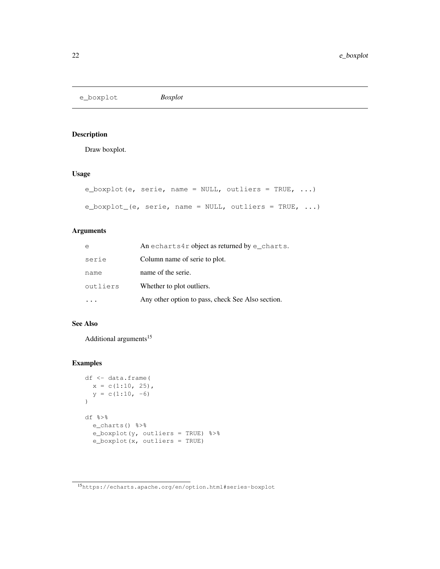e\_boxplot *Boxplot*

## Description

Draw boxplot.

# Usage

```
e_boxplot(e, serie, name = NULL, outliers = TRUE, ...)
e_boxplot_(e, serie, name = NULL, outliers = TRUE, \ldots)
```
## Arguments

| e        | An echarts4r object as returned by $e$ _charts.   |
|----------|---------------------------------------------------|
| serie    | Column name of serie to plot.                     |
| name     | name of the serie.                                |
| outliers | Whether to plot outliers.                         |
|          | Any other option to pass, check See Also section. |

## See Also

Additional arguments<sup>15</sup>

```
df <- data.frame(
 x = c(1:10, 25),
  y = c(1:10, -6))
df %>%
  e_charts() %>%
  e_boxplot(y, outliers = TRUE) %>%
  e_boxplot(x, outliers = TRUE)
```
<sup>15</sup>https://echarts.apache.org/en/option.html#series-boxplot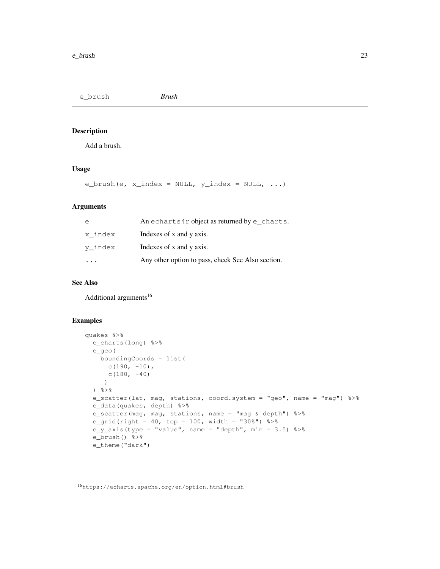e\_brush *Brush*

## Description

Add a brush.

#### Usage

e\_brush(e, x\_index = NULL,  $y$ \_index = NULL, ...)

#### Arguments

| e                    | An echarts4r object as returned by e_charts.      |
|----------------------|---------------------------------------------------|
| x index              | Indexes of x and y axis.                          |
| y index              | Indexes of x and y axis.                          |
| $\sim$ $\sim$ $\sim$ | Any other option to pass, check See Also section. |

#### See Also

Additional arguments<sup>16</sup>

```
quakes %>%
 e_charts(long) %>%
  e_geo(
   boundingCoords = list(
     c(190, -10),
     c(180, -40)
     )
  ) \frac{6}{6} > \frac{6}{6}e_scatter(lat, mag, stations, coord.system = "geo", name = "mag") %>%
  e_data(quakes, depth) %>%
  e_scatter(mag, mag, stations, name = "mag & depth") %>%
  e_grid(right = 40, top = 100, width = "30%") %>%
  e_y_axis(type = "value", name = "depth", min = 3.5) %>%
  e_brush() %>%
  e_theme("dark")
```
<sup>16</sup>https://echarts.apache.org/en/option.html#brush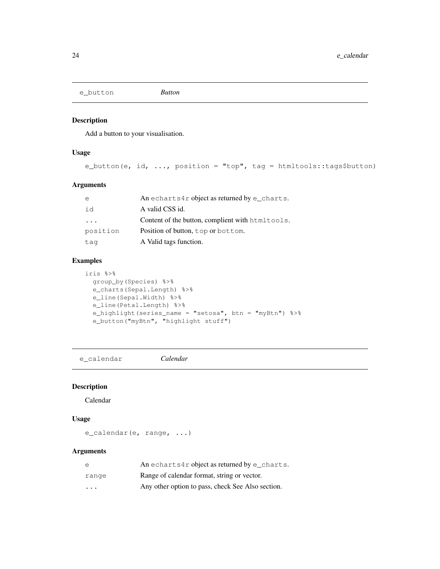e\_button *Button*

#### Description

Add a button to your visualisation.

#### Usage

e\_button(e, id, ..., position = "top", tag = htmltools::tags\$button)

## Arguments

| e                       | An echarts4r object as returned by e_charts.     |
|-------------------------|--------------------------------------------------|
| id                      | A valid CSS id.                                  |
| $\cdot$ $\cdot$ $\cdot$ | Content of the button, complient with htmltools. |
| position                | Position of button, top or bottom.               |
| tag                     | A Valid tags function.                           |

# Examples

```
iris %>%
 group_by(Species) %>%
 e_charts(Sepal.Length) %>%
 e_line(Sepal.Width) %>%
  e_line(Petal.Length) %>%
  e_highlight(series_name = "setosa", btn = "myBtn") %>%
  e_button("myBtn", "highlight stuff")
```
e\_calendar *Calendar*

#### Description

Calendar

## Usage

e\_calendar(e, range, ...)

#### Arguments

| e                       | An echarts4r object as returned by $e$ _charts.   |
|-------------------------|---------------------------------------------------|
| range                   | Range of calendar format, string or vector.       |
| $\cdot$ $\cdot$ $\cdot$ | Any other option to pass, check See Also section. |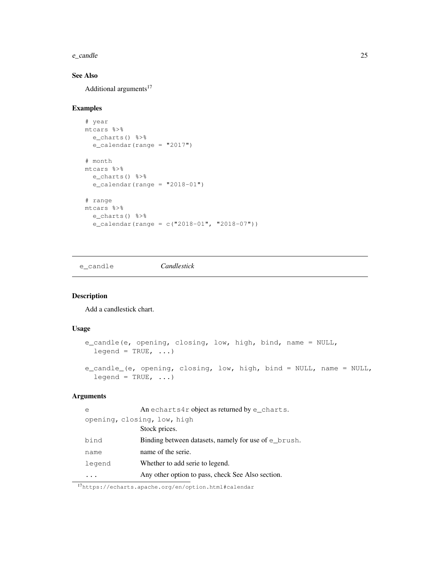#### e\_candle 25

# See Also

Additional arguments<sup>17</sup>

#### Examples

```
# year
mtcars %>%
 e_charts() %>%
 e_calendar(range = "2017")
# month
mtcars %>%
 e_charts() %>%
  e_calendar(range = "2018-01")
# range
mtcars %>%
  e_charts() %>%
  e_calendar(range = c("2018-01", "2018-07"))
```
e\_candle *Candlestick*

# Description

Add a candlestick chart.

#### Usage

```
e_candle(e, opening, closing, low, high, bind, name = NULL,
  legend = TRUE, ...e_candle_(e, opening, closing, low, high, bind = NULL, name = NULL,
  leqend = TRUE, ...
```
## Arguments

| е                           | An echarts4r object as returned by $e$ _charts.          |
|-----------------------------|----------------------------------------------------------|
| opening, closing, low, high |                                                          |
|                             | Stock prices.                                            |
| bind                        | Binding between datasets, namely for use of $\in$ brush. |
| name                        | name of the serie.                                       |
| legend                      | Whether to add serie to legend.                          |
|                             | Any other option to pass, check See Also section.        |

<sup>17</sup>https://echarts.apache.org/en/option.html#calendar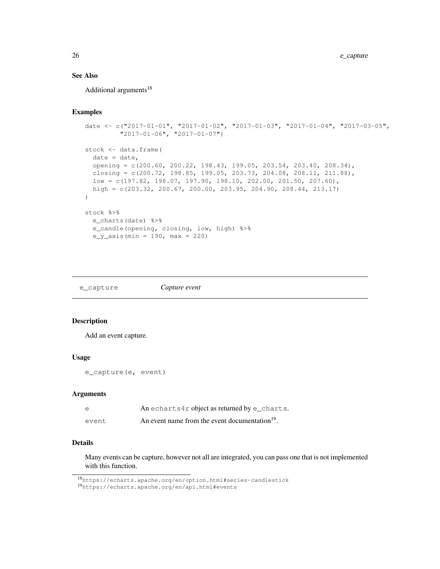## See Also

Additional arguments<sup>18</sup>

#### Examples

```
date <- c("2017-01-01", "2017-01-02", "2017-01-03", "2017-01-04", "2017-03-05",
         "2017-01-06", "2017-01-07")
stock <- data.frame(
 date = date,opening = c(200.60, 200.22, 198.43, 199.05, 203.54, 203.40, 208.34),
 closing = c(200.72, 198.85, 199.05, 203.73, 204.08, 208.11, 211.88),
 low = c(197.82, 198.07, 197.90, 198.10, 202.00, 201.50, 207.60),
 high = c(203.32, 200.67, 200.00, 203.95, 204.90, 208.44, 213.17)
)
stock %>%
 e_charts(date) %>%
 e_candle(opening, closing, low, high) %>%
 e_y_axis(min = 190, max = 220)
```

| Capture event<br>e_capture |  |
|----------------------------|--|
|----------------------------|--|

#### Description

Add an event capture.

#### Usage

```
e_capture(e, event)
```
#### Arguments

| e     | An echarts4r object as returned by e_charts.               |
|-------|------------------------------------------------------------|
| event | An event name from the event documentation <sup>19</sup> . |

# Details

Many events can be capture, however not all are integrated, you can pass one that is not implemented with this function.

<sup>18</sup>https://echarts.apache.org/en/option.html#series-candlestick

<sup>19</sup>https://echarts.apache.org/en/api.html#events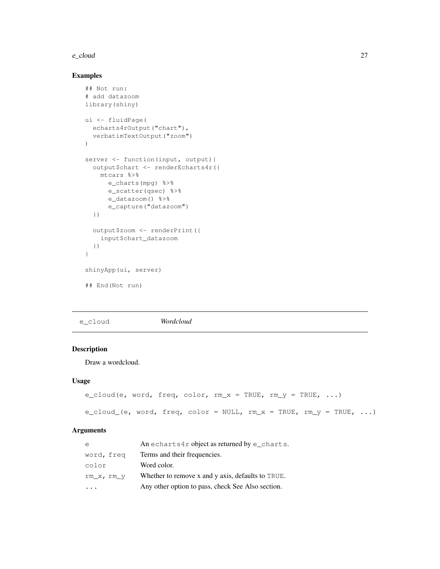#### e\_cloud 27

## Examples

```
## Not run:
# add datazoom
library(shiny)
ui <- fluidPage(
  echarts4rOutput("chart"),
  verbatimTextOutput("zoom")
)
server <- function(input, output){
 output$chart <- renderEcharts4r({
   mtcars %>%
     e_charts(mpg) %>%
     e_scatter(qsec) %>%
      e_datazoom() %>%
      e_capture("datazoom")
  })
  output$zoom <- renderPrint({
    input$chart_datazoom
  })
}
shinyApp(ui, server)
## End(Not run)
```
e\_cloud *Wordcloud*

# Description

Draw a wordcloud.

#### Usage

```
e_cloud(e, word, freq, color, rm_x = TRUE, rm_y = TRUE, ...)
e_cloud_(e, word, freq, color = NULL, rm_x = TRUE, rm_y = TRUE, ...)
```
#### Arguments

| e          | An echarts4r object as returned by $e$ _charts.   |
|------------|---------------------------------------------------|
| word, freg | Terms and their frequencies.                      |
| color      | Word color.                                       |
| rm x, rm y | Whether to remove x and y axis, defaults to TRUE. |
| $\ddots$   | Any other option to pass, check See Also section. |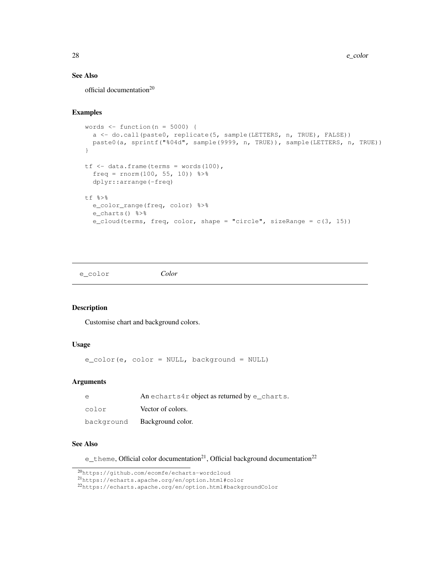## See Also

official documentation<sup>20</sup>

#### Examples

```
words \leftarrow function (n = 5000) {
  a <- do.call(paste0, replicate(5, sample(LETTERS, n, TRUE), FALSE))
 paste0(a, sprintf("%04d", sample(9999, n, TRUE)), sample(LETTERS, n, TRUE))
}
tf <- data.frame(terms = words(100),
  freq = rnorm(100, 55, 10) %>%
  dplyr::arrange(-freq)
tf %>%
  e_color_range(freq, color) %>%
  e_charts() %>%
  e_cloud(terms, freq, color, shape = "circle", sizeRange = c(3, 15))
```
e\_color *Color*

#### Description

Customise chart and background colors.

#### Usage

e\_color(e, color = NULL, background = NULL)

#### Arguments

| e          | An echarts4r object as returned by $e$ _charts. |
|------------|-------------------------------------------------|
| color      | Vector of colors.                               |
| background | Background color.                               |

## See Also

e\_theme, Official color documentation<sup>21</sup>, Official background documentation<sup>22</sup>

<sup>20</sup>https://github.com/ecomfe/echarts-wordcloud

<sup>21</sup>https://echarts.apache.org/en/option.html#color

<sup>22</sup>https://echarts.apache.org/en/option.html#backgroundColor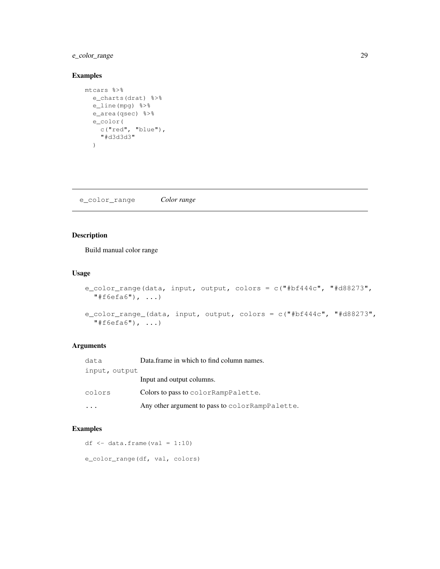## e\_color\_range 29

#### Examples

```
mtcars %>%
 e_charts(drat) %>%
 e_line(mpg) %>%
 e_area(qsec) %>%
  e_color(
   c("red", "blue"),
    "#d3d3d3"
  )
```
e\_color\_range *Color range*

## Description

Build manual color range

#### Usage

```
e_color_range(data, input, output, colors = c("#bf444c", "#d88273",
  "#f6efa6", ...)
e_color_range_(data, input, output, colors = c("#bf444c", "#d88273",
  "#f6efa6", ...)
```
## Arguments

| data          | Data.frame in which to find column names.        |
|---------------|--------------------------------------------------|
| input, output |                                                  |
|               | Input and output columns.                        |
| colors        | Colors to pass to color RampPalette.             |
|               | Any other argument to pass to color RampPalette. |

```
df \leftarrow data.frame(val = 1:10)
e_color_range(df, val, colors)
```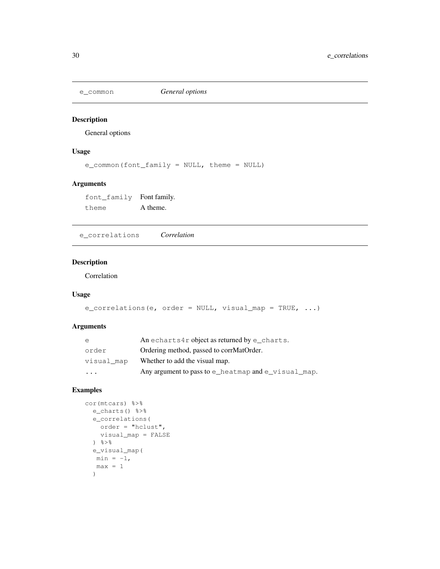#### Description

General options

## Usage

e\_common(font\_family = NULL, theme = NULL)

#### Arguments

font\_family Font family. theme A theme.

e\_correlations *Correlation*

#### Description

Correlation

## Usage

```
e_correlations(e, order = NULL, visual_map = TRUE, ...)
```
## Arguments

| e          | An echarts4r object as returned by e charts.        |
|------------|-----------------------------------------------------|
| order      | Ordering method, passed to corrMatOrder.            |
| visual map | Whether to add the visual map.                      |
| $\cdot$    | Any argument to pass to e_heatmap and e_visual_map. |

```
cor(mtcars) %>%
 e_charts() %>%
  e_correlations(
    order = "hclust",
    visual_map = FALSE
  \frac{6}{3} > \frac{6}{6}e_visual_map(
  min = -1,max = 1)
```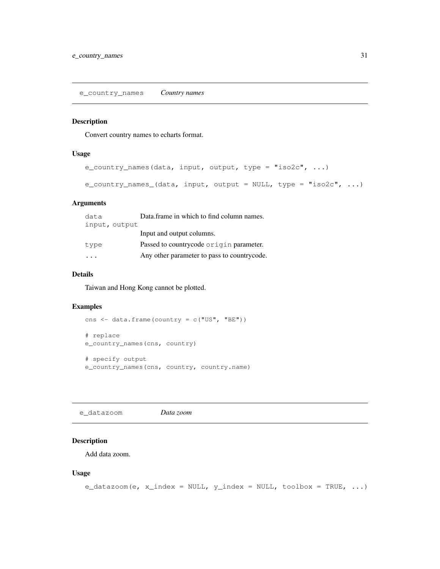e\_country\_names *Country names*

#### Description

Convert country names to echarts format.

## Usage

```
e_country_names(data, input, output, type = "iso2c", ...)
e_country_names_(data, input, output = NULL, type = "iso2c", ...)
```
## Arguments

| data                    | Data frame in which to find column names.   |
|-------------------------|---------------------------------------------|
| input, output           |                                             |
|                         | Input and output columns.                   |
| type                    | Passed to countrycode origin parameter.     |
| $\cdot$ $\cdot$ $\cdot$ | Any other parameter to pass to countrycode. |

## Details

Taiwan and Hong Kong cannot be plotted.

#### Examples

```
cns <- data.frame(country = c("US", "BE"))
# replace
e_country_names(cns, country)
# specify output
e_country_names(cns, country, country.name)
```
e\_datazoom *Data zoom*

# Description

Add data zoom.

#### Usage

```
e_{\text{datazoom}}(e, x_{\text{index}} = \text{NULL}, y_{\text{index}} = \text{NULL}, \text{toolbox} = \text{TRUE}, \dots)
```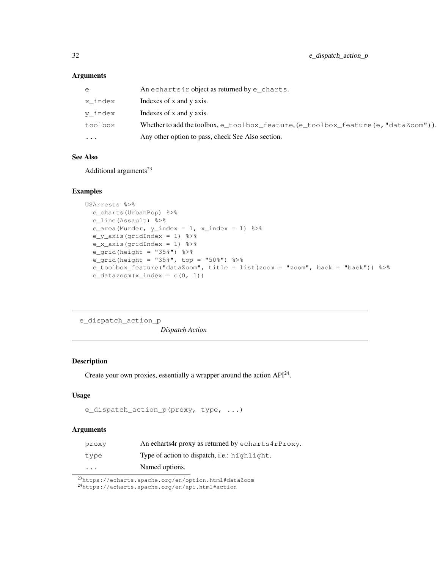# Arguments

| $\cdots$ | Any other option to pass, check See Also section.                                                         |
|----------|-----------------------------------------------------------------------------------------------------------|
| toolbox  | Whether to add the toolbox, $e_{\text{toolbox}}$ feature, $(e_{\text{toolbox}}$ feature (e, "dataZoom")). |
| y index  | Indexes of x and y axis.                                                                                  |
| x index  | Indexes of x and y axis.                                                                                  |
| e        | An echarts4r object as returned by $e$ _charts.                                                           |

## See Also

Additional arguments<sup>23</sup>

#### Examples

```
USArrests %>%
  e_charts(UrbanPop) %>%
  e_line(Assault) %>%
  e_area(Murder, y_index = 1, x_index = 1) s > se_y_axis(gridIndex = 1) %>%
  e_x_axis(gridIndex = 1) %>%
  e_{grid}(height = "35%") %>%
  e_grid(height = "35%", top = "50%") %>%
  e_toolbox_feature("dataZoom", title = list(zoom = "zoom", back = "back")) %>%
  e_{datazoom(x_index = c(0, 1))}
```
e\_dispatch\_action\_p *Dispatch Action*

## Description

Create your own proxies, essentially a wrapper around the action  $API<sup>24</sup>$ .

# Usage

```
e_dispatch_action_p(proxy, type, ...)
```
#### Arguments

| proxy                   | An echarts4r proxy as returned by echarts4rProxy. |
|-------------------------|---------------------------------------------------|
| type                    | Type of action to dispatch, i.e.: highlight.      |
| $\cdot$ $\cdot$ $\cdot$ | Named options.                                    |

<sup>23</sup>https://echarts.apache.org/en/option.html#dataZoom

```
24https://echarts.apache.org/en/api.html#action
```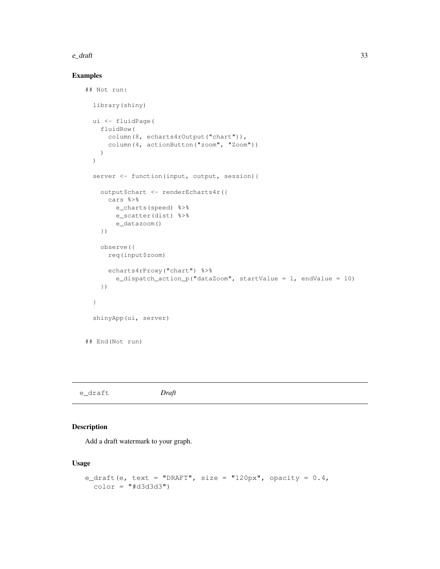#### $e_{\text{d}}$  and  $\frac{33}{2}$

## Examples

```
## Not run:
 library(shiny)
 ui <- fluidPage(
   fluidRow(
     column(8, echarts4rOutput("chart")),
     column(4, actionButton("zoom", "Zoom"))
   )
 )
 server <- function(input, output, session){
   output$chart <- renderEcharts4r({
     cars %>%
       e_charts(speed) %>%
       e_scatter(dist) %>%
       e_datazoom()
   })
   observe({
     req(input$zoom)
     echarts4rProxy("chart") %>%
       e_dispatch_action_p("dataZoom", startValue = 1, endValue = 10)
   })
  }
 shinyApp(ui, server)
## End(Not run)
```
## Description

Add a draft watermark to your graph.

## Usage

```
e_draft(e, text = "DRAFT", size = "120px", opacity = 0.4,
 color = "#d3d3d3")
```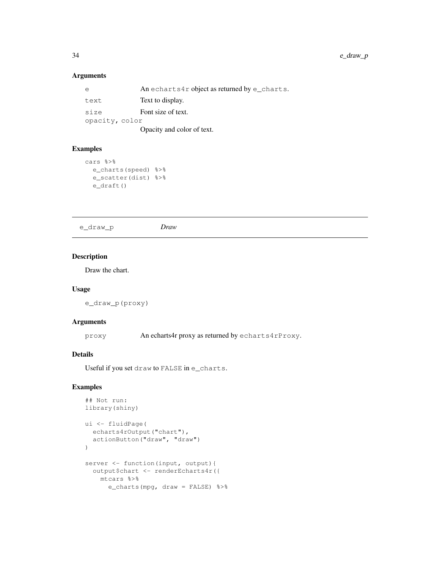# Arguments

| e              | An echarts4r object as returned by $e$ _charts. |
|----------------|-------------------------------------------------|
| text           | Text to display.                                |
| size           | Font size of text.                              |
| opacity, color |                                                 |
|                | Opacity and color of text.                      |

## Examples

```
cars %>%
  e_charts(speed) %>%
  e_scatter(dist) %>%
 e_draft()
```
e\_draw\_p *Draw*

# Description

Draw the chart.

#### Usage

```
e_draw_p(proxy)
```
#### Arguments

proxy An echarts4r proxy as returned by echarts4rProxy.

## Details

Useful if you set draw to FALSE in e\_charts.

```
## Not run:
library(shiny)
ui <- fluidPage(
 echarts4rOutput("chart"),
  actionButton("draw", "draw")
)
server <- function(input, output){
 output$chart <- renderEcharts4r({
   mtcars %>%
     e_charts(mpg, draw = FALSE) %>%
```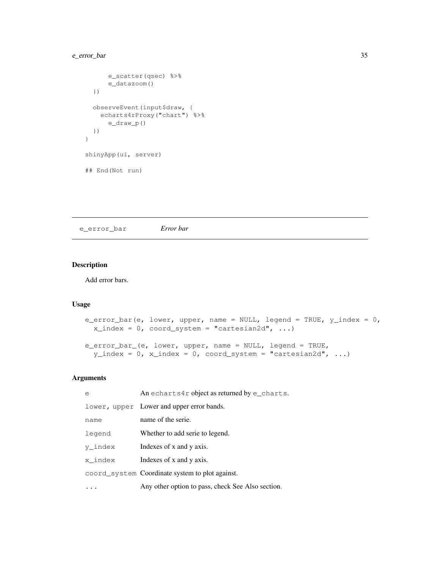## e\_error\_bar 35

```
e_scatter(qsec) %>%
     e_datazoom()
 })
 observeEvent(input$draw, {
  echarts4rProxy("chart") %>%
     e_draw_p()
 })
}
shinyApp(ui, server)
## End(Not run)
```
e\_error\_bar *Error bar*

# Description

Add error bars.

## Usage

```
e_error_bar(e, lower, upper, name = NULL, legend = TRUE, y_index = 0,
 x_index = 0, coord_system = "cartesian2d", ...)e_error_bar_(e, lower, upper, name = NULL, legend = TRUE,
 y\_index = 0, x\_index = 0, coord_system = "cartesian2d", ...)
```
## Arguments

| e       | An echarts4r object as returned by $e$ _charts.   |
|---------|---------------------------------------------------|
|         | lower, upper Lower and upper error bands.         |
| name    | name of the serie.                                |
| legend  | Whether to add serie to legend.                   |
| y index | Indexes of x and y axis.                          |
| x index | Indexes of x and y axis.                          |
|         | coord_system Coordinate system to plot against.   |
|         | Any other option to pass, check See Also section. |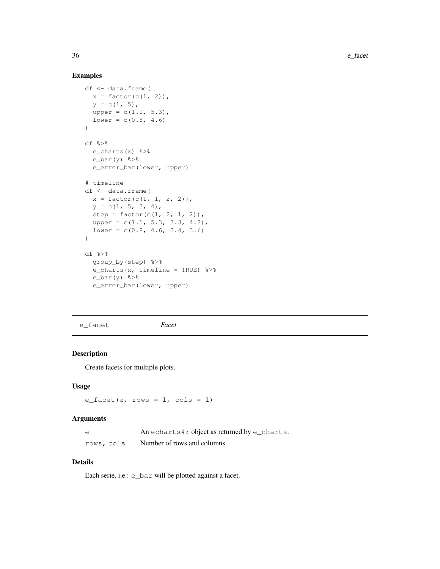## Examples

```
df <- data.frame(
 x = factor(c(1, 2)),
  y = c(1, 5),
 upper = c(1.1, 5.3),
 lower = c(0.8, 4.6))
df %>%
 e_charts(x) %>%
 e_bar(y) %>%
 e_error_bar(lower, upper)
# timeline
df <- data.frame(
 x = factor(c(1, 1, 2, 2)),y = c(1, 5, 3, 4),
 step = factor(c(1, 2, 1, 2)),
 upper = c(1.1, 5.3, 3.3, 4.2),
  lower = c(0.8, 4.6, 2.4, 3.6))
df %>%
  group_by(step) %>%
 e_charts(x, timeline = TRUE) %>%
 e_{bar(y) %>%
  e_error_bar(lower, upper)
```
e\_facet *Facet*

## Description

Create facets for multiple plots.

#### Usage

```
e_facet(e, rows = 1, cols = 1)
```
#### Arguments

| e          | An echarts4r object as returned by $e$ _charts. |
|------------|-------------------------------------------------|
| rows, cols | Number of rows and columns.                     |

# Details

Each serie, i.e.: e\_bar will be plotted against a facet.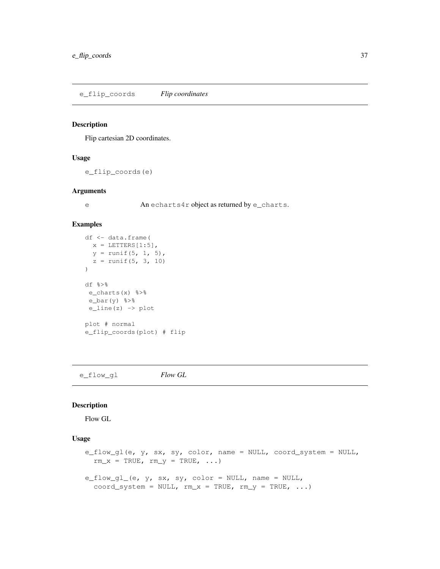e\_flip\_coords *Flip coordinates*

#### Description

Flip cartesian 2D coordinates.

### Usage

e\_flip\_coords(e)

#### Arguments

e An echarts4r object as returned by e\_charts.

#### Examples

```
df <- data.frame(
 x = LETTERS[1:5],
  y = runif(5, 1, 5),
  z = runif(5, 3, 10))
df %>%
e_charts(x) %>%
e_bar(y) %>%
e_line(z) -> plot
plot # normal
e_flip_coords(plot) # flip
```
e\_flow\_gl *Flow GL*

#### Description

Flow GL

### Usage

```
e_flow_gl(e, y, sx, sy, color, name = NULL, coord_system = NULL,
  rm_x = TRUE, rm_y = TRUE, ...e_flow_gl_(e, y, sx, sy, color = NULL, name = NULL,
  coord_system = NULL, rm_x = TRUE, rm_y = TRUE, ...)
```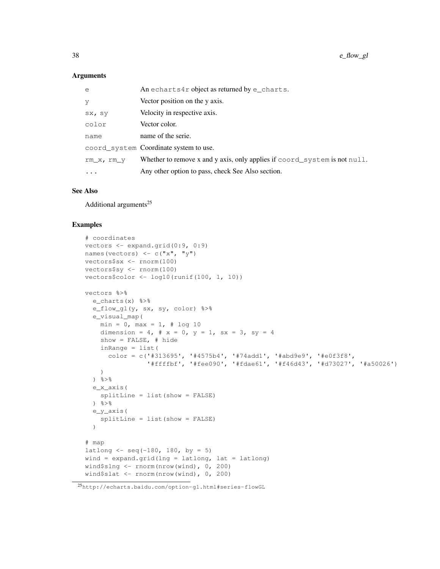### Arguments

| e          | An echarts4r object as returned by $e$ _charts.                                            |
|------------|--------------------------------------------------------------------------------------------|
| У          | Vector position on the y axis.                                                             |
| SX, SV     | Velocity in respective axis.                                                               |
| color      | Vector color.                                                                              |
| name       | name of the serie.                                                                         |
|            | coord_system Coordinate system to use.                                                     |
| rm x, rm y | Whether to remove x and y axis, only applies if $\text{coord}\_\text{system}$ is not null. |
| $\cdots$   | Any other option to pass, check See Also section.                                          |
|            |                                                                                            |

#### See Also

Additional arguments<sup>25</sup>

```
# coordinates
vectors <- expand.grid(0:9, 0:9)
names(vectors) \leq \leq \mathbb{C} ("x", "y")
vectors$sx <- rnorm(100)
vectors$sy <- rnorm(100)
vectors$color <- log10(runif(100, 1, 10))
vectors %>%
 e_charts(x) %>%
  e_flow_gl(y, sx, sy, color) %>%
  e_visual_map(
   min = 0, max = 1, # log 10dimension = 4, # x = 0, y = 1, sx = 3, sy = 4show = FALSE, # hide
    inRange = list(
     color = c('#313695', '#4575b4', '#74add1', '#abd9e9', '#e0f3f8',
                 '#ffffbf', '#fee090', '#fdae61', '#f46d43', '#d73027', '#a50026')
   )
  \frac{6}{3} > \frac{6}{6}e_x_axis(
   splitLine = list(show = FALSE)
  \frac{6}{3} > \frac{6}{6}e_y_axis(
    splitLine = list(show = FALSE)
  )
# map
latlong \leftarrow seq(-180, 180, by = 5)
wind = expand.grid(lng = latlong, lat = latlong)
wind$slng <- rnorm(nrow(wind), 0, 200)
wind$slat <- rnorm(nrow(wind), 0, 200)
```
<sup>25</sup>http://echarts.baidu.com/option-gl.html#series-flowGL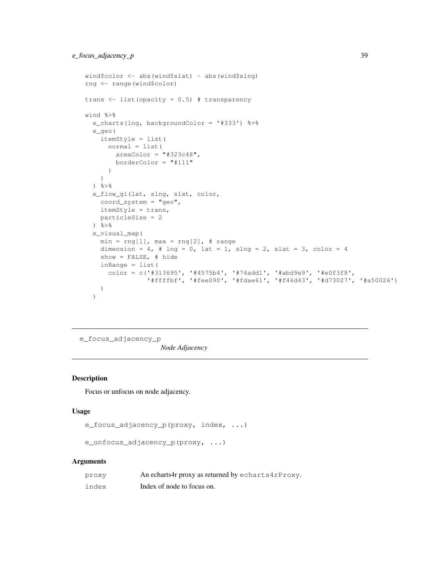```
wind$color <- abs(wind$slat) - abs(wind$slng)
rng <- range(wind$color)
trans \le list(opacity = 0.5) # transparency
wind %>%
  e_charts(lng, backgroundColor = '#333') %>%
  e_geo(
   itemStyle = list(
     normal = list(
       areaColor = "#323c48",borderColor = "#111"
      )
    )
  \frac{6}{3} > \frac{6}{6}e_flow_gl(lat, slng, slat, color,
   coord_system = "geo",
   itemStyle = trans,
   particleSize = 2
  ) %>%
  e_visual_map(
   min = rng[1], max = rng[2], # rangedimension = 4, # lng = 0, lat = 1, slng = 2, slat = 3, color = 4show = FALSE, # hide
   inRange = list(
     color = c('#313695', '#4575b4', '#74add1', '#abd9e9', '#e0f3f8',
                '#ffffbf', '#fee090', '#fdae61', '#f46d43', '#d73027', '#a50026')
   )
  )
```
e\_focus\_adjacency\_p

*Node Adjacency*

#### Description

Focus or unfocus on node adjacency.

#### Usage

```
e_focus_adjacency_p(proxy, index, ...)
```

```
e_unfocus_adjacency_p(proxy, ...)
```
#### **Arguments**

| proxy | An echarts4r proxy as returned by echarts4rProxy. |
|-------|---------------------------------------------------|
| index | Index of node to focus on.                        |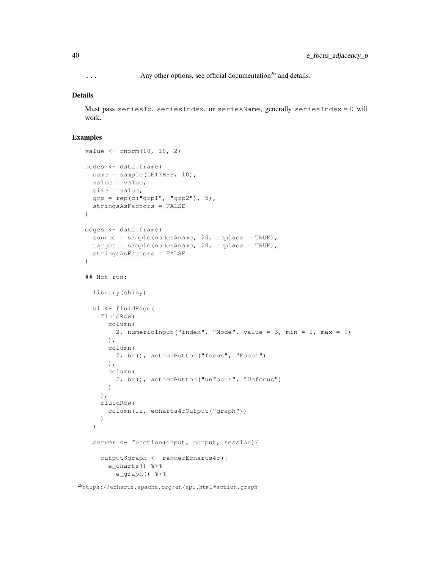$\ldots$  Any other options, see official documentation<sup>26</sup> and details.

#### Details

Must pass seriesId, seriesIndex, or seriesName, generally seriesIndex = 0 will work.

```
value <- rnorm(10, 10, 2)
nodes <- data.frame(
 name = sample(LETTERS, 10),
 value = value,
 size = value,
 qrp = rep(c("grp1", "grp2"), 5),stringsAsFactors = FALSE
)
edges <- data.frame(
  source = sample(nodes$name, 20, replace = TRUE),
 target = sample(nodes$name, 20, replace = TRUE),
  stringsAsFactors = FALSE
)
## Not run:
  library(shiny)
  ui <- fluidPage(
    fluidRow(
      column(
        2, numericInput("index", "Node", value = 3, min = 1, max = 9)
      ),
      column(
        2, br(), actionButton("focus", "Focus")
      ),
      column(
        2, br(), actionButton("unfocus", "Unfocus")
      \lambda),
    fluidRow(
     column(12, echarts4rOutput("graph"))
    )
  )
  server <- function(input, output, session){
    output$graph <- renderEcharts4r({
      e_charts() %>%
        e_graph() %>%
```
<sup>26</sup>https://echarts.apache.org/en/api.html#action.graph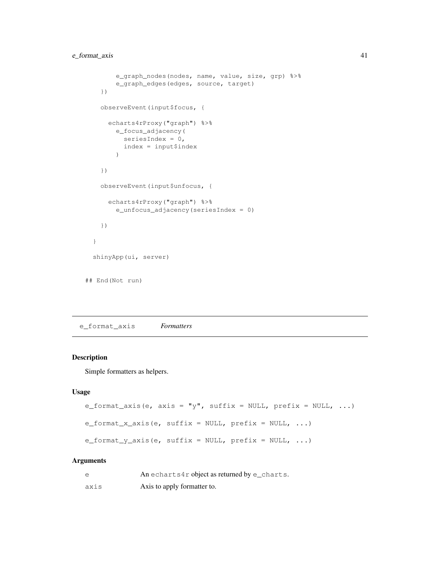```
e_graph_nodes(nodes, name, value, size, grp) %>%
       e_graph_edges(edges, source, target)
   })
   observeEvent(input$focus, {
     echarts4rProxy("graph") %>%
       e_focus_adjacency(
         seriesIndex = 0,index = input$index
        )
   })
   observeEvent(input$unfocus, {
     echarts4rProxy("graph") %>%
       e_unfocus_adjacency(seriesIndex = 0)
   })
  }
 shinyApp(ui, server)
## End(Not run)
```
e\_format\_axis *Formatters*

### Description

Simple formatters as helpers.

#### Usage

```
e_format_axis(e, axis = "y", suffix = NULL, prefix = NULL, ...)
e_format_x_axis(e, suffix = NULL, prefix = NULL, ...)
e_format_y_axis(e, suffix = NULL, prefix = NULL, \ldots)
```
#### Arguments

| e    | An echarts4r object as returned by $e$ _charts. |
|------|-------------------------------------------------|
| axis | Axis to apply formatter to.                     |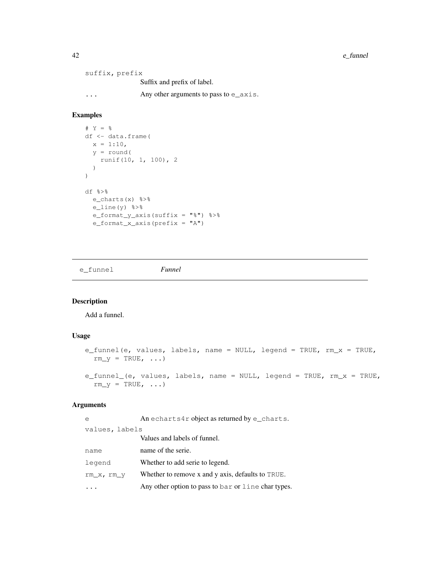42 e\_funnel

suffix, prefix Suffix and prefix of label. ... Any other arguments to pass to e\_axis.

## Examples

```
# Y = %
df <- data.frame(
 x = 1:10,
 y = round(
    runif(10, 1, 100), 2
  )
)
df %>%
  e_charts(x) %>%
 e_line(y) %>%
  e_format_y_axis(suffix = "%") %>%
  e_format_x_axis(prefix = "A")
```
e\_funnel *Funnel*

### Description

Add a funnel.

### Usage

```
e_funnel(e, values, labels, name = NULL, legend = TRUE, rm_x = TRUE,
 rm_y = TRUE, ...e_funnel_(e, values, labels, name = NULL, legend = TRUE, rm_x = TRUE,
 rm_y = TRUE, ...
```
### Arguments

| e              | An echarts4r object as returned by $e$ _charts.    |  |
|----------------|----------------------------------------------------|--|
| values, labels |                                                    |  |
|                | Values and labels of funnel.                       |  |
| name           | name of the serie.                                 |  |
| legend         | Whether to add serie to legend.                    |  |
| rm_x, rm_y     | Whether to remove x and y axis, defaults to TRUE.  |  |
|                | Any other option to pass to bar or line chartypes. |  |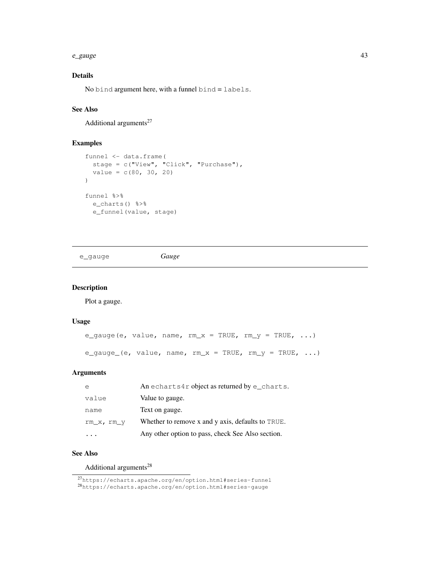#### e\_gauge 43

## Details

No bind argument here, with a funnel bind = labels.

### See Also

Additional arguments $27$ 

### Examples

```
funnel <- data.frame(
  stage = c("View", "Click", "Purchase"),
  value = c(80, 30, 20))
funnel %>%
  e_charts() %>%
  e_funnel(value, stage)
```
e\_gauge *Gauge*

### Description

Plot a gauge.

### Usage

```
e_gauge(e, value, name, rm_x = TRUE, rm_y = TRUE, ...)
e_gauge_(e, value, name, rm_x = TRUE, rm_y = TRUE, ...)
```
### Arguments

| $\epsilon$ | An echarts4r object as returned by e_charts.      |
|------------|---------------------------------------------------|
| value      | Value to gauge.                                   |
| name       | Text on gauge.                                    |
| rm x, rm y | Whether to remove x and y axis, defaults to TRUE. |
|            | Any other option to pass, check See Also section. |

### See Also

Additional arguments<sup>28</sup>

<sup>27</sup>https://echarts.apache.org/en/option.html#series-funnel

<sup>28</sup>https://echarts.apache.org/en/option.html#series-gauge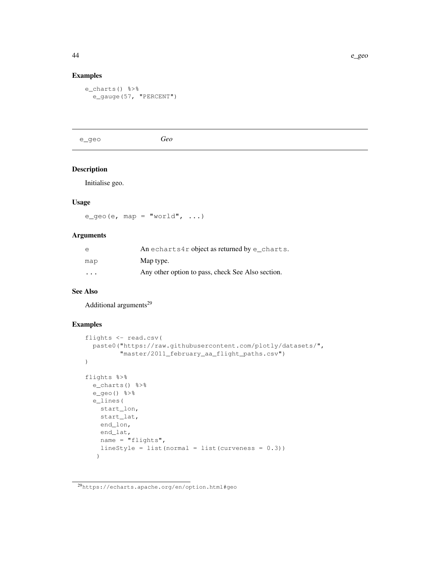### Examples

```
e_charts() %>%
  e_gauge(57, "PERCENT")
```
e\_geo *Geo*

### Description

Initialise geo.

### Usage

 $e_{g}eeo(e, map = "world", ...)$ 

### Arguments

| e                       | An echarts4r object as returned by e charts.      |
|-------------------------|---------------------------------------------------|
| map                     | Map type.                                         |
| $\cdot$ $\cdot$ $\cdot$ | Any other option to pass, check See Also section. |

### See Also

Additional arguments<sup>29</sup>

```
flights <- read.csv(
  paste0("https://raw.githubusercontent.com/plotly/datasets/",
         "master/2011_february_aa_flight_paths.csv")
\lambdaflights %>%
 e_charts() %>%
 e_geo() %>%
 e_lines(
   start_lon,
   start_lat,
   end_lon,
   end_lat,
   name = "flights",
   lineStyle = list(normal = list(currences = 0.3)))
```
<sup>29</sup>https://echarts.apache.org/en/option.html#geo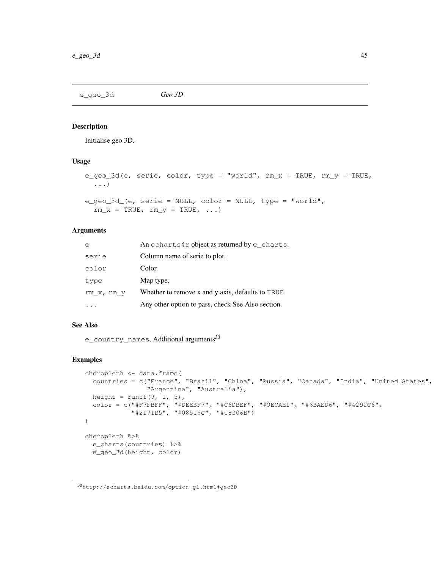e\_geo\_3d *Geo 3D*

### Description

Initialise geo 3D.

### Usage

```
e_geo_3d(e, serie, color, type = "world", rm_x = TRUE, rm_y = TRUE,
  ...)
e_geo_3d_(e, serie = NULL, color = NULL, type = "world",
```

```
rm\_x = TRUE, rm\_y = TRUE, ...
```
### Arguments

| e          | An echarts4r object as returned by $e$ _charts.   |
|------------|---------------------------------------------------|
| serie      | Column name of serie to plot.                     |
| color      | Color.                                            |
| type       | Map type.                                         |
| rm x, rm y | Whether to remove x and y axis, defaults to TRUE. |
|            | Any other option to pass, check See Also section. |

## See Also

e\_country\_names, Additional arguments<sup>30</sup>

```
choropleth <- data.frame(
 countries = c("France", "Brazil", "China", "Russia", "Canada", "India", "United States",
                "Argentina", "Australia"),
 height = runit(9, 1, 5),
 color = c("#F7FBFF", "#DEEBF7", "#C6DBEF", "#9ECAE1", "#6BAED6", "#4292C6",
            "#2171B5", "#08519C", "#08306B")
)
choropleth %>%
 e_charts(countries) %>%
  e_geo_3d(height, color)
```
<sup>30</sup>http://echarts.baidu.com/option-gl.html#geo3D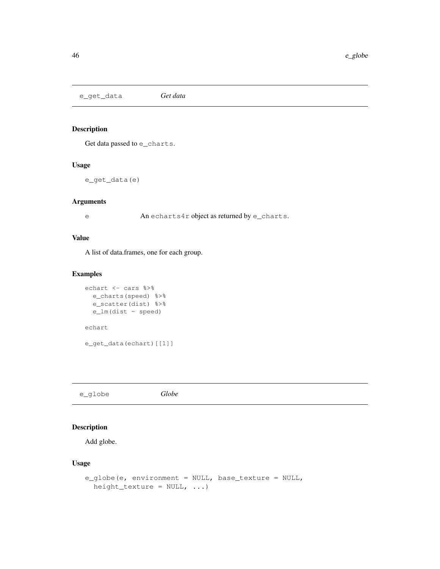e\_get\_data *Get data*

# Description

Get data passed to e\_charts.

### Usage

e\_get\_data(e)

### Arguments

e An echarts4r object as returned by e\_charts.

### Value

A list of data.frames, one for each group.

### Examples

```
echart <- cars %>%
 e_charts(speed) %>%
 e_scatter(dist) %>%
 e_lm(dist ~ speed)
echart
e_get_data(echart)[[1]]
```
e\_globe *Globe*

### Description

Add globe.

### Usage

```
e_globe(e, environment = NULL, base_texture = NULL,
 height_texture = NULL, ...)
```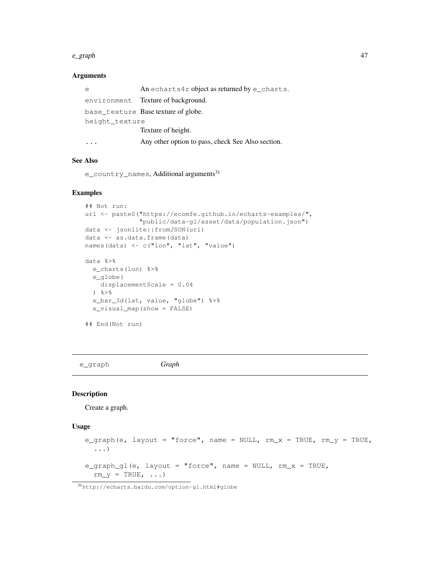#### e\_graph 47

#### Arguments

| e              | An echarts4r object as returned by e_charts.      |  |
|----------------|---------------------------------------------------|--|
|                | environment Texture of background.                |  |
|                | base_texture Base texture of globe.               |  |
| height texture |                                                   |  |
|                | Texture of height.                                |  |
|                | Any other option to pass, check See Also section. |  |

### See Also

e\_country\_names, Additional arguments<sup>31</sup>

### Examples

```
## Not run:
url <- paste0("https://ecomfe.github.io/echarts-examples/",
               "public/data-gl/asset/data/population.json")
data <- jsonlite::fromJSON(url)
data <- as.data.frame(data)
names(data) <- c("lon", "lat", "value")
data %>%
  e_charts(lon) %>%
 e_globe(
   displacementScale = 0.04
  \} \frac{6}{6} > \frac{6}{6}e_bar_3d(lat, value, "globe") %>%
  e_visual_map(show = FALSE)
## End(Not run)
```
e\_graph *Graph*

#### Description

Create a graph.

### Usage

```
e_graph(e, layout = "force", name = NULL, rm_x = TRUE, rm_y = TRUE,
  ...)
e_graph_gl(e, layout = "force", name = NULL, rm_x = TRUE,
  rm_y = TRUE, \ldots)
```
<sup>31</sup>http://echarts.baidu.com/option-gl.html#globe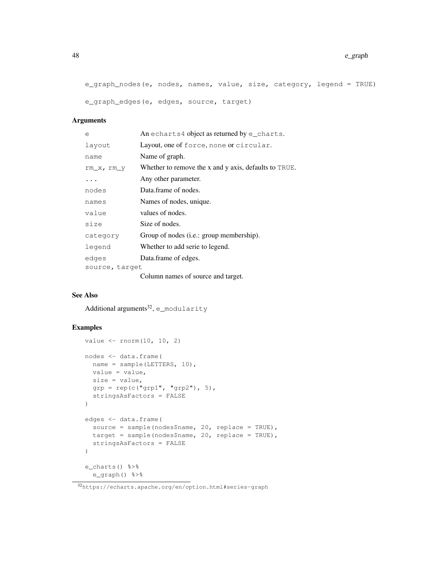```
e_graph_nodes(e, nodes, names, value, size, category, legend = TRUE)
e_graph_edges(e, edges, source, target)
```
### Arguments

| e              | An echarts4 object as returned by e_charts.           |
|----------------|-------------------------------------------------------|
| layout         | Layout, one of force, none or circular.               |
| name           | Name of graph.                                        |
| $rm_X, rm_Y$   | Whether to remove the x and y axis, defaults to TRUE. |
| .              | Any other parameter.                                  |
| nodes          | Data.frame of nodes.                                  |
| names          | Names of nodes, unique.                               |
| value          | values of nodes.                                      |
| size           | Size of nodes.                                        |
| category       | Group of nodes ( <i>i.e.</i> : group membership).     |
| legend         | Whether to add serie to legend.                       |
| edges          | Data.frame of edges.                                  |
| source, target |                                                       |
|                | Column names of source and target.                    |

### See Also

Additional arguments<sup>32</sup>, e\_modularity

```
value \leftarrow rnorm(10, 10, 2)
nodes <- data.frame(
 name = sample(LETTERS, 10),
 value = value,
 size = value,
 qrp = rep(c("qrp1", "qrp2"), 5),stringsAsFactors = FALSE
)
edges <- data.frame(
 source = sample(nodes$name, 20, replace = TRUE),
 target = sample(nodes$name, 20, replace = TRUE),
 stringsAsFactors = FALSE
)
e_charts() %>%
e_graph() %>%
```
<sup>32</sup>https://echarts.apache.org/en/option.html#series-graph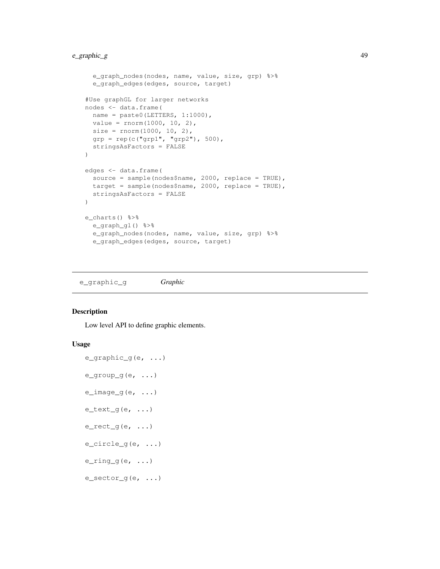```
e_graph_nodes(nodes, name, value, size, grp) %>%
  e_graph_edges(edges, source, target)
#Use graphGL for larger networks
nodes <- data.frame(
 name = paste0(LETTERS, 1:1000),
 value = rnorm(1000, 10, 2),
 size = rnorm(1000, 10, 2),
 grp = rep(c("grp1", "grp2"), 500),stringsAsFactors = FALSE
)
edges <- data.frame(
  source = sample(nodes$name, 2000, replace = TRUE),
 target = sample(nodes$name, 2000, replace = TRUE),
 stringsAsFactors = FALSE
)
e_charts() %>%
 e_graph_gl() %>%
 e_graph_nodes(nodes, name, value, size, grp) %>%
  e_graph_edges(edges, source, target)
```
e\_graphic\_g *Graphic*

### Description

Low level API to define graphic elements.

### Usage

```
e_graphic_g(e, ...)
e_group_g(e, ...)
e_i image g(e, \ldots)e_text_g(e, \ldots)
e_rect_g(e, ...)
e_circle_g(e, ...)
e_ring_g(e, ...)
e_sector_g(e, ...)
```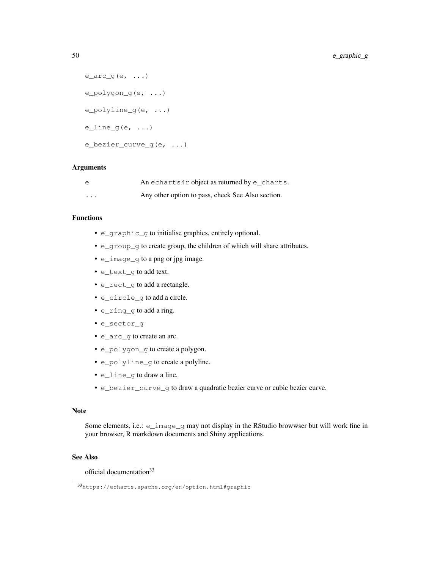```
e_{\text{arc-g}}(e, \ldots)e_polygon_g(e, ...)
e_polyline_g(e, ...)
eline_g(e, ...)
e_bezier_curve_g(e, ...)
```
### Arguments

| $\epsilon$ | An echarts4r object as returned by $e$ _charts.   |
|------------|---------------------------------------------------|
| $\cdots$   | Any other option to pass, check See Also section. |

### Functions

- e\_graphic\_g to initialise graphics, entirely optional.
- e\_group\_g to create group, the children of which will share attributes.
- e\_image\_g to a png or jpg image.
- e\_text\_g to add text.
- e\_rect\_g to add a rectangle.
- e\_circle\_g to add a circle.
- e\_ring\_g to add a ring.
- e\_sector\_g
- e\_arc\_g to create an arc.
- e\_polygon\_g to create a polygon.
- e\_polyline\_g to create a polyline.
- e\_line\_g to draw a line.
- e\_bezier\_curve\_g to draw a quadratic bezier curve or cubic bezier curve.

### Note

Some elements, i.e.: e\_image\_g may not display in the RStudio browwser but will work fine in your browser, R markdown documents and Shiny applications.

### See Also

official documentation<sup>33</sup>

<sup>33</sup>https://echarts.apache.org/en/option.html#graphic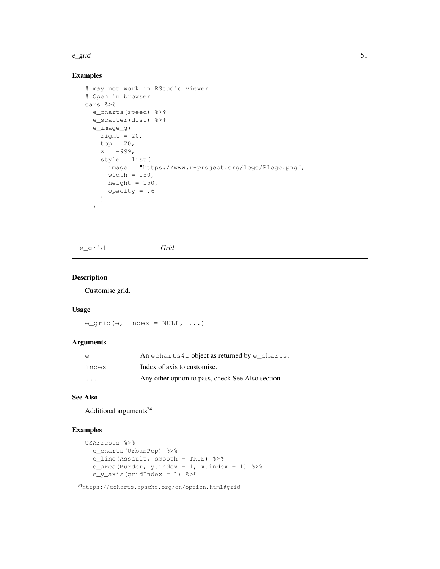#### $e\_grid$  51

### Examples

```
# may not work in RStudio viewer
# Open in browser
cars %>%
  e_charts(speed) %>%
  e_scatter(dist) %>%
  e_image_g(
   right = 20,
    top = 20,
    z = -999,
   style = list(
     image = "https://www.r-project.org/logo/Rlogo.png",
     width = 150,
     height = 150,
     opacity = .6)
  )
```

```
e_grid Grid
```
### Description

Customise grid.

#### Usage

 $e_{grid}(e, index = NULL, ...)$ 

### Arguments

| e         | An echarts4r object as returned by $e$ _charts.   |
|-----------|---------------------------------------------------|
| index     | Index of axis to customise.                       |
| $\ddotsc$ | Any other option to pass, check See Also section. |

### See Also

Additional arguments<sup>34</sup>

```
USArrests %>%
 e_charts(UrbanPop) %>%
 e_line(Assault, smooth = TRUE) %>%
  e_area(Murder, y.index = 1, x.index = 1) 8>8e_y_axis(gridIndex = 1) %>%
```
<sup>34</sup>https://echarts.apache.org/en/option.html#grid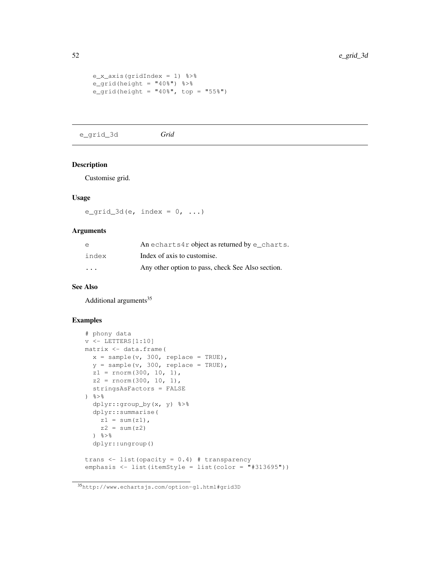```
e_x_axis(gridIndex = 1) %>%
e_{grid}(height = "40%") %>%
e_grid(height = "40%", top = "55%")
```
e\_grid\_3d *Grid*

#### Description

Customise grid.

### Usage

e\_grid\_3d(e, index =  $0, ...$ )

#### Arguments

| e                       | An echarts4r object as returned by $e$ _charts.   |
|-------------------------|---------------------------------------------------|
| index                   | Index of axis to customise.                       |
| $\cdot$ $\cdot$ $\cdot$ | Any other option to pass, check See Also section. |

### See Also

Additional arguments<sup>35</sup>

```
# phony data
v \leftarrow LETTERS [1:10]matrix <- data.frame(
 x = sample(v, 300, replace = TRUE),
  y = sample(v, 300, replace = TRUE),
  z1 = rnorm(300, 10, 1),z2 = rnorm(300, 10, 1),stringsAsFactors = FALSE
) %>%
  dplyr::group_by(x, y) %>%
  dplyr::summarise(
   z1 = sum(z1),
    z2 = sum(z2)\frac{6}{3} > \frac{6}{6}dplyr::ungroup()
trans <- list(opacity = 0.4) # transparency
emphasis <- list(itemStyle = list(color = "#313695"))
```
<sup>35</sup>http://www.echartsjs.com/option-gl.html#grid3D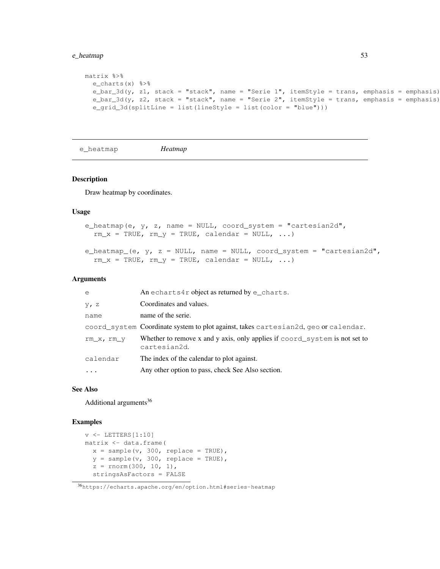### e\_heatmap 53

```
matrix %>%
  e_charts(x) %>%
  e_{\text{bar}} 3d(y, z1, stack = "stack", name = "Serie 1", itemStyle = trans, emphasis = emphasis)
  e_bar_3d(y, z2, stack = "stack", name = "Serie 2", itemStyle = trans, emphasis = emphasis)
  e_grid_3d(splitLine = list(lineStyle = list(color = "blue")))
```

```
e_heatmap Heatmap
```
#### Description

Draw heatmap by coordinates.

#### Usage

```
e_heatmap(e, y, z, name = NULL, coord_system = "cartesian2d",
  rm_x = TRUE, rm_y = TRUE, calendar = NULL, ...)
e_heatmap_(e, y, z = NULL, name = NULL, coord_system = "cartesian2d",
  rm_x = TRUE, rm_y = TRUE, calendar = NULL, ...)
```
#### Arguments

| e          | An echarts4r object as returned by e_charts.                                               |
|------------|--------------------------------------------------------------------------------------------|
| $y$ , z    | Coordinates and values.                                                                    |
| name       | name of the serie.                                                                         |
|            | coord_system Coordinate system to plot against, takes cartesian2d, geo or calendar.        |
| rm x, rm y | Whether to remove x and y axis, only applies if coord_system is not set to<br>cartesian2d. |
| calendar   | The index of the calendar to plot against.                                                 |
| $\cdots$   | Any other option to pass, check See Also section.                                          |
|            |                                                                                            |

### See Also

Additional arguments<sup>36</sup>

```
v \leftarrow LETTERS[1:10]matrix <- data.frame(
  x = sample(v, 300, replace = TRUE),
  y = sample(v, 300, replace = TRUE),
  z = rnorm(300, 10, 1),stringsAsFactors = FALSE
```
<sup>36</sup>https://echarts.apache.org/en/option.html#series-heatmap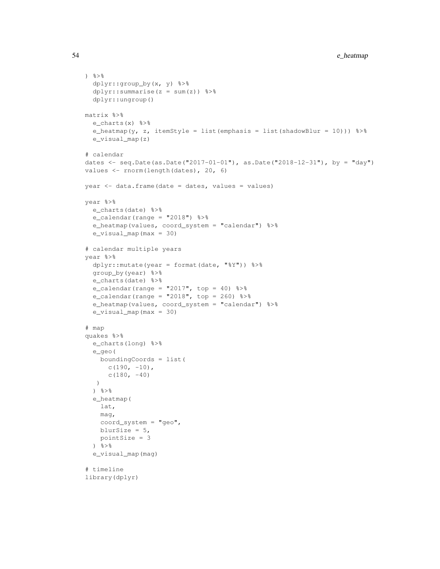```
\frac{8}{6}dplyr::group_by(x, y) %>%
  dplyr::summarise(z = sum(z)) %>%
  dplyr::ungroup()
matrix %>%
  e_charts(x) %>%
  e_heatmap(y, z, itemStyle = list(emphasis = list(shadowBlur = 10))) %>%
  e_visual_map(z)
# calendar
dates <- seq.Date(as.Date("2017-01-01"), as.Date("2018-12-31"), by = "day")
values <- rnorm(length(dates), 20, 6)
year < - data.frame(data = dates, values = values)year %>%
  e_charts(date) %>%
  e_calendar(range = "2018") %>%
  e_heatmap(values, coord_system = "calendar") %>%
  e_visual_map(max = 30)
# calendar multiple years
year %>%
  dplyr::mutate(year = format(date, "%Y")) %>%
  group_by(year) %>%
  e_charts(date) %>%
  e_calendar(range = "2017", top = 40) 8>8e_calendar(range = "2018", top = 260) 8 > 8e_heatmap(values, coord_system = "calendar") %>%
  e_visual_map(max = 30)
# map
quakes %>%
  e_charts(long) %>%
  e_geo(
   boundingCoords = list(
     c(190, -10),
      c(180, -40))
  \frac{6}{3} > \frac{6}{6}e_heatmap(
    lat,
    mag,
    coord_system = "geo",
   blurSize = 5,
   pointSize = 3
  \frac{6}{3} > \frac{6}{6}e_visual_map(mag)
# timeline
library(dplyr)
```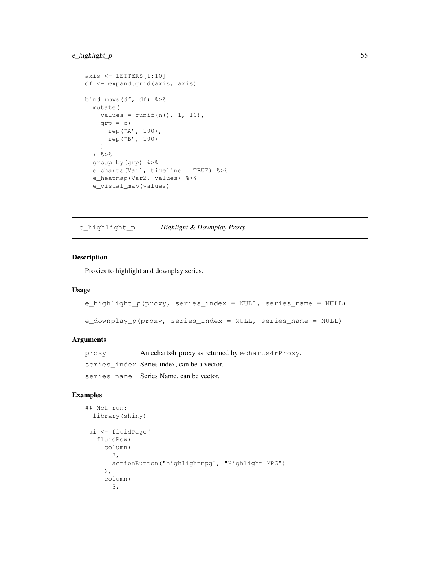### e\_highlight\_p 55

```
axis <- LETTERS[1:10]
df <- expand.grid(axis, axis)
bind_rows(df, df) %>%
 mutate(
   values = runif(n(), 1, 10),qrp = c(rep("A", 100),
      rep("B", 100)
    )
  \} \frac{6}{6} > \frac{6}{6}group_by(grp) %>%
  e_charts(Var1, timeline = TRUE) %>%
  e_heatmap(Var2, values) %>%
  e_visual_map(values)
```
e\_highlight\_p *Highlight & Downplay Proxy*

### Description

Proxies to highlight and downplay series.

#### Usage

```
e_highlight_p(proxy, series_index = NULL, series_name = NULL)
```

```
e_downplay_p(proxy, series_index = NULL, series_name = NULL)
```
### Arguments

| proxy | An echarts4r proxy as returned by echarts4rProxy. |
|-------|---------------------------------------------------|
|       | series_index Series index, can be a vector.       |
|       | series name Series Name, can be vector.           |

```
## Not run:
 library(shiny)
ui <- fluidPage(
  fluidRow(
     column(
       3,
       actionButton("highlightmpg", "Highlight MPG")
     ) \primecolumn(
       3,
```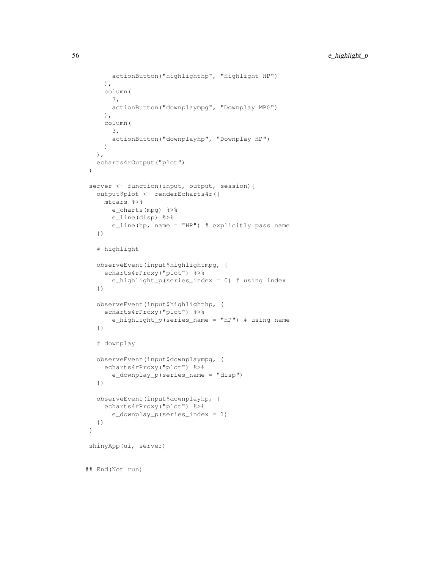```
actionButton("highlighthp", "Highlight HP")
    ),
    column(
      3,
      actionButton("downplaympg", "Downplay MPG")
    ),
    column(
      3,
      actionButton("downplayhp", "Downplay HP")
    )
  ),
  echarts4rOutput("plot")
)
server <- function(input, output, session){
  output$plot <- renderEcharts4r({
    mtcars %>%
      e_charts(mpg) %>%
      e_line(disp) %>%
       e_line(hp, name = "HP") # explicitly pass name
   })
   # highlight
  observeEvent(input$highlightmpg, {
    echarts4rProxy("plot") %>%
       e_highlight_p(series_index = 0) # using index
   })
  observeEvent(input$highlighthp, {
    echarts4rProxy("plot") %>%
      e_highlight_p(series_name = "HP") # using name
   })
   # downplay
  observeEvent(input$downplaympg, {
    echarts4rProxy("plot") %>%
       e_downplay_p(series_name = "disp")
  })
  observeEvent(input$downplayhp, {
    echarts4rProxy("plot") %>%
       e_downplay_p(series_index = 1)
  })
}
shinyApp(ui, server)
## End(Not run)
```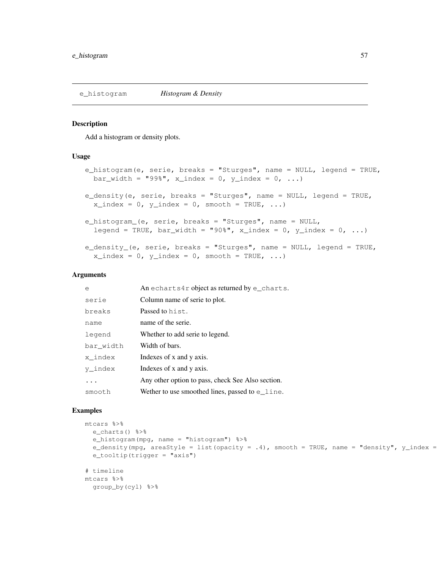#### Description

Add a histogram or density plots.

#### Usage

```
e_histogram(e, serie, breaks = "Sturges", name = NULL, legend = TRUE,
  bar_width = "99%", x_index = 0, y_index = 0, ...)
e_density(e, serie, breaks = "Sturges", name = NULL, legend = TRUE,
  x\_index = 0, y\_index = 0, smooth = TRUE, ...e_histogram_(e, serie, breaks = "Sturges", name = NULL,
  legend = TRUE, bar_width = "90\, x_index = 0, y_index = 0, ...)
e_density_(e, serie, breaks = "Sturges", name = NULL, legend = TRUE,
  x\_index = 0, y\_index = 0, smooth = TRUE, ...
```
#### Arguments

| e         | An echarts4r object as returned by $e$ _charts.     |
|-----------|-----------------------------------------------------|
| serie     | Column name of serie to plot.                       |
| breaks    | Passed to hist.                                     |
| name      | name of the serie.                                  |
| legend    | Whether to add serie to legend.                     |
| bar width | Width of bars.                                      |
| x index   | Indexes of x and y axis.                            |
| y index   | Indexes of x and y axis.                            |
| .         | Any other option to pass, check See Also section.   |
| smooth    | We there to use smoothed lines, passed to $e$ line. |

```
mtcars %>%
 e_charts() %>%
 e_histogram(mpg, name = "histogram") %>%
  e_density(mpg, areaStyle = list(opacity = .4), smooth = TRUE, name = "density", y_index =
  e_tooltip(trigger = "axis")
# timeline
mtcars %>%
```

```
group_by(cyl) %>%
```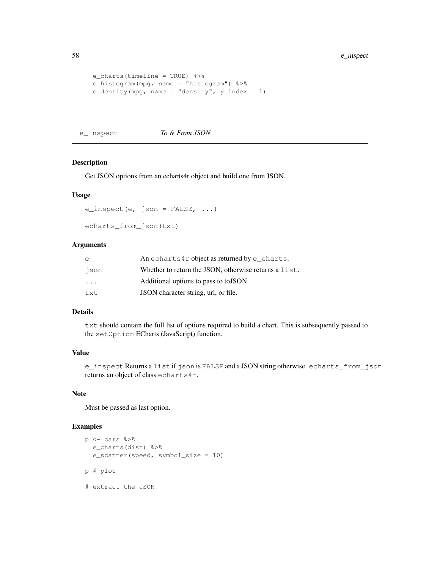```
e_charts(timeline = TRUE) %>%
e_histogram(mpg, name = "histogram") %>%
e_density(mpg, name = "density", y_index = 1)
```
e\_inspect *To & From JSON*

### Description

Get JSON options from an echarts4r object and build one from JSON.

#### Usage

```
e_inspect(e, json = FALSE, ...)
```

```
echarts_from_json(txt)
```
### Arguments

| e        | An echarts4r object as returned by e_charts.            |
|----------|---------------------------------------------------------|
| json     | Whether to return the JSON, otherwise returns a $list.$ |
| $\ddots$ | Additional options to pass to to JSON.                  |
| txt      | JSON character string, url, or file.                    |

### Details

txt should contain the full list of options required to build a chart. This is subsequently passed to the setOption ECharts (JavaScript) function.

### Value

```
e_inspect Returns a list if json is FALSE and a JSON string otherwise. echarts_from_json
returns an object of class echarts4r.
```
### Note

Must be passed as last option.

```
p \leftarrow cars 8 > 8e_charts(dist) %>%
  e_scatter(speed, symbol_size = 10)
p # plot
# extract the JSON
```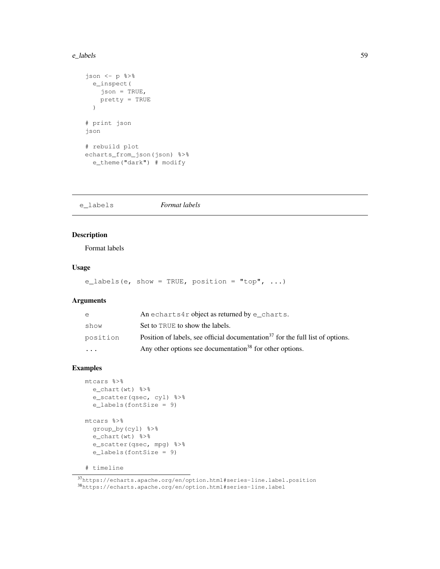#### e\_labels 59

```
json \leftarrow p \text{*}>e_inspect(
    json = TRUE,
    pretty = TRUE
  )
# print json
json
# rebuild plot
echarts_from_json(json) %>%
  e_theme("dark") # modify
```
e\_labels *Format labels*

### Description

Format labels

#### Usage

e\_labels(e, show = TRUE, position = "top",  $\dots$ )

### Arguments

| $\epsilon$ | An echarts4r object as returned by $e$ _charts.                                            |
|------------|--------------------------------------------------------------------------------------------|
| show       | Set to TRUE to show the labels.                                                            |
| position   | Position of labels, see official documentation <sup>37</sup> for the full list of options. |
| $\cdots$   | Any other options see documentation <sup>38</sup> for other options.                       |

```
mtcars %>%
  e_chart(wt) %>%
  e_scatter(qsec, cyl) %>%
  e_labels(fontSize = 9)
mtcars %>%
  group_by(cyl) %>%
  e_chart(wt) %>%
 e_scatter(qsec, mpg) %>%
  e_labels(fontSize = 9)
```

```
# timeline
```
<sup>37</sup>https://echarts.apache.org/en/option.html#series-line.label.position <sup>38</sup>https://echarts.apache.org/en/option.html#series-line.label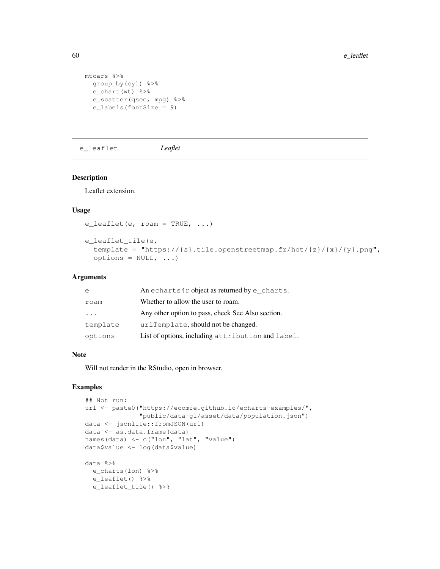```
mtcars %>%
 group_by(cyl) %>%
 e_chart(wt) %>%
 e_scatter(qsec, mpg) %>%
  e_labels(fontSize = 9)
```
e\_leaflet *Leaflet*

### Description

Leaflet extension.

### Usage

```
e_leaflet(e, roam = TRUE, ...)
```

```
e_leaflet_tile(e,
 template = "https://{s}.tile.openstreetmap.fr/hot/{z}/{x}/{y}.png",
  options = NULL, ...
```
### Arguments

|          | An echarts4r object as returned by $e$ _charts.   |
|----------|---------------------------------------------------|
| roam     | Whether to allow the user to roam.                |
| $\cdots$ | Any other option to pass, check See Also section. |
| template | urlTemplate, should not be changed.               |
| options  | List of options, including attribution and label. |

### Note

Will not render in the RStudio, open in browser.

```
## Not run:
url <- paste0("https://ecomfe.github.io/echarts-examples/",
              "public/data-gl/asset/data/population.json")
data <- jsonlite::fromJSON(url)
data <- as.data.frame(data)
names(data) <- c("lon", "lat", "value")
data$value <- log(data$value)
data %>%
 e_charts(lon) %>%
 e_leaflet() %>%
 e_leaflet_tile() %>%
```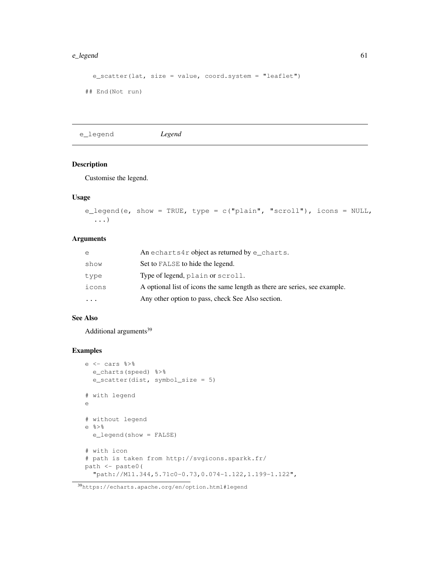#### e\_legend 61

```
e_scatter(lat, size = value, coord.system = "leaflet")
## End(Not run)
```
e\_legend *Legend*

### Description

Customise the legend.

### Usage

```
e_legend(e, show = TRUE, type = c("plain", "scroll"), icons = NULL,
  ...)
```
### Arguments

| e         | An echarts4r object as returned by $e$ _charts.                            |
|-----------|----------------------------------------------------------------------------|
| show      | Set to FALSE to hide the legend.                                           |
| type      | Type of legend, plain or scroll.                                           |
| icons     | A optional list of icons the same length as there are series, see example. |
| $\ddotsc$ | Any other option to pass, check See Also section.                          |

### See Also

Additional arguments $39$ 

```
e <- cars %>%
 e_charts(speed) %>%
 e_scatter(dist, symbol_size = 5)
# with legend
e
# without legend
e %>%
 e_legend(show = FALSE)
# with icon
# path is taken from http://svgicons.sparkk.fr/
path <- paste0(
  "path://M11.344,5.71c0-0.73,0.074-1.122,1.199-1.122",
```
<sup>39</sup>https://echarts.apache.org/en/option.html#legend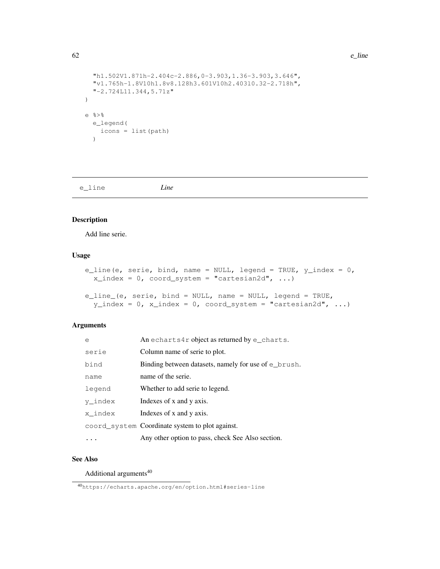```
62 e_line
```

```
"h1.502V1.871h-2.404c-2.886,0-3.903,1.36-3.903,3.646",
  "v1.765h-1.8V10h1.8v8.128h3.601V10h2.403l0.32-2.718h",
  "-2.724L11.344,5.71z"
)
e %>%
  e_legend(
   icons = list(path)
  \lambda
```
e\_line *Line*

### Description

Add line serie.

#### Usage

```
e_line(e, serie, bind, name = NULL, legend = TRUE, y_index = 0,
  x_index = 0, coord_system = "cartesian2d", ...)
```

```
e_line_(e, serie, bind = NULL, name = NULL, legend = TRUE,
 y\_index = 0, x\_index = 0, coord_system = "cartesian2d", ...)
```
### Arguments

| e       | An echarts4r object as returned by $e$ _charts.      |
|---------|------------------------------------------------------|
| serie   | Column name of serie to plot.                        |
| bind    | Binding between datasets, namely for use of e_brush. |
| name    | name of the serie.                                   |
| legend  | Whether to add serie to legend.                      |
| y index | Indexes of x and y axis.                             |
| x index | Indexes of x and y axis.                             |
|         | coord_system Coordinate system to plot against.      |
|         | Any other option to pass, check See Also section.    |

### See Also

Additional arguments<sup>40</sup>

<sup>40</sup>https://echarts.apache.org/en/option.html#series-line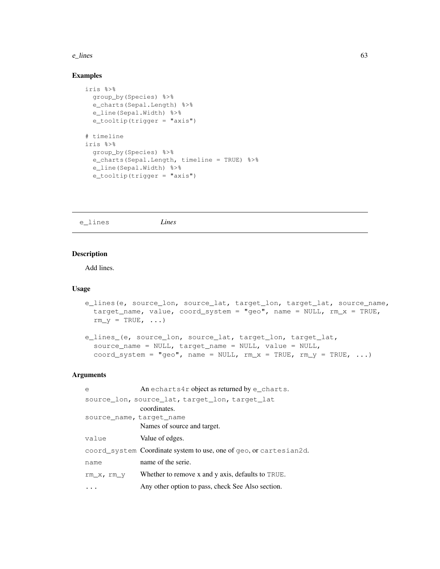#### $e_{\text{lines}}$  63

### Examples

```
iris %>%
 group_by(Species) %>%
 e_charts(Sepal.Length) %>%
 e_line(Sepal.Width) %>%
 e_tooltip(trigger = "axis")
# timeline
iris %>%
 group_by(Species) %>%
 e_charts(Sepal.Length, timeline = TRUE) %>%
 e_line(Sepal.Width) %>%
 e_tooltip(trigger = "axis")
```
e\_lines *Lines*

### Description

Add lines.

### Usage

```
e_lines(e, source_lon, source_lat, target_lon, target_lat, source_name,
  target_name, value, coord\_system = "geo", name = NULL, rm_x = TRUE,rm_y = TRUE, \ldots)
```

```
e_lines_(e, source_lon, source_lat, target_lon, target_lat,
  source_name = NULL, target_name = NULL, value = NULL,
  coord_system = "geo", name = NULL, rm_x = TRUE, rm_y = TRUE, ...)
```
### Arguments

| e                        | An echarts4r object as returned by $e$ _charts.                    |
|--------------------------|--------------------------------------------------------------------|
|                          | source_lon, source_lat, target_lon, target_lat                     |
|                          | coordinates.                                                       |
| source name, target name |                                                                    |
|                          | Names of source and target.                                        |
| value                    | Value of edges.                                                    |
|                          | coord_system Coordinate system to use, one of geo, or cartesian2d. |
| name                     | name of the serie.                                                 |
| rm x, rm y               | Whether to remove x and y axis, defaults to TRUE.                  |
|                          | Any other option to pass, check See Also section.                  |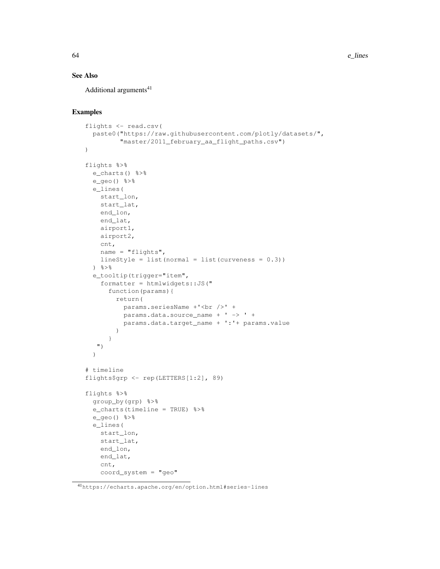### See Also

Additional arguments<sup>41</sup>

```
flights <- read.csv(
  paste0("https://raw.githubusercontent.com/plotly/datasets/",
         "master/2011_february_aa_flight_paths.csv")
)
flights %>%
  e_charts() %>%
 e_geo() %>%
 e_lines(
   start_lon,
   start_lat,
   end_lon,
   end_lat,
   airport1,
   airport2,
   cnt,
   name = "flights",
   lineStyle = list(normal = list(cuveness = 0.3))\} \frac{6}{6} > \frac{6}{6}e_tooltip(trigger="item",
    formatter = htmlwidgets::JS("
      function(params){
        return(
          params.seriesName +'<br />' +
          params.data.source_name + ' -> ' +
          params.data.target_name + ':'+ params.value
        \lambda}
   ")
  )
# timeline
flights$grp <- rep(LETTERS[1:2], 89)
flights %>%
  group_by(grp) %>%
  e_charts(timeline = TRUE) %>%
  e_geo() %>%
  e_lines(
   start_lon,
    start_lat,
    end_lon,
    end_lat,
    cnt,
    coord_system = "geo"
```
<sup>41</sup>https://echarts.apache.org/en/option.html#series-lines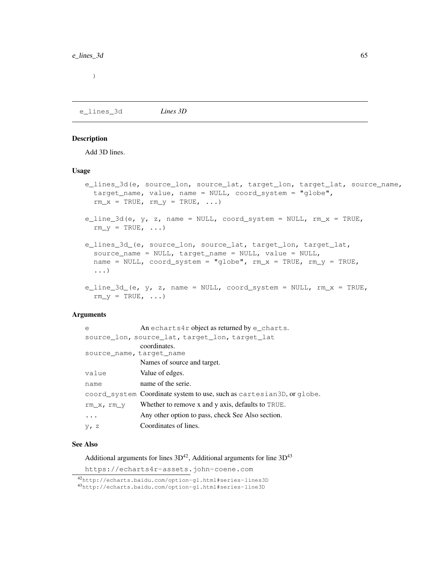)

e\_lines\_3d *Lines 3D*

### Description

Add 3D lines.

#### Usage

```
e_lines_3d(e, source_lon, source_lat, target_lon, target_lat, source_name,
  target_name, value, name = NULL, coord_system = "globe",
 rm\_x = TRUE, rm\_y = TRUE, ...)
e_line_3d(e, y, z, name = NULL, coord_system = NULL, rm_x = TRUE,
  rm_y = TRUE, \ldots)e_lines_3d_(e, source_lon, source_lat, target_lon, target_lat,
  source_name = NULL, target_name = NULL, value = NULL,
 name = NULL, coord_system = "globe", rm\_x = TRUE, rm\_y = TRUE,
  ...)
e_line_3d_(e, y, z, name = NULL, coord_system = NULL, rm_x = TRUE,
  rm_y = TRUE, \ldots)
```
#### Arguments

| e                        | An echarts4r object as returned by $e$ _charts.                       |
|--------------------------|-----------------------------------------------------------------------|
|                          | source lon, source lat, target lon, target lat                        |
| source name, target name | coordinates.                                                          |
|                          | Names of source and target.                                           |
| value                    | Value of edges.                                                       |
| name                     | name of the serie.                                                    |
|                          | coord system Coordinate system to use, such as cartesian3D, or qlobe. |
| rm x, rm y               | Whether to remove x and y axis, defaults to TRUE.                     |
| .                        | Any other option to pass, check See Also section.                     |
| $yr$ z                   | Coordinates of lines.                                                 |

### See Also

Additional arguments for lines  $3D^{42}$ , Additional arguments for line  $3D^{43}$ 

https://echarts4r-assets.john-coene.com

<sup>42</sup>http://echarts.baidu.com/option-gl.html#series-lines3D <sup>43</sup>http://echarts.baidu.com/option-gl.html#series-line3D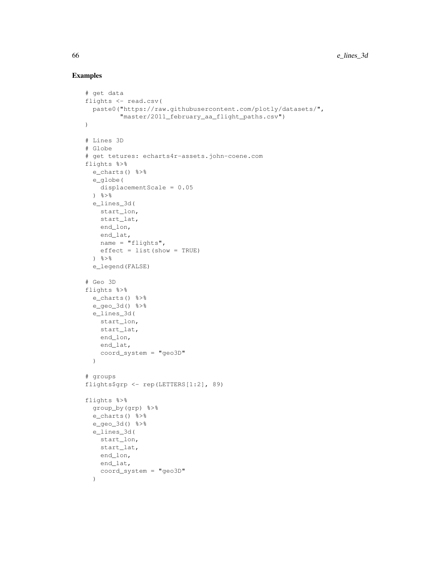```
# get data
flights <- read.csv(
  paste0("https://raw.githubusercontent.com/plotly/datasets/",
         "master/2011_february_aa_flight_paths.csv")
)
# Lines 3D
# Globe
# get tetures: echarts4r-assets.john-coene.com
flights %>%
 e_charts() %>%
  e_globe(
   displacementScale = 0.05
  ) \frac{6}{6} > \frac{6}{6}e_lines_3d(
   start_lon,
   start_lat,
   end_lon,
   end_lat,
   name = "flights",
   effect = list(show = TRUE)
  ) %>%
  e_legend(FALSE)
# Geo 3D
flights %>%
 e charts() % >e_geo_3d() %>%
  e_lines_3d(
   start_lon,
   start_lat,
   end_lon,
   end_lat,
   coord_system = "geo3D"
  )
# groups
flights$grp <- rep(LETTERS[1:2], 89)
flights %>%
 group_by(grp) %>%
  e_charts() %>%
  e_geo_3d() %>%
  e_lines_3d(
   start_lon,
   start_lat,
   end_lon,
   end_lat,
   coord_system = "geo3D"
  )
```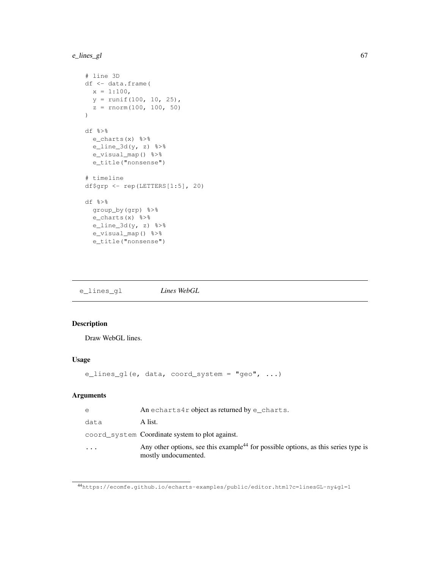### e\_lines\_gl 67

```
# line 3D
df <- data.frame(
 x = 1:100,y = runif(100, 10, 25),
 z = rnorm(100, 100, 50))
df %>%
 e_charts(x) %>%
 e_line_3d(y, z) 3^2e_visual_map() %>%
 e_title("nonsense")
# timeline
df$grp <- rep(LETTERS[1:5], 20)
df %>%
 group_by(grp) %>%
 e_charts(x) %>%
 e_line_3d(y, z) 25e_visual_map() %>%
  e_title("nonsense")
```
e\_lines\_gl *Lines WebGL*

## Description

Draw WebGL lines.

### Usage

```
e_lines_gl(e, data, coord_system = "geo", ...)
```
### Arguments

| $\Theta$ | An echarts4r object as returned by e charts.                                                                           |
|----------|------------------------------------------------------------------------------------------------------------------------|
| data     | A list.                                                                                                                |
|          | coord system Coordinate system to plot against.                                                                        |
| $\cdot$  | Any other options, see this example <sup>44</sup> for possible options, as this series type is<br>mostly undocumented. |

<sup>44</sup>https://ecomfe.github.io/echarts-examples/public/editor.html?c=linesGL-ny&gl=1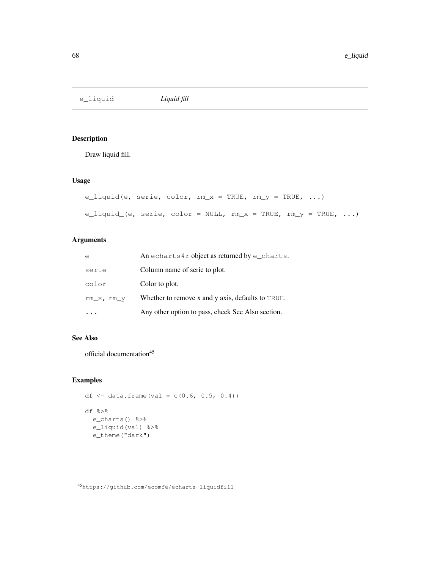e\_liquid *Liquid fill*

## Description

Draw liquid fill.

### Usage

```
e_liquid(e, serie, color, rm_x = TRUE, rm_y = TRUE, ...)
e_liquid_(e, serie, color = NULL, rm_x = TRUE, rm_y = TRUE, ...)
```
### Arguments

| e            | An echarts4r object as returned by $e$ _charts.   |
|--------------|---------------------------------------------------|
| serie        | Column name of serie to plot.                     |
| color        | Color to plot.                                    |
| $rm_x, rm_y$ | Whether to remove x and y axis, defaults to TRUE. |
|              | Any other option to pass, check See Also section. |

### See Also

official documentation<sup>45</sup>

#### Examples

```
df \leftarrow data.frame(val = c(0.6, 0.5, 0.4))
df %>%
  e_charts() %>%
```

```
e_liquid(val) %>%
```
e\_theme("dark")

<sup>45</sup>https://github.com/ecomfe/echarts-liquidfill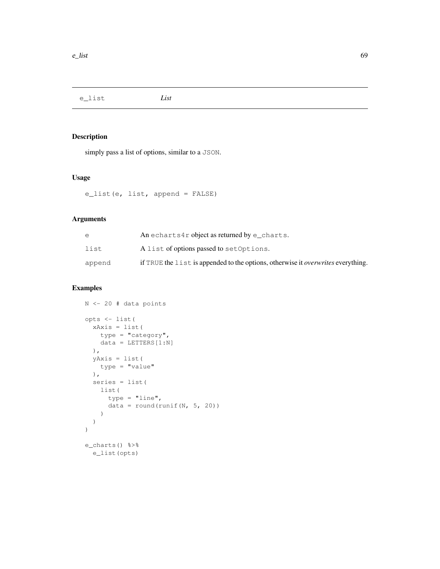e\_list *List*

### Description

simply pass a list of options, similar to a JSON.

## Usage

e\_list(e, list, append = FALSE)

### Arguments

| e      | An echarts4r object as returned by e charts.                                            |
|--------|-----------------------------------------------------------------------------------------|
| list   | A list of options passed to set Options.                                                |
| append | if TRUE the list is appended to the options, otherwise it <i>overwrites</i> everything. |

```
N <- 20 # data points
opts <- list(
 xAxis = list(
   type = "category",
   data = LETTERS[1:N]),
 yAxis = list(
  type = "value"
  ),
  series = list(
   list(
     type = "line",
     data = round(runif(N, 5, 20))
    )
  )
\, \,e_charts() %>%
  e_list(opts)
```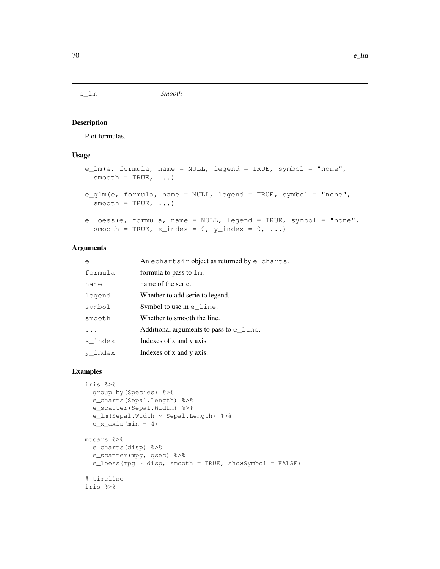### Description

Plot formulas.

### Usage

```
e_lm(e, formula, name = NULL, legend = TRUE, symbol = "none",
  smooth = TRUE, ...e_glm(e, formula, name = NULL, legend = TRUE, symbol = "none",
  smooth = TRUE, ...)
e_loess(e, formula, name = NULL, legend = TRUE, symbol = "none",
  smooth = TRUE, x_index = 0, y_index = 0, ...)
```
### Arguments

| e       | An echarts4r object as returned by $e$ _charts. |
|---------|-------------------------------------------------|
| formula | formula to pass to 1m.                          |
| name    | name of the serie.                              |
| legend  | Whether to add serie to legend.                 |
| symbol  | Symbol to use in $e$ line.                      |
| smooth  | Whether to smooth the line.                     |
|         | Additional arguments to pass to $e$ line.       |
| x index | Indexes of x and y axis.                        |
| y index | Indexes of x and y axis.                        |

```
iris %>%
 group_by(Species) %>%
 e_charts(Sepal.Length) %>%
  e_scatter(Sepal.Width) %>%
  e_lm(Sepal.Width ~ Sepal.Length) %>%
  e_x_axis(min = 4)mtcars %>%
  e_charts(disp) %>%
 e_scatter(mpg, qsec) %>%
 e_loess(mpg ~ disp, smooth = TRUE, showSymbol = FALSE)
# timeline
iris %>%
```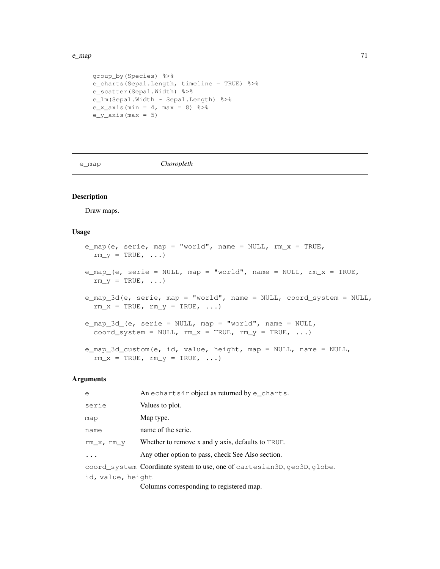#### $e_{\text{p}}$  and  $e_{\text{p}}$  and  $e_{\text{p}}$  and  $e_{\text{p}}$  and  $e_{\text{p}}$  and  $e_{\text{p}}$  and  $e_{\text{p}}$  and  $e_{\text{p}}$  and  $e_{\text{p}}$  and  $e_{\text{p}}$  and  $e_{\text{p}}$  and  $e_{\text{p}}$  and  $e_{\text{p}}$  and  $e_{\text{p}}$  and  $e_{\text{p}}$  and  $e_{\text{p}}$  a

```
group_by(Species) %>%
e_charts(Sepal.Length, timeline = TRUE) %>%
e_scatter(Sepal.Width) %>%
e_lm(Sepal.Width ~ Sepal.Length) %>%
e_x_axis(min = 4, max = 8) 8>8e_y_axis(max = 5)
```
e\_map *Choropleth*

### Description

Draw maps.

#### Usage

```
e_map(e, serie, map = "world", name = NULL, rm_x = TRUE,
  rm_y = TRUE, ...e_map_(e, serie = NULL, map = "world", name = NULL, rm_x = TRUE,
  rm_y = TRUE, ...e_map_3d(e, serie, map = "world", name = NULL, coord_system = NULL,
  rm\_x = TRUE, rm\_y = TRUE, \ldots)
e_map_3d_(e, serie = NULL, map = "world", name = NULL,
  coord_system = NULL, rm_x = TRUE, rm_y = TRUE, ...)
e_map_3d_custom(e, id, value, height, map = NULL, name = NULL,
  rm_x = TRUE, rm_y = TRUE, ...
```
### Arguments

| e                 | An echarts4r object as returned by $e$ _charts.                          |
|-------------------|--------------------------------------------------------------------------|
| serie             | Values to plot.                                                          |
| map               | Map type.                                                                |
| name              | name of the serie.                                                       |
| rm x, rm y        | Whether to remove x and y axis, defaults to TRUE.                        |
| $\ddots$          | Any other option to pass, check See Also section.                        |
|                   | coord_system Coordinate system to use, one of cartesian3D, geo3D, globe. |
| id, value, height |                                                                          |
|                   | Columns corresponding to registered map.                                 |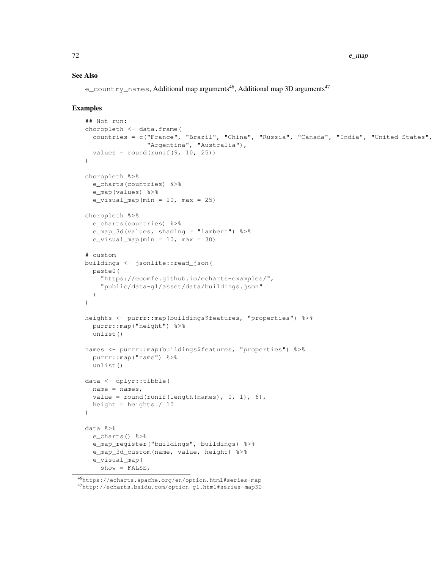### See Also

e\_country\_names, Additional map arguments<sup>46</sup>, Additional map 3D arguments<sup>47</sup>

```
## Not run:
choropleth <- data.frame(
 countries = c("France", "Brazil", "China", "Russia", "Canada", "India", "United States",
                "Argentina", "Australia"),
 values = round(runif(9, 10, 25))
)choropleth %>%
  e_charts(countries) %>%
  e_map(values) %>%
  e_visual_map(min = 10, max = 25)
choropleth %>%
  e_charts(countries) %>%
  e_map_3d(values, shading = "lambert") %>%
 e_visual_map(min = 10, max = 30)
# custom
buildings <- jsonlite::read_json(
 paste0(
    "https://ecomfe.github.io/echarts-examples/",
    "public/data-gl/asset/data/buildings.json"
  )
)
heights <- purrr::map(buildings$features, "properties") %>%
  purrr::map("height") %>%
  unlist()
names <- purrr::map(buildings$features, "properties") %>%
 purrr::map("name") %>%
 unlist()
data <- dplyr::tibble(
 name = names,value = round(runif(length(names), 0, 1), 6),
 height = heights / 10
)
data %>%
  e_charts() %>%
  e_map_register("buildings", buildings) %>%
  e_map_3d_custom(name, value, height) %>%
  e_visual_map(
   show = FALSE,
```
<sup>46</sup>https://echarts.apache.org/en/option.html#series-map <sup>47</sup>http://echarts.baidu.com/option-gl.html#series-map3D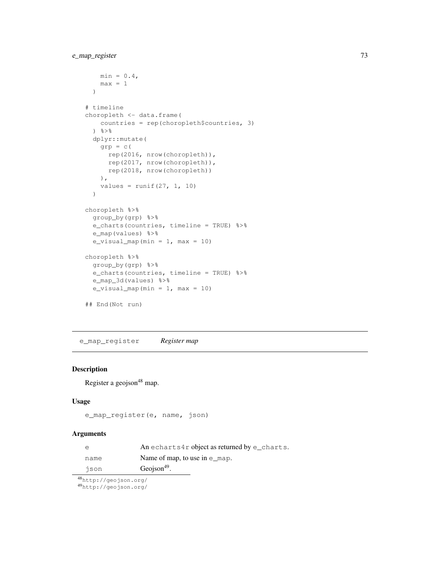```
min = 0.4,
   max = 1)
# timeline
choropleth <- data.frame(
   countries = rep(choropleth$countries, 3)
  \frac{6}{6} > \frac{6}{6}dplyr::mutate(
    qrp = c(rep(2016, nrow(choropleth)),
     rep(2017, nrow(choropleth)),
     rep(2018, nrow(choropleth))
   ),
    values = runit(27, 1, 10))
choropleth %>%
 group_by(grp) %>%
  e_charts(countries, timeline = TRUE) %>%
  e_map(values) %>%
  e_visual_map(min = 1, max = 10)
choropleth %>%
  group_by(grp) %>%
  e_charts(countries, timeline = TRUE) %>%
  e_map_3d(values) %>%
  e_visual_map(min = 1, max = 10)
## End(Not run)
```
e\_map\_register *Register map*

#### Description

Register a geojson<sup>48</sup> map.

## Usage

```
e_map_register(e, name, json)
```
#### Arguments

| e    | An echarts4r object as returned by e_charts. |
|------|----------------------------------------------|
| name | Name of map, to use in $e$ _map.             |
| ison | Geojson <sup>49</sup> .                      |

<sup>48</sup>http://geojson.org/

<sup>49</sup>http://geojson.org/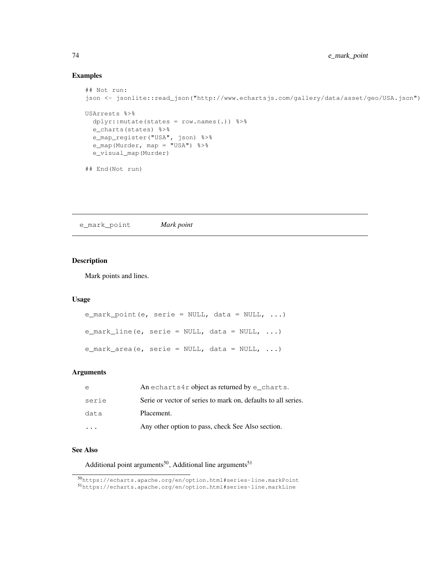# Examples

```
## Not run:
json <- jsonlite::read_json("http://www.echartsjs.com/gallery/data/asset/geo/USA.json")
USArrests %>%
 dplyr::mutate(states = row.names(.)) %>%
  e_charts(states) %>%
 e_map_register("USA", json) %>%
 e_map(Murder, map = "USA") %>%
  e_visual_map(Murder)
## End(Not run)
```
e\_mark\_point *Mark point*

## Description

Mark points and lines.

#### Usage

```
e_mark_point(e, serie = NULL, data = NULL, ...)
e_mark_line(e, serie = NULL, data = NULL, \dots)
e_mark_area(e, serie = NULL, data = NULL, \ldots)
```
# Arguments

| e                       | An echarts4r object as returned by $e$ _charts.               |
|-------------------------|---------------------------------------------------------------|
| serie                   | Serie or vector of series to mark on, defaults to all series. |
| data                    | Placement.                                                    |
| $\cdot$ $\cdot$ $\cdot$ | Any other option to pass, check See Also section.             |

#### See Also

Additional point arguments<sup>50</sup>, Additional line arguments<sup>51</sup>

<sup>50</sup>https://echarts.apache.org/en/option.html#series-line.markPoint <sup>51</sup>https://echarts.apache.org/en/option.html#series-line.markLine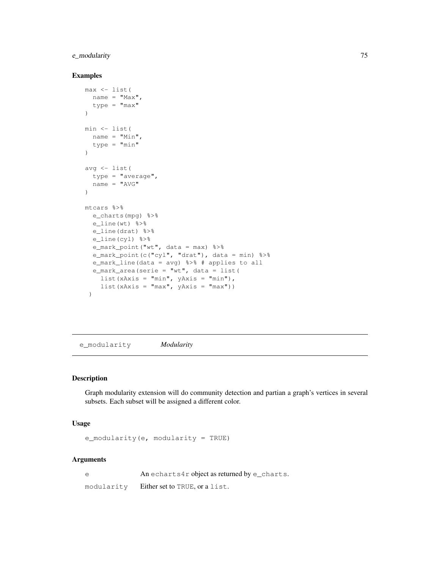## e\_modularity 75

#### Examples

```
max <- list(
 name = "Max",type = "max"
)
min <- list(
 name = "Min",type = "min"
)
avg \leftarrow list (
 type = "average",
 name = "AVG"\lambdamtcars %>%
  e_charts(mpg) %>%
  e_line(wt) %>%
  e_line(drat) %>%
  e_line(cyl) %>%
  e_mark_point("wt", data = max) %>%
  e_mark_point(c("cyl", "drat"), data = min) %>%
  e_mark_line(data = avg) %>% # applies to all
  e_mark_area(serie = "wt", data = list(
   list(xAxis = "min", yAxis = "min"),
    list(xAxis = "max", yAxis = "max"))
```
e\_modularity *Modularity*

## Description

Graph modularity extension will do community detection and partian a graph's vertices in several subsets. Each subset will be assigned a different color.

# Usage

e\_modularity(e, modularity = TRUE)

#### Arguments

e An echarts4r object as returned by e\_charts. modularity Either set to TRUE, or a list.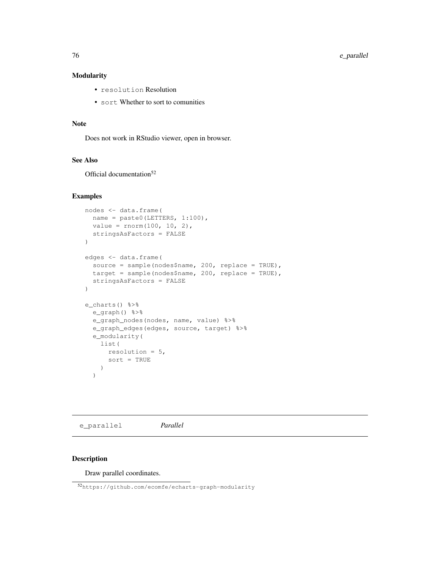76 e\_parallel

## Modularity

- resolution Resolution
- sort Whether to sort to comunities

## Note

Does not work in RStudio viewer, open in browser.

#### See Also

Official documentation<sup>52</sup>

#### Examples

```
nodes <- data.frame(
 name = paste0(LETTERS, 1:100),
 value = rnorm(100, 10, 2),
 stringsAsFactors = FALSE
)
edges <- data.frame(
  source = sample(nodes$name, 200, replace = TRUE),
 target = sample(nodes$name, 200, replace = TRUE),
  stringsAsFactors = FALSE
)
e_charts() %>%
  e_graph() %>%
  e_graph_nodes(nodes, name, value) %>%
  e_graph_edges(edges, source, target) %>%
  e_modularity(
   list(
     resolution = 5,
      sort = TRUE
    )
  )
```
e\_parallel *Parallel*

#### Description

Draw parallel coordinates.

<sup>52</sup>https://github.com/ecomfe/echarts-graph-modularity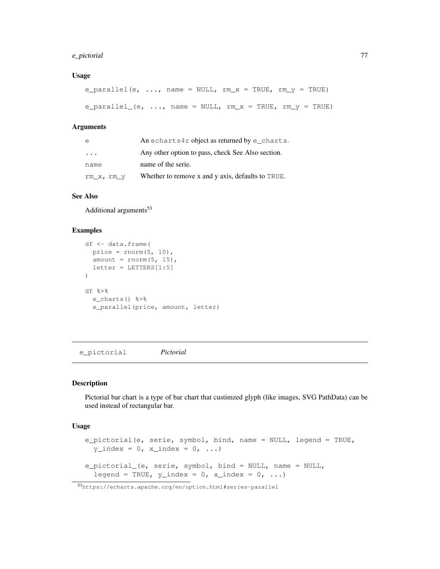## e\_pictorial 77

#### Usage

```
e_parallel(e, ..., name = NULL, rm_x = TRUE, rm_y = TRUE)
e_parallel_(e, ..., name = NULL, rm_x = TRUE, rm_y = TRUE)
```
#### Arguments

| e            | An echarts4r object as returned by e_charts.      |
|--------------|---------------------------------------------------|
| $\cdots$     | Any other option to pass, check See Also section. |
| name         | name of the serie.                                |
| $rm_x, rm_y$ | Whether to remove x and y axis, defaults to TRUE. |

#### See Also

Additional arguments<sup>53</sup>

#### Examples

```
df <- data.frame(
 price = rnorm(5, 10),
 amount = rnorm(5, 15),
 letter = LETTERS[1:5])
df %>%
  e_charts() %>%
  e_parallel(price, amount, letter)
```
e\_pictorial *Pictorial*

# Description

Pictorial bar chart is a type of bar chart that custimzed glyph (like images, SVG PathData) can be used instead of rectangular bar.

```
e_pictorial(e, serie, symbol, bind, name = NULL, legend = TRUE,
 y\_index = 0, x\_index = 0, ...e_pictorial_(e, serie, symbol, bind = NULL, name = NULL,
  legend = TRUE, y\_index = 0, x\_index = 0, ...)
```
<sup>53</sup>https://echarts.apache.org/en/option.html#series-parallel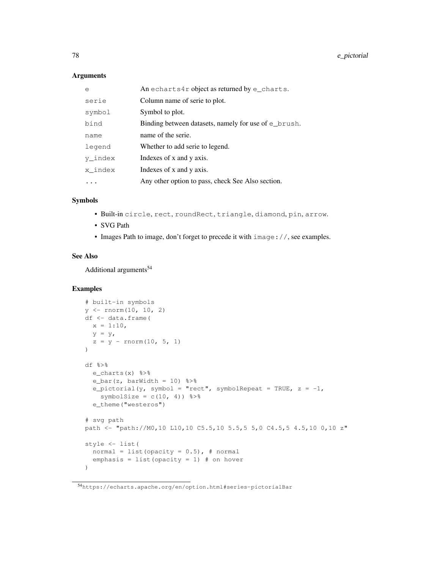#### Arguments

| $\epsilon$ | An echarts4r object as returned by $e$ _charts.          |
|------------|----------------------------------------------------------|
| serie      | Column name of serie to plot.                            |
| symbol     | Symbol to plot.                                          |
| bind       | Binding between datasets, namely for use of $\in$ brush. |
| name       | name of the serie.                                       |
| legend     | Whether to add serie to legend.                          |
| y index    | Indexes of x and y axis.                                 |
| x index    | Indexes of x and y axis.                                 |
|            | Any other option to pass, check See Also section.        |

#### Symbols

- Built-in circle, rect, roundRect, triangle, diamond, pin, arrow.
- SVG Path
- Images Path to image, don't forget to precede it with image: //, see examples.

#### See Also

Additional arguments<sup>54</sup>

```
# built-in symbols
y \leftarrow \text{norm}(10, 10, 2)df <- data.frame(
 x = 1:10,y = y,
  z = y - \text{norm}(10, 5, 1))
df %>%
 e_charts(x) %>%
 e_bar(z, barWidth = 10) 8>8e_pictorial(y, symbol = "rect", symbolRepeat = TRUE, z = -1,
   symbolSize = c(10, 4)) 8>8e_theme("westeros")
# svg path
path <- "path://M0,10 L10,10 C5.5,10 5.5,5 5,0 C4.5,5 4.5,10 0,10 z"
style <- list(
  normal = list(opacity = 0.5), # normal
  emphasis = list(opacity = 1) # on hover
)
```
<sup>54</sup>https://echarts.apache.org/en/option.html#series-pictorialBar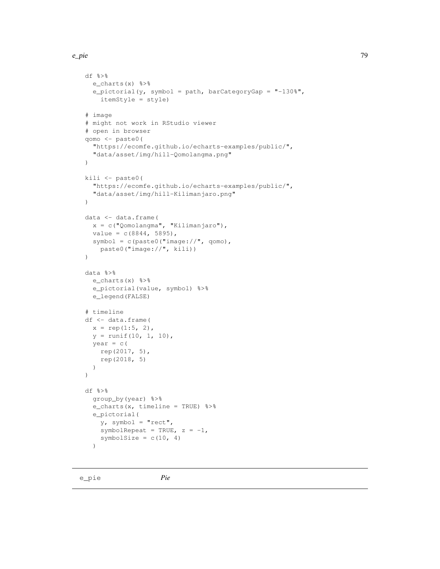```
df %>%
  e_charts(x) %>%
  e_pictorial(y, symbol = path, barCategoryGap = "-130%",
    itemStyle = style)
# image
# might not work in RStudio viewer
# open in browser
qomo <- paste0(
  "https://ecomfe.github.io/echarts-examples/public/",
  "data/asset/img/hill-Qomolangma.png"
)
kili <- paste0(
  "https://ecomfe.github.io/echarts-examples/public/",
  "data/asset/img/hill-Kilimanjaro.png"
)
data <- data.frame(
 x = c("Qomolangma", "Kilimanjaro"),
 value = c(8844, 5895),
 symbol = c(paste0("image://", qomo),
   paste0("image://", kili))
)
data %>%
 e_charts(x) %>%
 e_pictorial(value, symbol) %>%
  e_legend(FALSE)
# timeline
df <- data.frame(
 x = rep(1:5, 2),y = runif(10, 1, 10),
 year = c(rep(2017, 5),
    rep(2018, 5)
  )
)
df %>%
  group_by(year) %>%
  e_charts(x, timeline = TRUE) %>%
  e_pictorial(
   y, symbol = "rect",
    symbolRepeat = TRUE, z = -1,
    symbolSize = c(10, 4)\lambda
```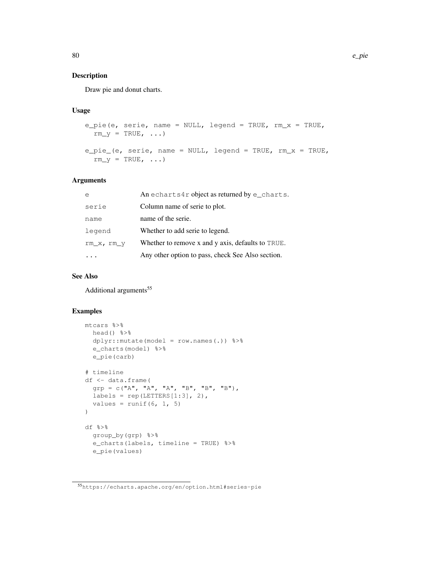## Description

Draw pie and donut charts.

## Usage

```
e_pie(e, serie, name = NULL, legend = TRUE, rm_x = TRUE,
  rm_y = TRUE, \ldots)e_pie_(e, serie, name = NULL, legend = TRUE, rm_x = TRUE,
  rm_y = TRUE, \ldots)
```
#### Arguments

| e            | An echarts4r object as returned by $e$ _charts.   |
|--------------|---------------------------------------------------|
| serie        | Column name of serie to plot.                     |
| name         | name of the serie.                                |
| legend       | Whether to add serie to legend.                   |
| $rm_x, rm_y$ | Whether to remove x and y axis, defaults to TRUE. |
|              | Any other option to pass, check See Also section. |

# See Also

Additional arguments<sup>55</sup>

```
mtcars %>%
 head() %>%
 dplyr::mutate(model = row.names(.)) %>%
  e_charts(model) %>%
  e_pie(carb)
# timeline
df <- data.frame(
 grp = c("A", "A", "A", "B", "B", "B", "B")labels = rep(LETTERS[1:3], 2),
 values = runif(6, 1, 5)
)
df %>%
  group_by(grp) %>%
  e_charts(labels, timeline = TRUE) %>%
  e_pie(values)
```
<sup>55</sup>https://echarts.apache.org/en/option.html#series-pie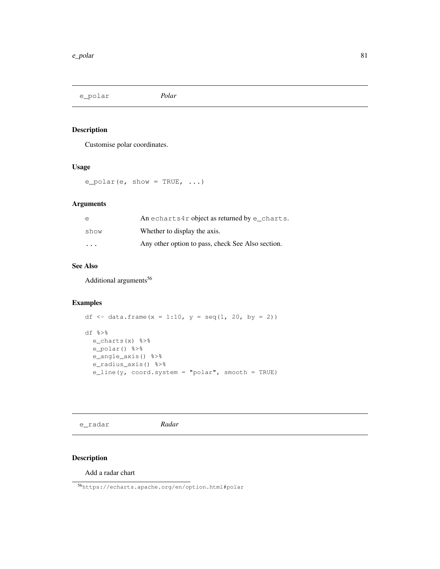e\_polar *Polar*

# Description

Customise polar coordinates.

#### Usage

 $e\_polar(e, show = TRUE, ...)$ 

#### Arguments

| e       | An echarts4r object as returned by $e$ _charts.   |
|---------|---------------------------------------------------|
| show    | Whether to display the axis.                      |
| $\cdot$ | Any other option to pass, check See Also section. |

## See Also

Additional arguments<sup>56</sup>

## Examples

```
df \leftarrow data.frame(x = 1:10, y = seq(1, 20, by = 2))
df %>%
 e_charts(x) %>%
 e_polar() %>%
  e_angle_axis() %>%
  e_radius_axis() %>%
  e_line(y, coord.system = "polar", smooth = TRUE)
```
e\_radar *Radar*

# Description

Add a radar chart

<sup>56</sup>https://echarts.apache.org/en/option.html#polar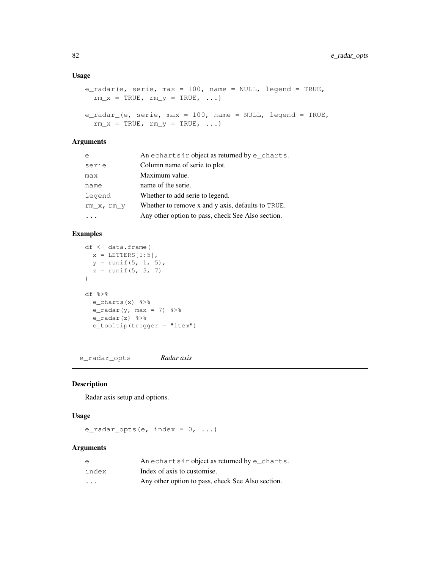#### Usage

```
e_radar(e, serie, max = 100, name = NULL, legend = TRUE,
 rm\_x = TRUE, rm\_y = TRUE, ...e_radar_(e, serie, max = 100, name = NULL, legend = TRUE,
 rm_x = TRUE, rm_y = TRUE, ...
```
## Arguments

| e            | An echarts4r object as returned by $e$ _charts.   |
|--------------|---------------------------------------------------|
| serie        | Column name of serie to plot.                     |
| max          | Maximum value.                                    |
| name         | name of the serie.                                |
| legend       | Whether to add serie to legend.                   |
| $rm_x, rm_y$ | Whether to remove x and y axis, defaults to TRUE. |
|              | Any other option to pass, check See Also section. |

## Examples

```
df <- data.frame(
 x = LETTERS[1:5],y = runif(5, 1, 5),
 z = runif(5, 3, 7))
df %>%
 e_charts(x) %>%
 e_radar(y, max = 7) 8>8e_radar(z) %>%
  e_tooltip(trigger = "item")
```
e\_radar\_opts *Radar axis*

# Description

Radar axis setup and options.

# Usage

```
e_radar_opts(e, index = 0, ...)
```
#### Arguments

| e                       | An echarts4r object as returned by $e$ _charts.   |
|-------------------------|---------------------------------------------------|
| index                   | Index of axis to customise.                       |
| $\cdot$ $\cdot$ $\cdot$ | Any other option to pass, check See Also section. |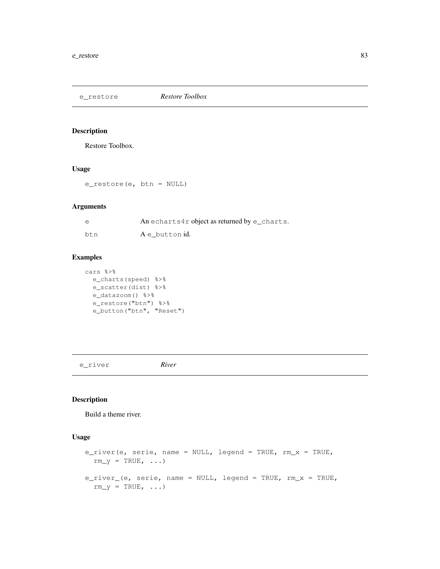e\_restore *Restore Toolbox*

#### Description

Restore Toolbox.

#### Usage

e\_restore(e, btn = NULL)

## Arguments

| $\epsilon$ | An echarts4r object as returned by $e$ _charts. |
|------------|-------------------------------------------------|
| btn        | A e button id.                                  |

#### Examples

```
cars %>%
 e_charts(speed) %>%
 e_scatter(dist) %>%
 e_datazoom() %>%
  e_restore("btn") %>%
  e_button("btn", "Reset")
```
e\_river *River*

# Description

Build a theme river.

```
e_river(e, serie, name = NULL, legend = TRUE, rm_x = TRUE,
 rm_y = TRUE, \ldots)e_river_(e, serie, name = NULL, legend = TRUE, rm_x = TRUE,
 rm_y = TRUE, \ldots)
```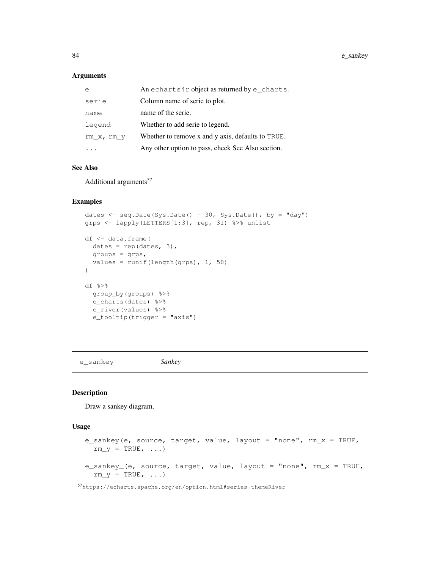## Arguments

| e            | An echarts4r object as returned by $e$ _charts.   |
|--------------|---------------------------------------------------|
| serie        | Column name of serie to plot.                     |
| name         | name of the serie.                                |
| legend       | Whether to add serie to legend.                   |
| $rm_x, rm_y$ | Whether to remove x and y axis, defaults to TRUE. |
|              | Any other option to pass, check See Also section. |

#### See Also

Additional arguments<sup>57</sup>

#### Examples

```
dates \leq seq.Date(Sys.Date() - 30, Sys.Date(), by = "day")
grps <- lapply(LETTERS[1:3], rep, 31) %>% unlist
df <- data.frame(
 dates = rep(dates, 3),
 groups = grps,
 values = runif(length(grps), 1, 50)
)
df %>%
 group_by(groups) %>%
 e charts(dates) %>%
 e_river(values) %>%
  e_tooltip(trigger = "axis")
```
e\_sankey *Sankey*

#### Description

Draw a sankey diagram.

```
e_sankey(e, source, target, value, layout = "none", rm_x = TRUE,
  rm_y = TRUE, ...e_sankey_(e, source, target, value, layout = "none", rm_x = TRUE,
 rm_y = TRUE, \ldots)
```
<sup>57</sup>https://echarts.apache.org/en/option.html#series-themeRiver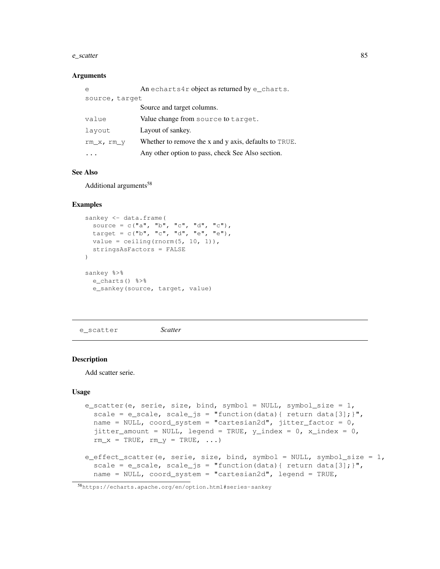#### e\_scatter 85

#### **Arguments**

| e              | An echarts4r object as returned by $e$ _charts.       |
|----------------|-------------------------------------------------------|
| source, target |                                                       |
|                | Source and target columns.                            |
| value          | Value change from source to target.                   |
| layout         | Layout of sankey.                                     |
| $rm_x, rm_y$   | Whether to remove the x and y axis, defaults to TRUE. |
|                | Any other option to pass, check See Also section.     |

#### See Also

Additional arguments<sup>58</sup>

## Examples

```
sankey <- data.frame(
 source = c("a", "b", "c", "d", "c"),
 target = c("b", "c", "d", "e", "e"),
 value = ceiling(rnorm(5, 10, 1)),
 stringsAsFactors = FALSE
)
sankey %>%
 e_charts() %>%
 e_sankey(source, target, value)
```
e\_scatter *Scatter*

#### Description

Add scatter serie.

```
e_scatter(e, serie, size, bind, symbol = NULL, symbol_size = 1,
  scale = e_scale, scale_js = "function(data){ return data[3]; }",
  name = NULL, coord_system = "cartesian2d", jitter_factor = 0,
  jitter_amount = NULL, legend = TRUE, y_index = 0, x_index = 0,
  rm\_x = TRUE, rm\_y = TRUE, \ldots)
e_effect_scatter(e, serie, size, bind, symbol = NULL, symbol_size = 1,
  scale = e_scale, scale_js = "function(data){ return data[3]; }",
  name = NULL, coord_system = "cartesian2d", legend = TRUE,
```
<sup>58</sup>https://echarts.apache.org/en/option.html#series-sankey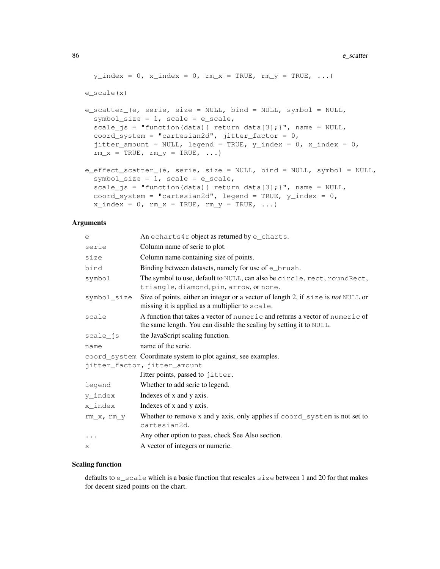#### 86 e\_scatter equal to the control of the control of the control of the control of the control of the control of the control of the control of the control of the control of the control of the control of the control of the c

```
y\_index = 0, x\_index = 0, rm_x = TRUE, rm_y = TRUE, ...e_scale(x)
e_scatter_(e, serie, size = NULL, bind = NULL, symbol = NULL,
  symbol_size = 1, scale = e_scale,
  scale_js = "function(data){ return data[3]; }", name = NULL,
  coord_system = "cartesian2d", jitter_factor = 0,
  jitter_amount = NULL, legend = TRUE, y_index = 0, x_index = 0,
  rm\_x = TRUE, rm\_y = TRUE, \ldots)
e_effect_scatter_(e, serie, size = NULL, bind = NULL, symbol = NULL,
  symbol_symbol_size = 1, scale = e_scale,
  scale_js = "function(data){ return data[3]; }", name = NULL,
  coord_system = "cartesian2d", legend = TRUE, y_index = 0,
  x\_index = 0, rm_x = TRUE, rm_y = TRUE, ...)
```
#### Arguments

| е           | An echarts4r object as returned by e_charts.                                                                                                        |
|-------------|-----------------------------------------------------------------------------------------------------------------------------------------------------|
| serie       | Column name of serie to plot.                                                                                                                       |
| size        | Column name containing size of points.                                                                                                              |
| bind        | Binding between datasets, namely for use of e_brush.                                                                                                |
| symbol      | The symbol to use, default to NULL, can also be circle, rect, roundRect,<br>triangle, diamond, pin, arrow, or none.                                 |
| symbol_size | Size of points, either an integer or a vector of length 2, if size is not NULL or<br>missing it is applied as a multiplier to scale.                |
| scale       | A function that takes a vector of numeric and returns a vector of numeric of<br>the same length. You can disable the scaling by setting it to NULL. |
| scale_js    | the JavaScript scaling function.                                                                                                                    |
| name        | name of the serie.                                                                                                                                  |
|             | coord_system Coordinate system to plot against, see examples.                                                                                       |
|             | jitter_factor, jitter_amount                                                                                                                        |
|             | Jitter points, passed to jitter.                                                                                                                    |
| legend      | Whether to add serie to legend.                                                                                                                     |
| y_index     | Indexes of x and y axis.                                                                                                                            |
| x index     | Indexes of x and y axis.                                                                                                                            |
| rm_x, rm_y  | Whether to remove x and y axis, only applies if $coord$ system is not set to<br>cartesian2d.                                                        |
| $\ddots$    | Any other option to pass, check See Also section.                                                                                                   |
| X.          | A vector of integers or numeric.                                                                                                                    |

#### Scaling function

defaults to e\_scale which is a basic function that rescales size between 1 and 20 for that makes for decent sized points on the chart.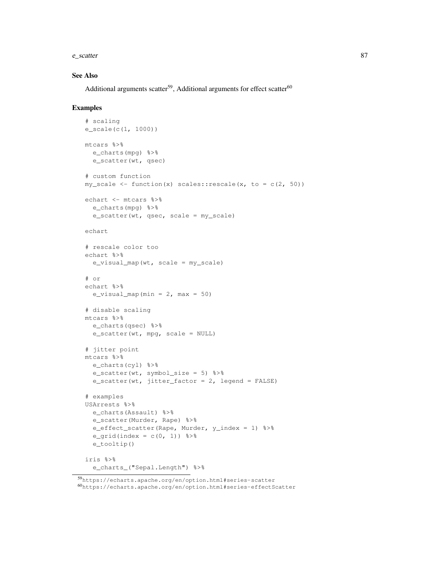e\_scatter 87

#### See Also

Additional arguments scatter<sup>59</sup>, Additional arguments for effect scatter<sup>60</sup>

```
# scaling
e_scale(c(1, 1000))
mtcars %>%
 e_charts(mpg) %>%
  e_scatter(wt, qsec)
# custom function
my\_scale \leftarrow function(x) scales::rescale(x, to = c(2, 50))echart <- mtcars %>%
  e_charts(mpg) %>%
  e_scatter(wt, qsec, scale = my_scale)
echart
# rescale color too
echart %>%
  e_visual_map(wt, scale = my_scale)
# or
echart %>%
  e_visual_map(min = 2, max = 50)
# disable scaling
mtcars %>%
  e_charts(qsec) %>%
  e_scatter(wt, mpg, scale = NULL)
# jitter point
mtcars %>%
 e_charts(cyl) %>%
  e_scatter(wt, symbol_size = 5) %>%
  e_scatter(wt, jitter_factor = 2, legend = FALSE)
# examples
USArrests %>%
  e_charts(Assault) %>%
  e_scatter(Murder, Rape) %>%
  e_effect_scatter(Rape, Murder, y_index = 1) %>%
  e_grid(index = c(0, 1)) 8>8e_tooltip()
iris %>%
  e_charts_("Sepal.Length") %>%
```
<sup>59</sup>https://echarts.apache.org/en/option.html#series-scatter  $^{60}$ https://echarts.apache.org/en/option.html#series-effectScatter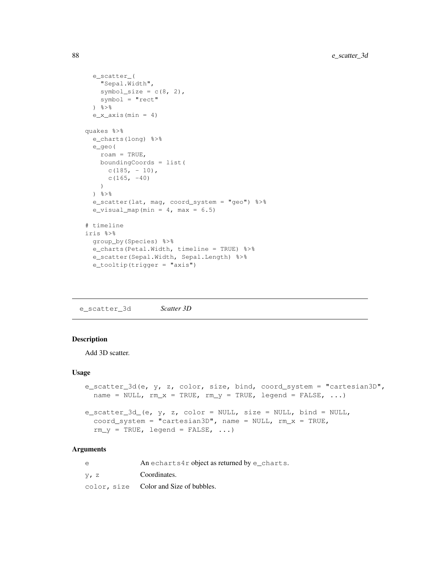```
e_scatter_(
   "Sepal.Width",
   symbol_size = c(8, 2),
   symbol = "rect"
  ) %>%
  e_x_axis(min = 4)quakes %>%
  e_charts(long) %>%
  e_geo(
   roam = TRUE,boundingCoords = list(
      c(185, -10),
      c(165, -40))
  \frac{6}{6} > \frac{6}{6}e_scatter(lat, mag, coord_system = "geo") %>%
  e_visual_map(min = 4, max = 6.5)
# timeline
iris %>%
 group_by(Species) %>%
 e_charts(Petal.Width, timeline = TRUE) %>%
  e_scatter(Sepal.Width, Sepal.Length) %>%
  e_tooltip(trigger = "axis")
```
e\_scatter\_3d *Scatter 3D*

## Description

Add 3D scatter.

#### Usage

```
e_scatter_3d(e, y, z, color, size, bind, coord_system = "cartesian3D",
 name = NULL, rm_x = TRUE, rm_y = TRUE, legend = FALSE, ...)
e_scatter_3d_(e, y, z, color = NULL, size = NULL, bind = NULL,
  coord_system = "cartesian3D", name = NULL, rm_x = TRUE,
  rm_y = TRUE, legend = FALSE, ...)
```
#### Arguments

| $\epsilon$ | An echarts4r object as returned by $e$ _charts. |
|------------|-------------------------------------------------|
| $V1$ z     | Coordinates.                                    |
|            | color, size Color and Size of bubbles.          |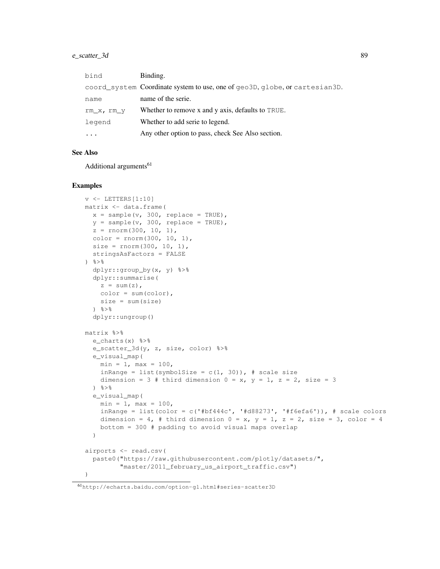## e\_scatter\_3d 89

| bind       | Binding.                                                                    |
|------------|-----------------------------------------------------------------------------|
|            | coord_system Coordinate system to use, one of geo3D, globe, or cartesian3D. |
| name       | name of the serie.                                                          |
| rm x, rm y | Whether to remove x and y axis, defaults to TRUE.                           |
| legend     | Whether to add serie to legend.                                             |
|            | Any other option to pass, check See Also section.                           |

#### See Also

Additional arguments<sup>61</sup>

```
v \leftarrow LETTERS [1:10]matrix <- data.frame(
 x = sample(v, 300, replace = TRUE),
  y = sample(v, 300, replace = TRUE),
  z = rnorm(300, 10, 1),color = rnorm(300, 10, 1),size = rnorm(300, 10, 1),
  stringsAsFactors = FALSE
\frac{6}{6}dplyr::group_by(x, y) %>%
  dplyr::summarise(
   z = sum(z),
   color = sum(color),
   size = sum(size)
  ) \frac{6}{6} > \frac{6}{6}dplyr::ungroup()
matrix %>%
  e_charts(x) %>%
  e_scatter_3d(y, z, size, color) %>%
  e_visual_map(
    min = 1, max = 100,inRange = list(symbolSize = c(1, 30)), # scale size
    dimension = 3 # third dimension 0 = x, y = 1, z = 2, size = 3
  \frac{8}{6}e_visual_map(
    min = 1, max = 100,inRange = list(color = c('#bf444c', '#d88273', '#f6efa6')), # scale colors
    dimension = 4, # third dimension 0 = x, y = 1, z = 2, size = 3, color = 4
    bottom = 300 # padding to avoid visual maps overlap
  )
airports <- read.csv(
  paste0("https://raw.githubusercontent.com/plotly/datasets/",
          "master/2011_february_us_airport_traffic.csv")
)
```
<sup>61</sup>http://echarts.baidu.com/option-gl.html#series-scatter3D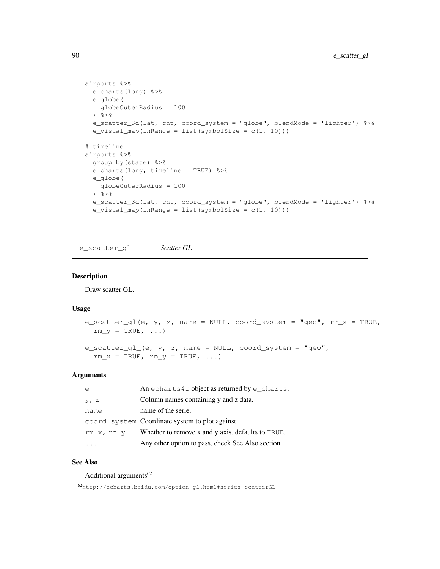```
airports %>%
  e_charts(long) %>%
  e_globe(
   globeOuterRadius = 100
  \frac{6}{6} > \frac{6}{6}e_scatter_3d(lat, cnt, coord_system = "globe", blendMode = 'lighter') %>%
  e_visual_map(inRange = list(symbolSize = c(1, 10)))
# timeline
airports %>%
  group_by(state) %>%
  e_charts(long, timeline = TRUE) %>%
 e_globe(
   globeOuterRadius = 100
  \frac{6}{6}e_scatter_3d(lat, cnt, coord_system = "globe", blendMode = 'lighter') %>%
  e_visual_map(inRange = list(symbolSize = c(1, 10)))
```
e\_scatter\_gl *Scatter GL*

## Description

Draw scatter GL.

#### Usage

```
e_scatter_gl(e, y, z, name = NULL, coord_system = "geo", rm_x = TRUE,
 rm_y = TRUE, \ldots)e_scatter_gl_(e, y, z, name = NULL, coord_system = "geo",
  rm_x = TRUE, rm_y = TRUE, ...
```
# Arguments

| e            | An echarts4r object as returned by e_charts.      |
|--------------|---------------------------------------------------|
| $V1$ z       | Column names containing y and z data.             |
| name         | name of the serie.                                |
|              | coord_system Coordinate system to plot against.   |
| $rm_x, rm_y$ | Whether to remove x and y axis, defaults to TRUE. |
|              | Any other option to pass, check See Also section. |

# See Also

Additional arguments $62$ 

<sup>62</sup>http://echarts.baidu.com/option-gl.html#series-scatterGL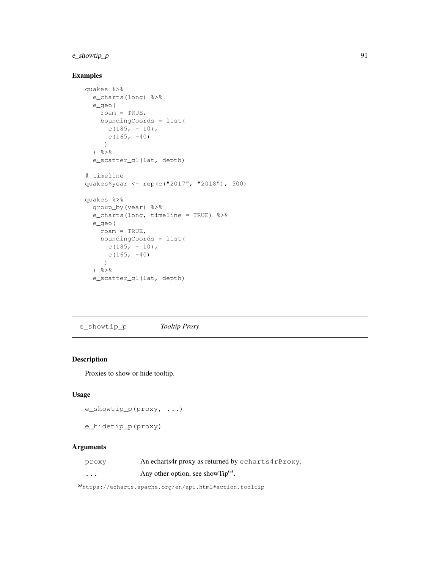# e\_showtip\_p 91

# Examples

```
quakes %>%
  e_charts(long) %>%
  e_geo(
   roam = TRUE,
   boundingCoords = list(
      c(185, -10),
      c(165, -40))
  \frac{6}{3}e_scatter_gl(lat, depth)
# timeline
quakes$year <- rep(c("2017", "2018"), 500)
quakes %>%
  group_by(year) %>%
  e_charts(long, timeline = TRUE) %>%
  e_geo(
   roam = TRUE,
   boundingCoords = list(
     c(185, - 10),
     c(165, -40)
     )
  \frac{8}{6}e_scatter_gl(lat, depth)
```
e\_showtip\_p *Tooltip Proxy*

## Description

Proxies to show or hide tooltip.

## Usage

```
e_showtip_p(proxy, ...)
```
e\_hidetip\_p(proxy)

## Arguments

| proxy   | An echarts4r proxy as returned by echarts4rProxy. |
|---------|---------------------------------------------------|
| $\cdot$ | Any other option, see show $Tip^{63}$ .           |

<sup>63</sup>https://echarts.apache.org/en/api.html#action.tooltip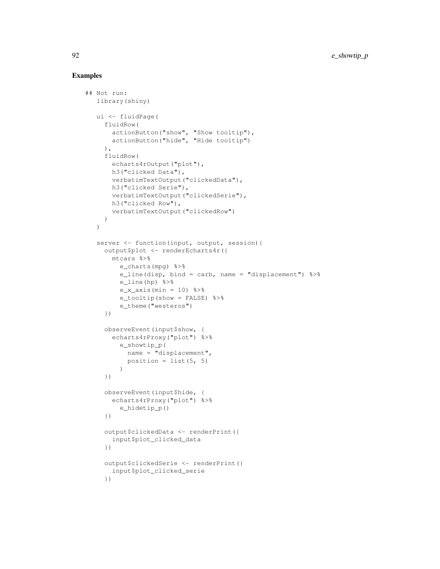```
## Not run:
  library(shiny)
  ui <- fluidPage(
    fluidRow(
       actionButton("show", "Show tooltip"),
       actionButton("hide", "Hide tooltip")
    ),
    fluidRow(
      echarts4rOutput("plot"),
      h3("clicked Data"),
      verbatimTextOutput("clickedData"),
      h3("clicked Serie"),
      verbatimTextOutput("clickedSerie"),
      h3("clicked Row"),
      verbatimTextOutput("clickedRow")
    )
  )
  server <- function(input, output, session){
    output$plot <- renderEcharts4r({
      mtcars %>%
        e_charts(mpg) %>%
        e_line(disp, bind = carb, name = "displacement") %>%
        e_line(hp) %>%
        e_x_axis(min = 10) 8>8e tooltip(show = FALSE) %>%
        e_theme("westeros")
    })
    observeEvent(input$show, {
      echarts4rProxy("plot") %>%
        e_showtip_p(
          name = "displacement",
          position = list(5, 5))
    })
    observeEvent(input$hide, {
      echarts4rProxy("plot") %>%
        e_hidetip_p()
    })
    output$clickedData <- renderPrint({
      input$plot_clicked_data
    })
    output$clickedSerie <- renderPrint({
      input$plot_clicked_serie
    })
```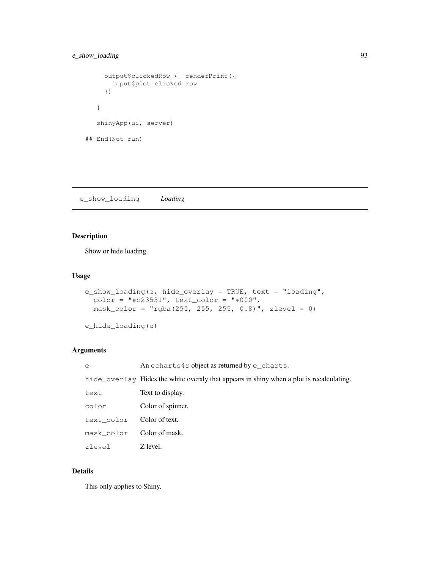```
output$clickedRow <- renderPrint({
      input$plot_clicked_row
     })
   }
   shinyApp(ui, server)
## End(Not run)
```
e\_show\_loading *Loading*

## Description

Show or hide loading.

## Usage

```
e_show_loading(e, hide_overlay = TRUE, text = "loading",
  color = "\#c23531", text-color = "\#000",mask\_color = "rgba(255, 255, 255, 0.8)", zlevel = 0)
```

```
e_hide_loading(e)
```
## Arguments

| $\epsilon$ | An echarts4r object as returned by $e$ _charts.                                          |
|------------|------------------------------------------------------------------------------------------|
|            | hide overlay Hides the white overaly that appears in shiny when a plot is recalculating. |
| text       | Text to display.                                                                         |
| color      | Color of spinner.                                                                        |
| text color | Color of text.                                                                           |
| mask color | Color of mask.                                                                           |
| zlevel     | Z level.                                                                                 |

# Details

This only applies to Shiny.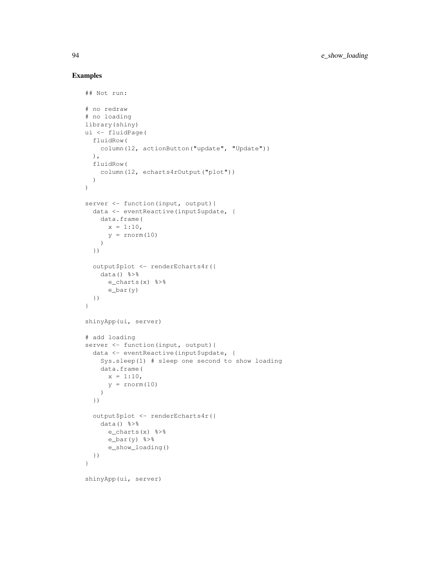```
## Not run:
# no redraw
# no loading
library(shiny)
ui <- fluidPage(
 fluidRow(
   column(12, actionButton("update", "Update"))
 ),
 fluidRow(
   column(12, echarts4rOutput("plot"))
 )
)
server <- function(input, output){
 data <- eventReactive(input$update, {
   data.frame(
     x = 1:10,
     y = rnorm(10))
  })
  output$plot <- renderEcharts4r({
   data() %>%
     e_charts(x) %>%
     e_bar(y)
 })
}
shinyApp(ui, server)
# add loading
server <- function(input, output){
 data <- eventReactive(input$update, {
   Sys.sleep(1) # sleep one second to show loading
   data.frame(
     x = 1:10,y = rnorm(10))
  })
  output$plot <- renderEcharts4r({
   data() %>%
     e_charts(x) %>%
     e_{bar(y) s>\se_show_loading()
 })
}
shinyApp(ui, server)
```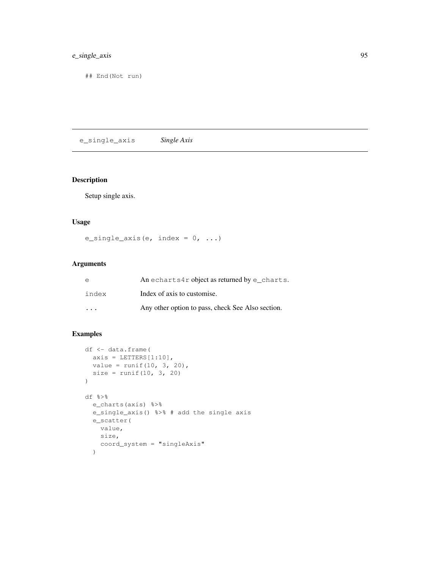# e\_single\_axis 95

## End(Not run)

e\_single\_axis *Single Axis*

# Description

Setup single axis.

## Usage

```
e_single_axis(e, index = 0, ...)
```
## Arguments

| e                       | An echarts4r object as returned by e_charts.      |
|-------------------------|---------------------------------------------------|
| index                   | Index of axis to customise.                       |
| $\cdot$ $\cdot$ $\cdot$ | Any other option to pass, check See Also section. |

```
df <- data.frame(
 axis = LETTERS[1:10],value = runif(10, 3, 20),
 size = runif(10, 3, 20))
df %>%
  e_charts(axis) %>%
 e_single_axis() %>% # add the single axis
 e_scatter(
   value,
   size,
   coord_system = "singleAxis"
  )
```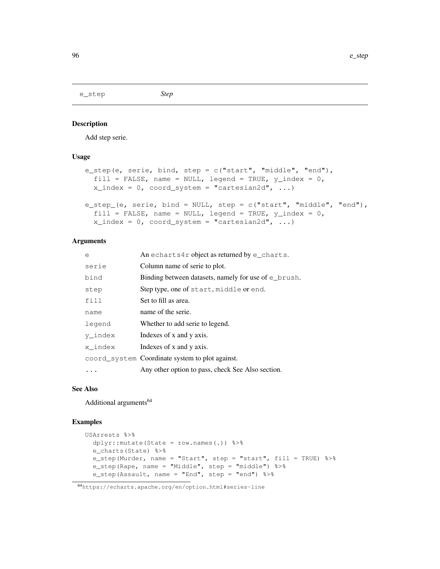e\_step *Step*

#### Description

Add step serie.

#### Usage

```
e_step(e, serie, bind, step = c("start", "middle", "end"),
  fill = FALSE, name = NULL, legend = TRUE, y_index = 0,
 x_index = 0, coord_system = "cartesian2d", ...)
e_step_(e, serie, bind = NULL, step = c("start", "middle", "end"),
  fill = FALSE, name = NULL, legend = TRUE, y\_index = 0,
  x_index = 0, coord_system = "cartesian2d", ...)
```
## Arguments

| e       | An echarts4r object as returned by $e$ _charts.          |
|---------|----------------------------------------------------------|
| serie   | Column name of serie to plot.                            |
| bind    | Binding between datasets, namely for use of $\in$ brush. |
| step    | Step type, one of start, middle or end.                  |
| fill    | Set to fill as area.                                     |
| name    | name of the serie.                                       |
| legend  | Whether to add serie to legend.                          |
| y index | Indexes of x and y axis.                                 |
| x index | Indexes of x and y axis.                                 |
|         | coord system Coordinate system to plot against.          |
|         | Any other option to pass, check See Also section.        |

#### See Also

Additional arguments<sup>64</sup>

#### Examples

```
USArrests %>%
  dplyr::mutate(State = row.names(.)) %>%
  e_charts(State) %>%
  e_step(Murder, name = "Start", step = "start", fill = TRUE) %>%
 e_step(Rape, name = "Middle", step = "middle") %>%
  e_step(Assault, name = "End", step = "end") %>%
```
# <sup>64</sup>https://echarts.apache.org/en/option.html#series-line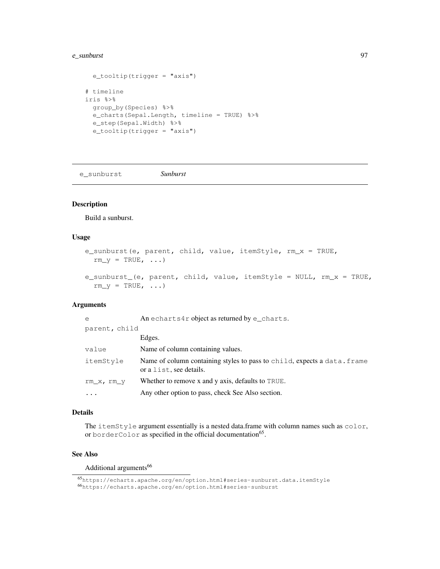#### e\_sunburst 97

```
e_tooltip(trigger = "axis")
# timeline
iris %>%
 group_by(Species) %>%
 e_charts(Sepal.Length, timeline = TRUE) %>%
 e_step(Sepal.Width) %>%
  e_tooltip(trigger = "axis")
```
e\_sunburst *Sunburst*

# Description

Build a sunburst.

## Usage

```
e_sunburst(e, parent, child, value, itemStyle, rm_x = TRUE,
  rm_y = TRUE, ...e_sunburst_(e, parent, child, value, itemStyle = NULL, rm_x = TRUE,
  rm_y = TRUE, ...
```
#### Arguments

| $\epsilon$    | An echarts4r object as returned by e_charts.                                                        |
|---------------|-----------------------------------------------------------------------------------------------------|
| parent, child |                                                                                                     |
|               | Edges.                                                                                              |
| value         | Name of column containing values.                                                                   |
| itemStyle     | Name of column containing styles to pass to child, expects a data. frame<br>or a list, see details. |
| rm x, rm y    | Whether to remove x and y axis, defaults to TRUE.                                                   |
|               | Any other option to pass, check See Also section.                                                   |

#### Details

The itemStyle argument essentially is a nested data.frame with column names such as color, or borderColor as specified in the official documentation<sup>65</sup>.

## See Also

#### Additional arguments<sup>66</sup>

<sup>65</sup>https://echarts.apache.org/en/option.html#series-sunburst.data.itemStyle

<sup>66</sup>https://echarts.apache.org/en/option.html#series-sunburst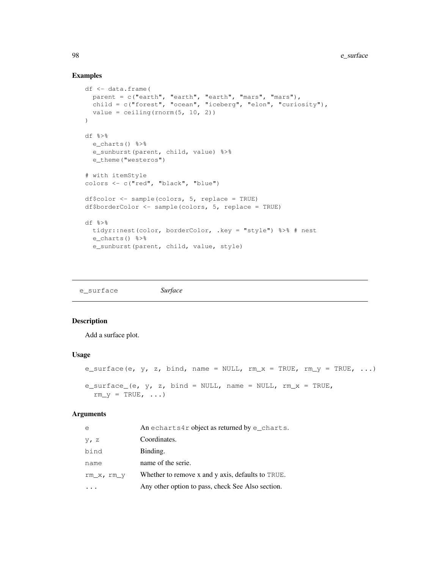#### 98 e\_surface e surface e surface e surface e surface e surface e surface e surface e surface e surface e surface e surface e surface e surface e surface e surface e surface e surface e surface e surface e surface e surface

## Examples

```
df <- data.frame(
 parent = c("earth", "earth", "earth", "mars", "mars"),
 child = c("forest", "ocean", "iceberg", "elon", "curiosity"),
 value = ceiling(rnorm(5, 10, 2))
)
df %>%
 e_charts() %>%
 e_sunburst(parent, child, value) %>%
 e_theme("westeros")
# with itemStyle
colors <- c("red", "black", "blue")
df$color <- sample(colors, 5, replace = TRUE)
df$borderColor <- sample(colors, 5, replace = TRUE)
df %>%
  tidyr::nest(color, borderColor, .key = "style") %>% # nest
  e_charts() %>%
  e_sunburst(parent, child, value, style)
```
e\_surface *Surface*

## Description

Add a surface plot.

#### Usage

```
e_surface(e, y, z, bind, name = NULL, rm\_x = TRUE, rm\_y = TRUE, ...)
e_surface_(e, y, z, bind = NULL, name = NULL, rm\_x = TRUE,
  rm_y = TRUE, \ldots)
```
## Arguments

| e            | An echarts4r object as returned by $e$ _charts.   |
|--------------|---------------------------------------------------|
| $y$ , z      | Coordinates.                                      |
| bind         | Binding.                                          |
| name         | name of the serie.                                |
| $rm_x, rm_y$ | Whether to remove x and y axis, defaults to TRUE. |
|              | Any other option to pass, check See Also section. |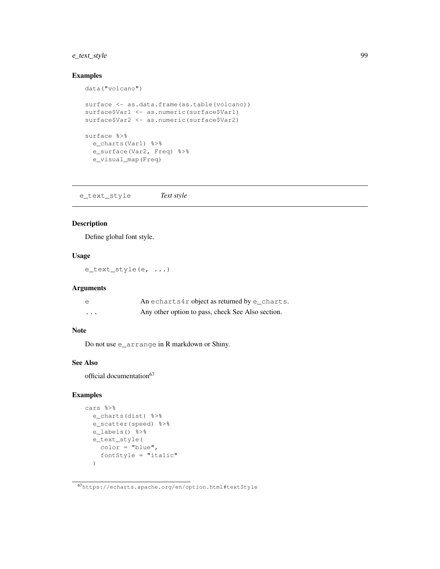# e\_text\_style 99

# Examples

```
data("volcano")
surface <- as.data.frame(as.table(volcano))
surface$Var1 <- as.numeric(surface$Var1)
surface$Var2 <- as.numeric(surface$Var2)
surface %>%
 e_charts(Var1) %>%
 e_surface(Var2, Freq) %>%
 e_visual_map(Freq)
```
e\_text\_style *Text style*

## Description

Define global font style.

#### Usage

e\_text\_style(e, ...)

# Arguments

| e        | An echarts4r object as returned by $e$ _charts.   |
|----------|---------------------------------------------------|
| $\cdots$ | Any other option to pass, check See Also section. |

## Note

Do not use e\_arrange in R markdown or Shiny.

## See Also

official documentation<sup>67</sup>

```
cars %>%
 e_charts(dist) %>%
 e_scatter(speed) %>%
  e_labels() %>%
  e_text_style(
   color = "blue",
    fontStyle = "italic"
  )
```
<sup>67</sup>https://echarts.apache.org/en/option.html#textStyle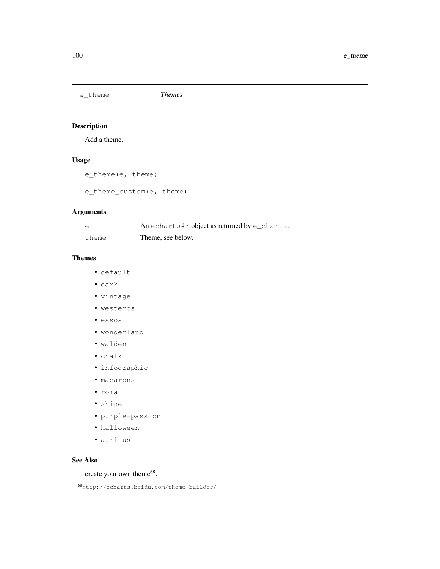e\_theme *Themes*

## Description

Add a theme.

## Usage

```
e_theme(e, theme)
```
e\_theme\_custom(e, theme)

## Arguments

| e     | An echarts4r object as returned by e_charts. |
|-------|----------------------------------------------|
| theme | Theme, see below.                            |

# Themes

- default
- dark
- vintage
- westeros
- essos
- wonderland
- walden
- chalk
- infographic
- macarons
- roma
- shine
- purple-passion
- halloween
- auritus

# See Also

create your own theme<sup>68</sup>.

<sup>68</sup>http://echarts.baidu.com/theme-builder/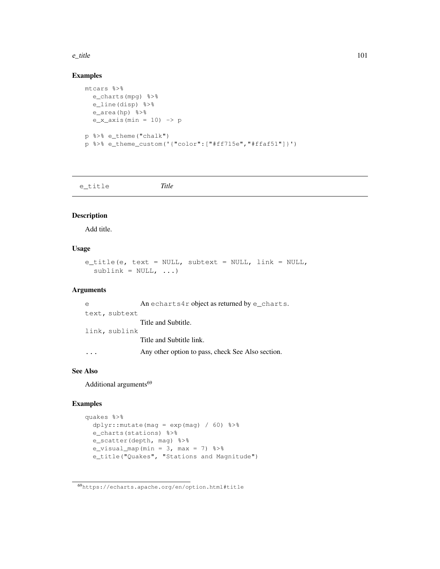#### e\_title 101

# Examples

```
mtcars %>%
 e_charts(mpg) %>%
  e_line(disp) %>%
 e_area(hp) %>%
  e_x_axis(min = 10) -> p
p %>% e_theme("chalk")
p %>% e_theme_custom('{"color":["#ff715e","#ffaf51"]}')
```
e\_title *Title*

# Description

Add title.

# Usage

```
e_title(e, text = NULL, subtext = NULL, link = NULL,
  sublink = NULL, ...
```
#### Arguments

| $\epsilon$ |               | An echarts4r object as returned by $e$ _charts.   |
|------------|---------------|---------------------------------------------------|
|            | text, subtext |                                                   |
|            |               | Title and Subtitle.                               |
|            | link, sublink |                                                   |
|            |               | Title and Subtitle link.                          |
|            |               | Any other option to pass, check See Also section. |

#### See Also

Additional arguments<sup>69</sup>

```
quakes %>%
 dplyr:: mutate (mag = exp (mag) / 60) 3>8e_charts(stations) %>%
 e_scatter(depth, mag) %>%
  e_visual_map(min = 3, max = 7) 8>8e_title("Quakes", "Stations and Magnitude")
```
<sup>69</sup>https://echarts.apache.org/en/option.html#title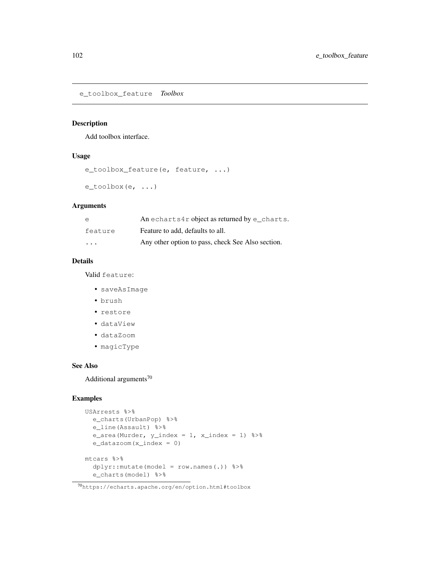e\_toolbox\_feature *Toolbox*

## Description

Add toolbox interface.

# Usage

```
e_toolbox_feature(e, feature, ...)
e_toolbox(e, ...)
```
#### Arguments

| e        | An echarts4r object as returned by e charts.      |
|----------|---------------------------------------------------|
| feature  | Feature to add, defaults to all.                  |
| $\cdots$ | Any other option to pass, check See Also section. |

# Details

Valid feature:

- saveAsImage
- brush
- restore
- dataView
- dataZoom
- magicType

#### See Also

Additional arguments<sup>70</sup>

```
USArrests %>%
 e_charts(UrbanPop) %>%
 e_line(Assault) %>%
 e_area(Murder, y_index = 1, x_index = 1) 8>8e_datazoom(x_index = 0)
mtcars %>%
 dplyr::mutate(model = row.names(.)) %>%
 e_charts(model) %>%
```
<sup>70</sup>https://echarts.apache.org/en/option.html#toolbox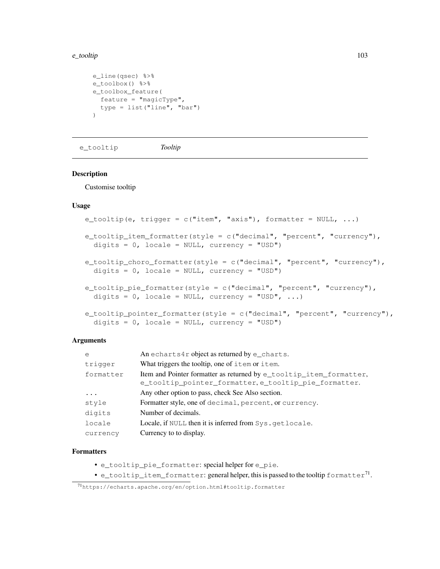#### e\_tooltip 103

```
e_line(qsec) %>%
e_toolbox() %>%
e_toolbox_feature(
 feature = "majorType",type = list("line", "bar")
\lambda
```
e\_tooltip *Tooltip*

## Description

Customise tooltip

# Usage

```
e_t tooltip(e, trigger = c("item", "axis"), formatter = NULL, ...)
e_tooltip_item_formatter(style = c("decimal", "percent", "currency"),
  digits = 0, locale = NULL, currency = "USD")
e_tooltip_choro_formatter(style = c("decimal", "percent", "currency"),
  digits = 0, locale = NULL, currency = "USD")
e_tooltip_pie_formatter(style = c("decimal", "percent", "currency"),
  digits = 0, locale = NULL, currency = "USD", ...)
e_tooltip_pointer_formatter(style = c("decimal", "percent", "currency"),
```

```
Arguments
```

| $\overline{e}$ | An echarts4r object as returned by e_charts.                        |
|----------------|---------------------------------------------------------------------|
| trigger        | What triggers the tooltip, one of item or item.                     |
| formatter      | Item and Pointer formatter as returned by e_tooltip_item_formatter, |
|                | e_tooltip_pointer_formatter, e_tooltip_pie_formatter.               |
| $\ddots$ .     | Any other option to pass, check See Also section.                   |
| style          | Formatter style, one of decimal, percent, or currency.              |
| digits         | Number of decimals.                                                 |
| locale         | Locale, if NULL then it is inferred from Sys.getlocale.             |
| currency       | Currency to to display.                                             |

#### Formatters

• e\_tooltip\_pie\_formatter: special helper for e\_pie.

digits =  $0$ , locale = NULL, currency = "USD")

• e\_tooltip\_item\_formatter: general helper, this is passed to the tooltip <code>formatter $^{71}.$ </code>

<sup>71</sup>https://echarts.apache.org/en/option.html#tooltip.formatter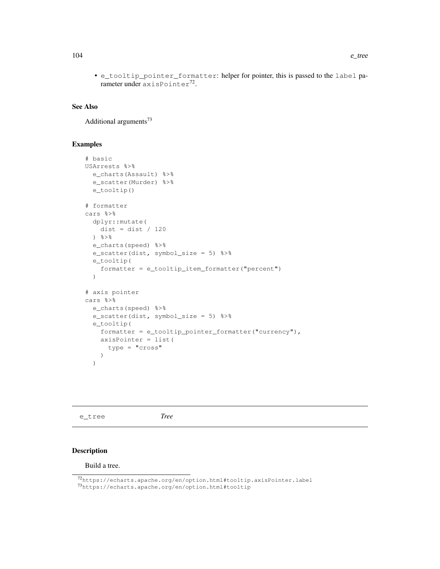• e\_tooltip\_pointer\_formatter: helper for pointer, this is passed to the label pa- $\mu$ rameter under axisPointer $^{72}$ .

#### See Also

Additional arguments<sup>73</sup>

## Examples

```
# basic
USArrests %>%
  e_charts(Assault) %>%
  e_scatter(Murder) %>%
  e_tooltip()
# formatter
cars %>%
 dplyr::mutate(
   dist = dist / 120) %>%
  e_charts(speed) %>%
  e_scatter(dist, symbol_size = 5) %>%
  e_tooltip(
    formatter = e_tooltip_item_formatter("percent")
  )
# axis pointer
cars %>%
  e_charts(speed) %>%
  e_scatter(dist, symbol_size = 5) %>%
  e_tooltip(
    formatter = e_tooltip_pointer_formatter("currency"),
    axisPointer = list(
      type = "cross"
    )
  )
```
e\_tree *Tree*

# Description

Build a tree.

<sup>72</sup>https://echarts.apache.org/en/option.html#tooltip.axisPointer.label

<sup>73</sup>https://echarts.apache.org/en/option.html#tooltip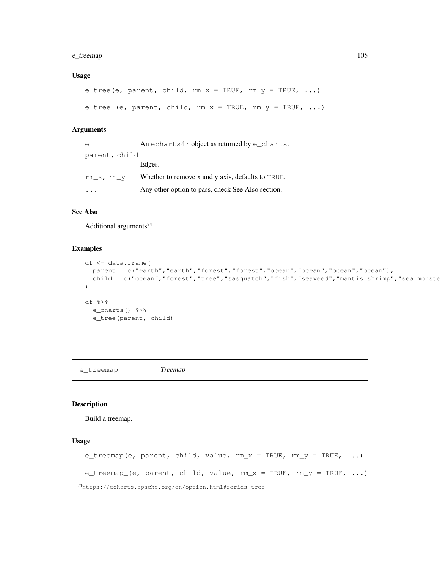## e\_treemap 105

#### Usage

```
e_tree(e, parent, child, rm_x = TRUE, rm_y = TRUE, ...)
e_tree_(e, parent, child, rm_x = TRUE, rm_y = TRUE, ...)
```
# Arguments

| e             | An echarts4r object as returned by e_charts.      |
|---------------|---------------------------------------------------|
| parent, child |                                                   |
|               | Edges.                                            |
| rm x, rm y    | Whether to remove x and y axis, defaults to TRUE. |
| $\ddots$      | Any other option to pass, check See Also section. |

# See Also

Additional arguments $^{74}$ 

## Examples

```
df <- data.frame(
 parent = c("earth","earth","forest","forest","ocean","ocean","ocean","ocean"),
  child = c("ocean", "forest", "tree", "sasquatch", "fish", "seaweed", "mantis shrimp", "sea monste
\lambdadf %>%
 e_charts() %>%
  e_tree(parent, child)
```
e\_treemap *Treemap*

#### Description

Build a treemap.

```
e_treemap(e, parent, child, value, rm_x = TRUE, rm_y = TRUE, ...)
e_treemap_(e, parent, child, value, rm_x = TRUE, rm_y = TRUE, ...)
```

```
74https://echarts.apache.org/en/option.html#series-tree
```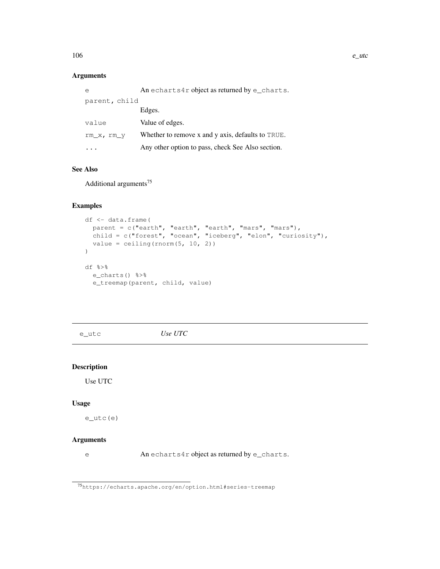# Arguments

| e             | An echarts4r object as returned by e charts.      |
|---------------|---------------------------------------------------|
| parent, child |                                                   |
|               | Edges.                                            |
| value         | Value of edges.                                   |
| $rm_x, rm_y$  | Whether to remove x and y axis, defaults to TRUE. |
|               | Any other option to pass, check See Also section. |

## See Also

Additional arguments<sup>75</sup>

# Examples

```
df <- data.frame(
  parent = c("earth", "earth", "earth", "mars", "mars"),
  child = c("forest", "ocean", "iceberg", "elon", "curiosity"),
 value = ceiling(rnorm(5, 10, 2))
)
df %>%
 e_charts() %>%
  e_treemap(parent, child, value)
```
e\_utc *Use UTC*

# Description

Use UTC

#### Usage

e\_utc(e)

## Arguments

e An echarts4r object as returned by e\_charts.

<sup>75</sup>https://echarts.apache.org/en/option.html#series-treemap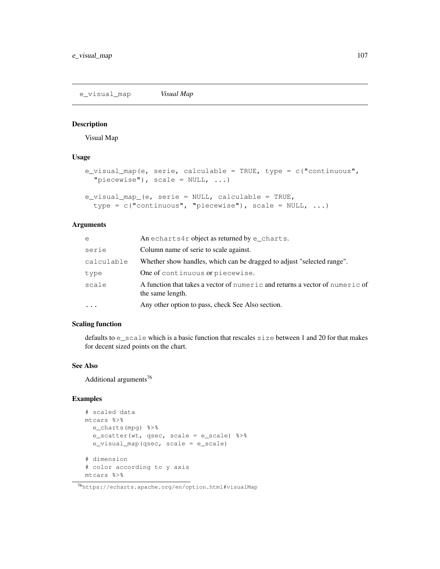e\_visual\_map *Visual Map*

## Description

Visual Map

#### Usage

```
e_visual_map(e, serie, calculable = TRUE, type = c("continuous",
  "piecewise", scale = NULL, ...)e_visual_map_(e, serie = NULL, calculable = TRUE,
  type = c("continuous", "piecewise"), scale = NULL, ...)
```
## Arguments

| e          | An echarts4r object as returned by $e$ _charts.                                                  |
|------------|--------------------------------------------------------------------------------------------------|
| serie      | Column name of serie to scale against.                                                           |
| calculable | Whether show handles, which can be dragged to adjust "selected range".                           |
| type       | One of continuous or piecewise.                                                                  |
| scale      | A function that takes a vector of numeric and returns a vector of numeric of<br>the same length. |
| $\ddots$ . | Any other option to pass, check See Also section.                                                |
|            |                                                                                                  |

# Scaling function

defaults to e\_scale which is a basic function that rescales size between 1 and 20 for that makes for decent sized points on the chart.

#### See Also

Additional arguments<sup>76</sup>

```
# scaled data
mtcars %>%
  e_charts(mpg) %>%
  e_scatter(wt, qsec, scale = e_scale) %>%
  e_visual_map(qsec, scale = e_scale)
# dimension
# color according to y axis
mtcars %>%
```
<sup>76</sup>https://echarts.apache.org/en/option.html#visualMap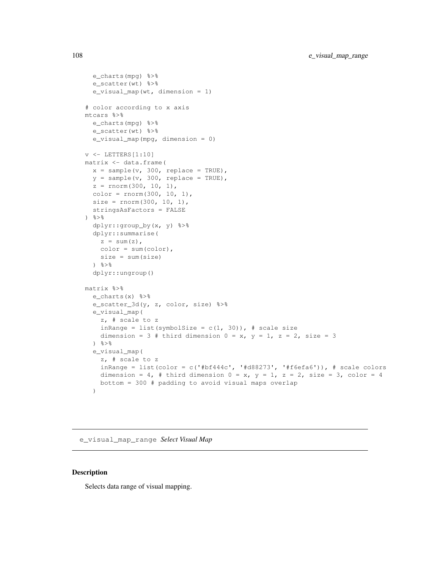```
e_charts(mpg) %>%
  e_scatter(wt) %>%
  e_visual_map(wt, dimension = 1)
# color according to x axis
mtcars %>%
 e_charts(mpg) %>%
 e_scatter(wt) %>%
  e_visual_map(mpg, dimension = 0)
v <- LETTERS[1:10]
matrix <- data.frame(
  x = sample(v, 300, replace = TRUE),
  y = sample(v, 300, replace = TRUE),
  z = rnorm(300, 10, 1),color = rnorm(300, 10, 1),
  size = rnorm(300, 10, 1),stringsAsFactors = FALSE
\frac{6}{6}dplyr::group_by(x, y) %>%
  dplyr::summarise(
   z = sum(z),
   color = sum(color),
   size = sum(size)
  \frac{6}{3} > \frac{6}{6}dplyr::ungroup()
matrix %>%
  e_charts(x) %>%
  e_scatter_3d(y, z, color, size) %>%
  e_visual_map(
    z, # scale to z
    inRange = list(symbolSize = c(1, 30)), # scale size
   dimension = 3 # third dimension 0 = x, y = 1, z = 2, size = 3
  ) %>%
  e_visual_map(
    z, # scale to z
    inRange = list(color = c('#bf444c', '#d88273', '#f6efa6')), # scale colors
    dimension = 4, # third dimension 0 = x, y = 1, z = 2, size = 3, color = 4
    bottom = 300 # padding to avoid visual maps overlap
  )
```
e\_visual\_map\_range *Select Visual Map*

#### Description

Selects data range of visual mapping.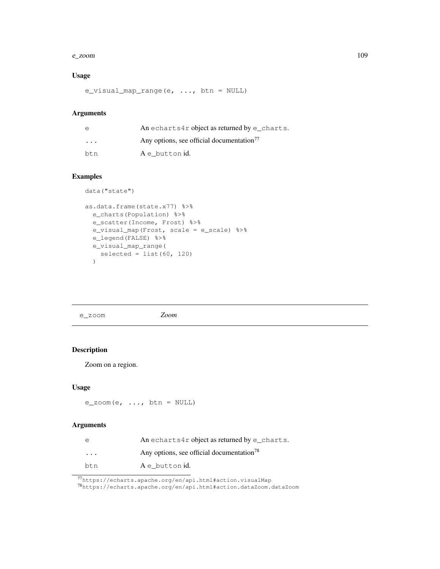#### e\_zoom and the second of the second of the second of the second of the second of the second of the second of the second of the second of the second of the second of the second of the second of the second of the second of t

# Usage

e\_visual\_map\_range(e, ..., btn = NULL)

## Arguments

| e        | An echarts4r object as returned by $e_{\text{charts}}$ . |
|----------|----------------------------------------------------------|
| $\cdots$ | Any options, see official documentation <sup>77</sup>    |
| btn      | A e button id.                                           |

# Examples

```
data("state")
```

```
as.data.frame(state.x77) %>%
 e_charts(Population) %>%
 e_scatter(Income, Frost) %>%
 e_visual_map(Frost, scale = e_scale) %>%
 e_legend(FALSE) %>%
  e_visual_map_range(
    selected = list(60, 120))
```
e\_zoom *Zoom*

# Description

Zoom on a region.

# Usage

 $e_$ zoom(e, ..., btn = NULL)

# Arguments

| $\epsilon$              | An echarts4r object as returned by $e$ _charts.       |
|-------------------------|-------------------------------------------------------|
| $\cdot$ $\cdot$ $\cdot$ | Any options, see official documentation <sup>78</sup> |
| btn                     | A e button id.                                        |

<sup>77</sup>https://echarts.apache.org/en/api.html#action.visualMap

<sup>78</sup>https://echarts.apache.org/en/api.html#action.dataZoom.dataZoom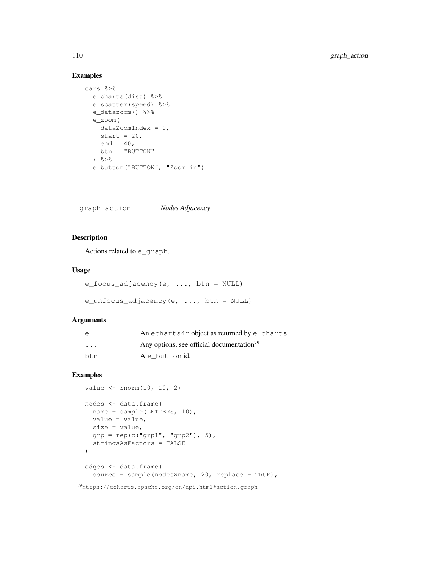# Examples

```
cars %>%
  e_charts(dist) %>%
  e_scatter(speed) %>%
  e_datazoom() %>%
  e_zoom(
    dataZoomIndex = 0,start = 20,
    end = 40,
    btn = "BUTTON"
  ) \frac{6}{6} > \frac{6}{6}e_button("BUTTON", "Zoom in")
```
graph\_action *Nodes Adjacency*

# Description

Actions related to e\_graph.

# Usage

```
e_focus_adjacency(e, ..., btn = NULL)
```

```
e_unfocus_adjacency(e, \ldots, btn = NULL)
```
## Arguments

| $\epsilon$ | An echarts4r object as returned by $e$ _charts.       |
|------------|-------------------------------------------------------|
| $\cdots$   | Any options, see official documentation <sup>79</sup> |
| btn        | A e button id.                                        |

```
value <- rnorm(10, 10, 2)
nodes <- data.frame(
 name = sample(LETTERS, 10),
 value = value,
 size = value,
 grp = rep(c("grp1", "grp2"), 5),stringsAsFactors = FALSE
)
edges <- data.frame(
  source = sample(nodes$name, 20, replace = TRUE),
```
<sup>79</sup>https://echarts.apache.org/en/api.html#action.graph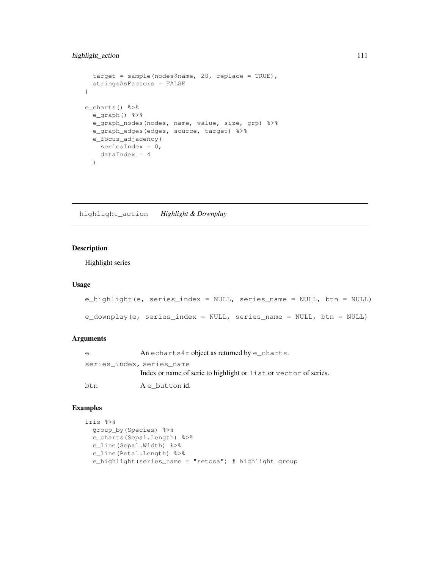# highlight\_action 1111

```
target = sample(nodes$name, 20, replace = TRUE),
  stringsAsFactors = FALSE
\big)e_charts() %>%
 e_graph() %>%
  e_graph_nodes(nodes, name, value, size, grp) %>%
  e_graph_edges(edges, source, target) %>%
  e_focus_adjacency(
   seriesIndex = 0,
   dataIndex = 4
  )
```
highlight\_action *Highlight & Downplay*

# Description

Highlight series

## Usage

```
e_highlight(e, series_index = NULL, series_name = NULL, btn = NULL)
e_downplay(e, series_index = NULL, series_name = NULL, btn = NULL)
```
# Arguments

| e                         | An echarts4r object as returned by $e$ _charts.                  |
|---------------------------|------------------------------------------------------------------|
| series index, series name |                                                                  |
|                           | Index or name of serie to highlight or list or vector of series. |
| btn                       | A e button id.                                                   |

```
iris %>%
 group_by(Species) %>%
 e_charts(Sepal.Length) %>%
 e_line(Sepal.Width) %>%
  e_line(Petal.Length) %>%
  e_highlight(series_name = "setosa") # highlight group
```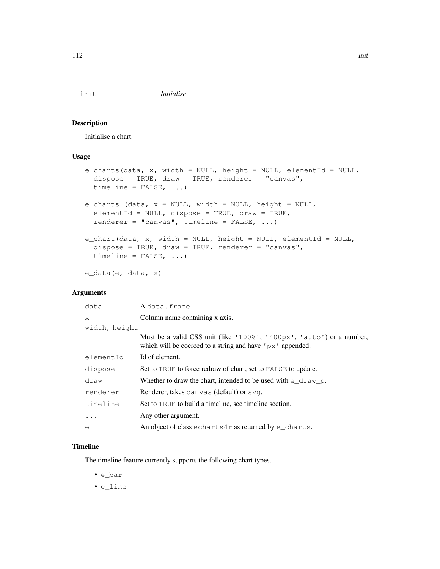# Description

Initialise a chart.

## Usage

```
e_charts(data, x, width = NULL, height = NULL, elementId = NULL,
  dispose = TRUE, draw = TRUE, renderer = "canvas",
  timeline = FALSE, ...)
e_charts_(data, x = NULL, width = NULL, height = NULL,
  elementId = NULL, dispose = TRUE, draw = TRUE,
  renderer = "canvas", timeline = FALSE, \ldots)
e_chart(data, x, width = NULL, height = NULL, elementId = NULL,
  dispose = TRUE, draw = TRUE, renderer = "canvas",
  timeline = FALSE, ...)
e_data(e, data, x)
```
# Arguments

| data          | Adata.frame.                                                                                                                                   |
|---------------|------------------------------------------------------------------------------------------------------------------------------------------------|
| X             | Column name containing x axis.                                                                                                                 |
| width, height |                                                                                                                                                |
|               | Must be a valid CSS unit (like '100%', '400px', 'auto') or a number,<br>which will be coerced to a string and have $\gamma$ $\alpha$ appended. |
| elementId     | Id of element.                                                                                                                                 |
| dispose       | Set to TRUE to force redraw of chart, set to FALSE to update.                                                                                  |
| draw          | Whether to draw the chart, intended to be used with $\epsilon$ draw p.                                                                         |
| renderer      | Renderer, takes canvas (default) or svg.                                                                                                       |
| timeline      | Set to TRUE to build a timeline, see timeline section.                                                                                         |
|               | Any other argument.                                                                                                                            |
| e             | An object of class echarts $4r$ as returned by e_charts.                                                                                       |

# Timeline

The timeline feature currently supports the following chart types.

- e\_bar
- e\_line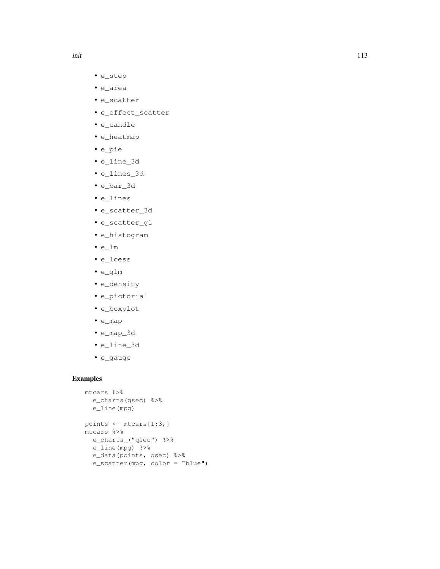- e\_step
- e\_area
- e\_scatter
- e\_effect\_scatter
- e\_candle
- e\_heatmap
- e\_pie
- e\_line\_3d
- e\_lines\_3d
- e\_bar\_3d
- e\_lines
- e\_scatter\_3d
- e\_scatter\_gl
- e\_histogram
- e\_lm
- e\_loess
- e\_glm
- e\_density
- e\_pictorial
- e\_boxplot
- e\_map
- e\_map\_3d
- e\_line\_3d
- e\_gauge

```
mtcars %>%
 e_charts(qsec) %>%
 e_line(mpg)
points <- mtcars[1:3,]
mtcars %>%
 e_charts_("qsec") %>%
 e_line(mpg) %>%
 e_data(points, qsec) %>%
  e_scatter(mpg, color = "blue")
```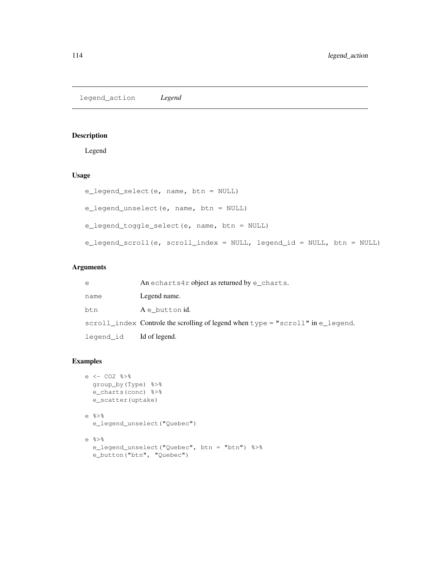legend\_action *Legend*

## Description

Legend

# Usage

```
e_legend_select(e, name, btn = NULL)
e_legend_unselect(e, name, btn = NULL)
e_legend_toggle_select(e, name, btn = NULL)
e_legend_scroll(e, scroll_index = NULL, legend_id = NULL, btn = NULL)
```
# Arguments

| e         | An echarts4r object as returned by $e$ _charts.                                                             |
|-----------|-------------------------------------------------------------------------------------------------------------|
| name      | Legend name.                                                                                                |
| bt.n      | A e button id.                                                                                              |
|           | $\text{scroll\_index}$ Controle the scrolling of legend when $\text{type} = \text{``scroll''}$ in e_legend. |
| legend_id | Id of legend.                                                                                               |

```
e <- CO2 %>%
 group_by(Type) %>%
 e_charts(conc) %>%
 e_scatter(uptake)
e %>%
 e_legend_unselect("Quebec")
e %>%
 e_legend_unselect("Quebec", btn = "btn") %>%
 e_button("btn", "Quebec")
```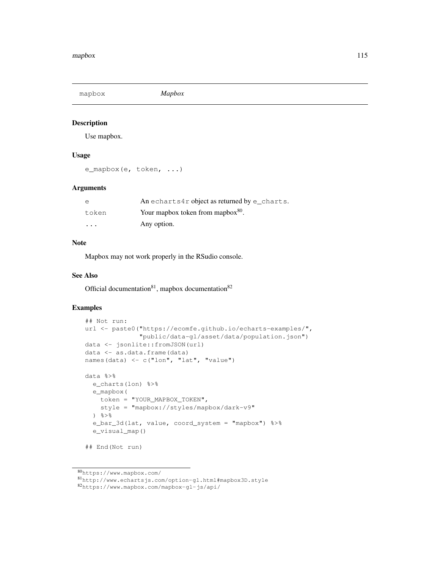mapbox *Mapbox*

# Description

Use mapbox.

## Usage

e\_mapbox(e, token, ...)

#### Arguments

| e       | An echarts4r object as returned by e charts.  |
|---------|-----------------------------------------------|
| token   | Your mapbox token from mapbox <sup>80</sup> . |
| $\cdot$ | Any option.                                   |

#### **Note**

Mapbox may not work properly in the RSudio console.

#### See Also

Official documentation $81$ , mapbox documentation $82$ 

```
## Not run:
url <- paste0("https://ecomfe.github.io/echarts-examples/",
               "public/data-gl/asset/data/population.json")
data <- jsonlite::fromJSON(url)
data <- as.data.frame(data)
names(data) <- c("lon", "lat", "value")
data %>%
  e_charts(lon) %>%
  e_mapbox(
    token = "YOUR_MAPBOX_TOKEN",
    style = "mapbox://styles/mapbox/dark-v9"
  \frac{6}{6} > \frac{6}{6}e_bar_3d(lat, value, coord_system = "mapbox") %>%
  e_visual_map()
```

```
## End(Not run)
```
<sup>80</sup>https://www.mapbox.com/

<sup>81</sup>http://www.echartsjs.com/option-gl.html#mapbox3D.style

<sup>82</sup>https://www.mapbox.com/mapbox-gl-js/api/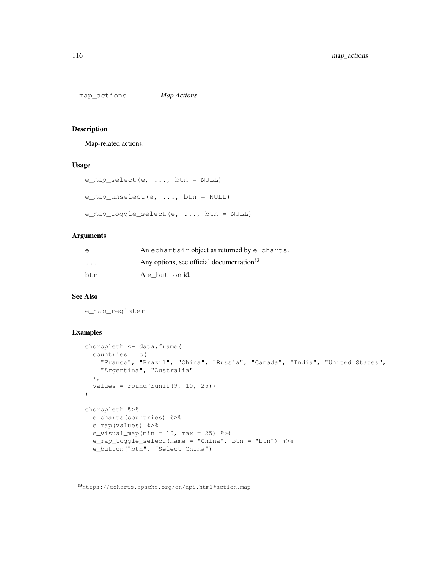map\_actions *Map Actions*

#### Description

Map-related actions.

## Usage

```
e_map_select(e, ..., btn = NULL)
e_map_unselect(e, \dots, btn = NULL)
e_map_toggle_select(e, ..., btn = NULL)
```
#### Arguments

| e                       | An echarts4r object as returned by $e$ _charts.       |
|-------------------------|-------------------------------------------------------|
| $\cdot$ $\cdot$ $\cdot$ | Any options, see official documentation <sup>83</sup> |
| btn                     | A e button id.                                        |

## See Also

e\_map\_register

```
choropleth <- data.frame(
  countries = c(
   "France", "Brazil", "China", "Russia", "Canada", "India", "United States",
    "Argentina", "Australia"
  ),
  values = round(runit(9, 10, 25)))
choropleth %>%
 e_charts(countries) %>%
 e_map(values) %>%
  e_visual_map(min = 10, max = 25) 8>8e_map_toggle_select(name = "China", btn = "btn") %>%
  e_button("btn", "Select China")
```
<sup>83</sup>https://echarts.apache.org/en/api.html#action.map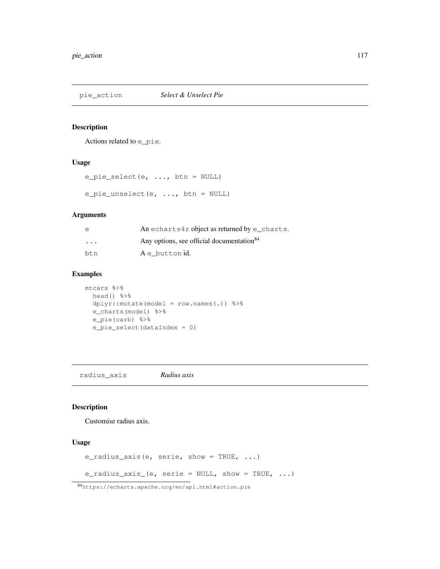pie\_action *Select & Unselect Pie*

### Description

Actions related to e\_pie.

# Usage

```
e_pie_select(e, ..., btn = NULL)
e_pie_unselect(e, ..., btn = NULL)
```
## Arguments

| e        | An echarts4r object as returned by $e$ _charts.       |
|----------|-------------------------------------------------------|
| $\cdots$ | Any options, see official documentation <sup>84</sup> |
| btn      | A e button id.                                        |

## Examples

```
mtcars %>%
 head() %>%
 dplyr::mutate(model = row.names(.)) %>%
  e_charts(model) %>%
  e_pie(carb) %>%
  e_pie_select(dataIndex = 0)
```
radius\_axis *Radius axis*

# Description

Customise radius axis.

# Usage

```
e_radius_axis(e, serie, show = TRUE, ...)
```

```
e_radius_axis_(e, serie = NULL, show = TRUE, \ldots)
```
<sup>84</sup>https://echarts.apache.org/en/api.html#action.pie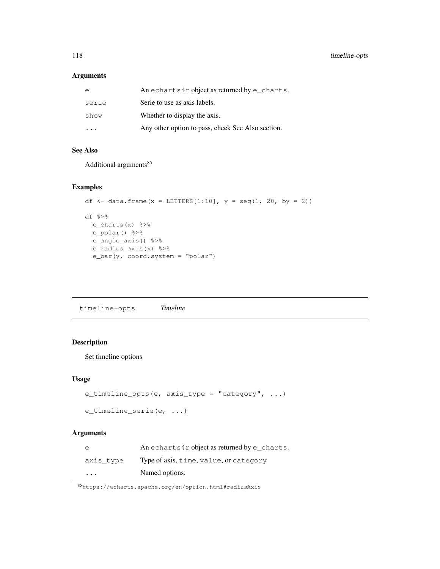# Arguments

| e         | An echarts4r object as returned by $e$ _charts.   |
|-----------|---------------------------------------------------|
| serie     | Serie to use as axis labels.                      |
| show      | Whether to display the axis.                      |
| $\ddotsc$ | Any other option to pass, check See Also section. |

# See Also

Additional arguments<sup>85</sup>

# Examples

```
df <- data.frame(x = LETTERS[1:10], y = seq(1, 20, by = 2))
df %>%
 e_charts(x) %>%
 e_polar() %>%
 e_angle_axis() %>%
 e_radius_axis(x) %>%
  e_bar(y, coord.system = "polar")
```
timeline-opts *Timeline*

# Description

Set timeline options

## Usage

```
e_timeline_opts(e, axis_type = "category", ...)
e_timeline_serie(e, ...)
```
# Arguments

| e                       | An echarts4r object as returned by $e$ _charts. |
|-------------------------|-------------------------------------------------|
| axis type               | Type of axis, time, value, or category          |
| $\cdot$ $\cdot$ $\cdot$ | Named options.                                  |

<sup>85</sup>https://echarts.apache.org/en/option.html#radiusAxis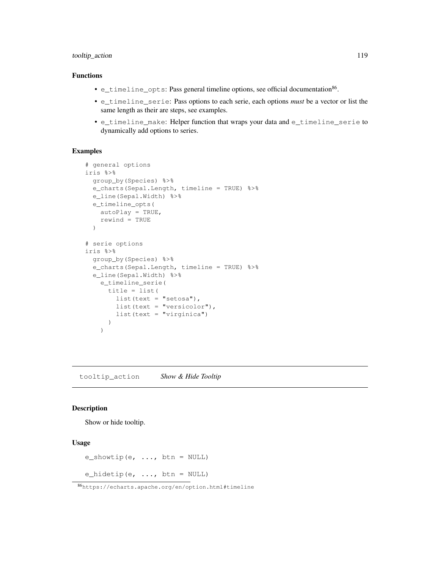# tooltip\_action 119

## Functions

- e\_timeline\_opts: Pass general timeline options, see official documentation<sup>86</sup>.
- e\_timeline\_serie: Pass options to each serie, each options *must* be a vector or list the same length as their are steps, see examples.
- e\_timeline\_make: Helper function that wraps your data and e\_timeline\_serie to dynamically add options to series.

#### Examples

```
# general options
iris %>%
 group_by(Species) %>%
 e_charts(Sepal.Length, timeline = TRUE) %>%
  e_line(Sepal.Width) %>%
  e_timeline_opts(
   autoPlay = TRUE,
    rewind = TRUE
  )
# serie options
iris %>%
 group_by(Species) %>%
 e_charts(Sepal.Length, timeline = TRUE) %>%
  e_line(Sepal.Width) %>%
    e_timeline_serie(
     title = list(
        list(text = "setosa"),list(text = "version",
        list(text = "virginica")
      )
    \lambda
```
tooltip\_action *Show & Hide Tooltip*

## Description

Show or hide tooltip.

# Usage

```
e_showtip(e, \ldots, btn = NULL)
```
e\_hidetip(e, ..., btn = NULL)

<sup>86</sup>https://echarts.apache.org/en/option.html#timeline